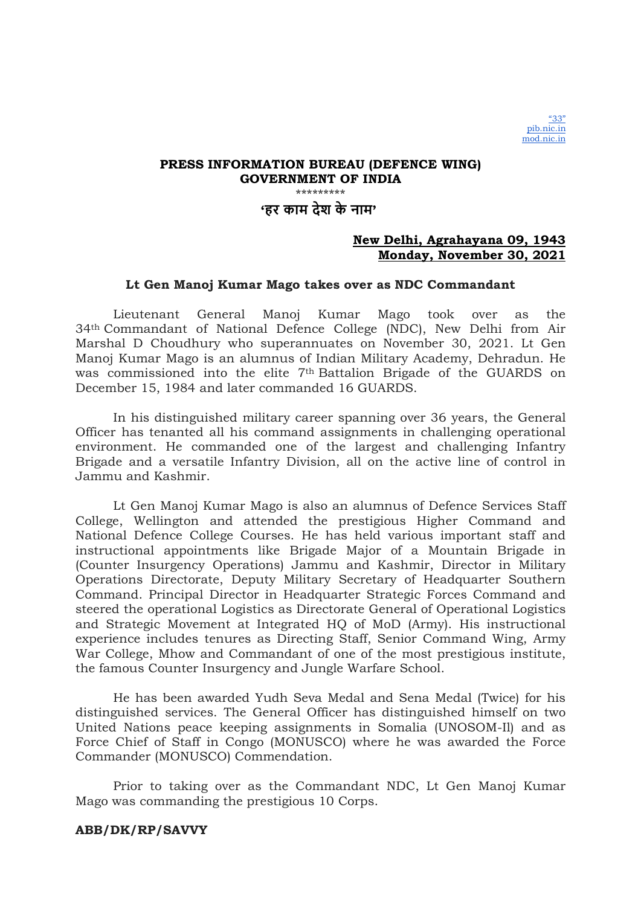# 'हर काम देश के नाम'

### New Delhi, Agrahayana 09, 1943 Monday, November 30, 2021

### Lt Gen Manoj Kumar Mago takes over as NDC Commandant

Lieutenant General Manoj Kumar Mago took over as the 34th Commandant of National Defence College (NDC), New Delhi from Air Marshal D Choudhury who superannuates on November 30, 2021. Lt Gen Manoj Kumar Mago is an alumnus of Indian Military Academy, Dehradun. He was commissioned into the elite 7th Battalion Brigade of the GUARDS on December 15, 1984 and later commanded 16 GUARDS.

In his distinguished military career spanning over 36 years, the General Officer has tenanted all his command assignments in challenging operational environment. He commanded one of the largest and challenging Infantry Brigade and a versatile Infantry Division, all on the active line of control in Jammu and Kashmir.

Lt Gen Manoj Kumar Mago is also an alumnus of Defence Services Staff College, Wellington and attended the prestigious Higher Command and National Defence College Courses. He has held various important staff and instructional appointments like Brigade Major of a Mountain Brigade in (Counter Insurgency Operations) Jammu and Kashmir, Director in Military Operations Directorate, Deputy Military Secretary of Headquarter Southern Command. Principal Director in Headquarter Strategic Forces Command and steered the operational Logistics as Directorate General of Operational Logistics and Strategic Movement at Integrated HQ of MoD (Army). His instructional experience includes tenures as Directing Staff, Senior Command Wing, Army War College, Mhow and Commandant of one of the most prestigious institute, the famous Counter Insurgency and Jungle Warfare School.

He has been awarded Yudh Seva Medal and Sena Medal (Twice) for his distinguished services. The General Officer has distinguished himself on two United Nations peace keeping assignments in Somalia (UNOSOM-Il) and as Force Chief of Staff in Congo (MONUSCO) where he was awarded the Force Commander (MONUSCO) Commendation.

Prior to taking over as the Commandant NDC, Lt Gen Manoj Kumar Mago was commanding the prestigious 10 Corps.

### ABB/DK/RP/SAVVY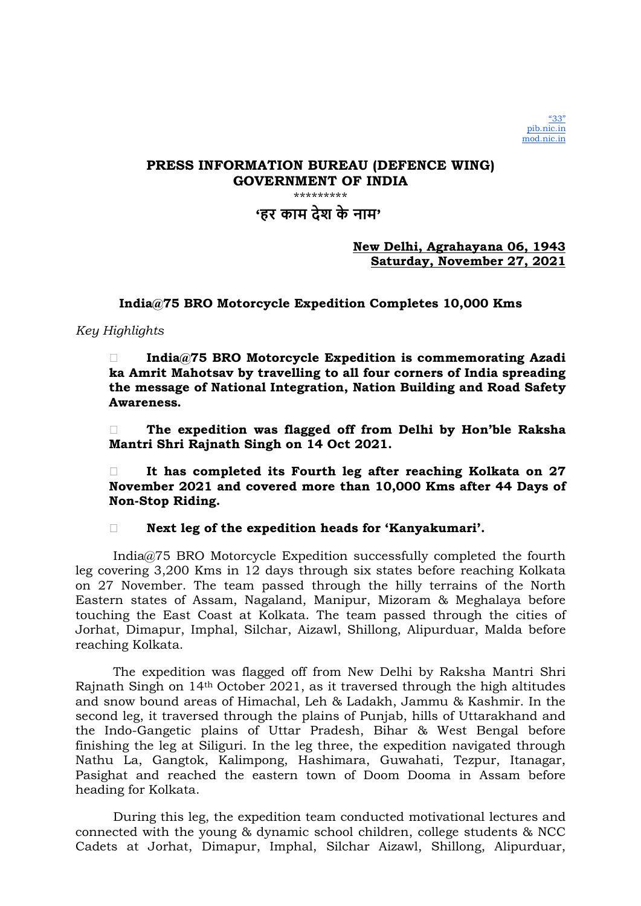'हर काम देश के नाम'

New Delhi, Agrahayana 06, 1943 Saturday, November 27, 2021

India@75 BRO Motorcycle Expedition Completes 10,000 Kms

## Key Highlights

□ India@75 BRO Motorcycle Expedition is commemorating Azadi ka Amrit Mahotsav by travelling to all four corners of India spreading the message of National Integration, Nation Building and Road Safety Awareness.

 The expedition was flagged off from Delhi by Hon'ble Raksha Mantri Shri Rajnath Singh on 14 Oct 2021.

 $\Box$  It has completed its Fourth leg after reaching Kolkata on 27 November 2021 and covered more than 10,000 Kms after 44 Days of Non-Stop Riding.

Next leg of the expedition heads for 'Kanyakumari'.

India@75 BRO Motorcycle Expedition successfully completed the fourth leg covering 3,200 Kms in 12 days through six states before reaching Kolkata on 27 November. The team passed through the hilly terrains of the North Eastern states of Assam, Nagaland, Manipur, Mizoram & Meghalaya before touching the East Coast at Kolkata. The team passed through the cities of Jorhat, Dimapur, Imphal, Silchar, Aizawl, Shillong, Alipurduar, Malda before reaching Kolkata.

The expedition was flagged off from New Delhi by Raksha Mantri Shri Rajnath Singh on 14th October 2021, as it traversed through the high altitudes and snow bound areas of Himachal, Leh & Ladakh, Jammu & Kashmir. In the second leg, it traversed through the plains of Punjab, hills of Uttarakhand and the Indo-Gangetic plains of Uttar Pradesh, Bihar & West Bengal before finishing the leg at Siliguri. In the leg three, the expedition navigated through Nathu La, Gangtok, Kalimpong, Hashimara, Guwahati, Tezpur, Itanagar, Pasighat and reached the eastern town of Doom Dooma in Assam before heading for Kolkata.

During this leg, the expedition team conducted motivational lectures and connected with the young & dynamic school children, college students & NCC Cadets at Jorhat, Dimapur, Imphal, Silchar Aizawl, Shillong, Alipurduar,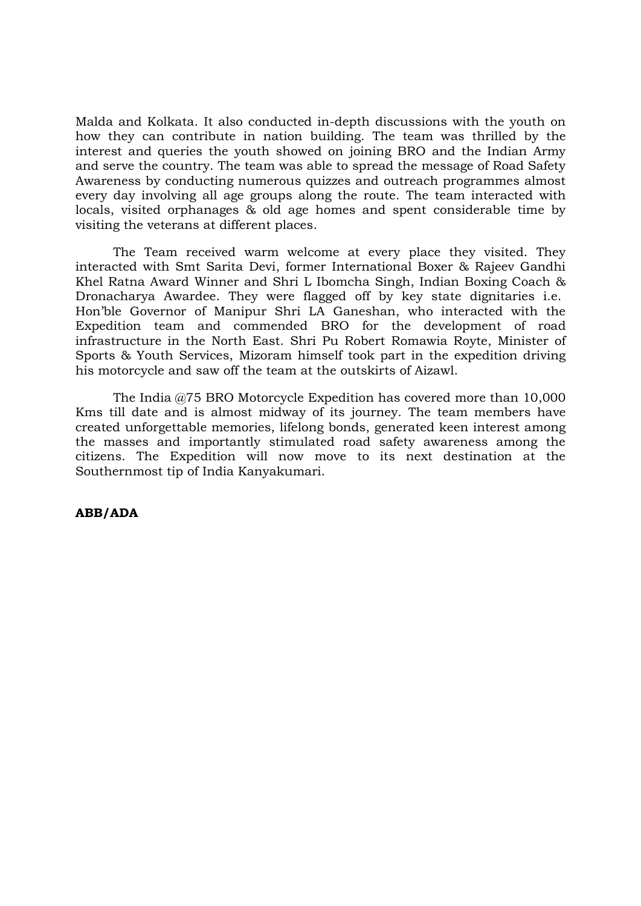Malda and Kolkata. It also conducted in-depth discussions with the youth on how they can contribute in nation building. The team was thrilled by the interest and queries the youth showed on joining BRO and the Indian Army and serve the country. The team was able to spread the message of Road Safety Awareness by conducting numerous quizzes and outreach programmes almost every day involving all age groups along the route. The team interacted with locals, visited orphanages & old age homes and spent considerable time by visiting the veterans at different places.

The Team received warm welcome at every place they visited. They interacted with Smt Sarita Devi, former International Boxer & Rajeev Gandhi Khel Ratna Award Winner and Shri L Ibomcha Singh, Indian Boxing Coach & Dronacharya Awardee. They were flagged off by key state dignitaries i.e. Hon'ble Governor of Manipur Shri LA Ganeshan, who interacted with the Expedition team and commended BRO for the development of road infrastructure in the North East. Shri Pu Robert Romawia Royte, Minister of Sports & Youth Services, Mizoram himself took part in the expedition driving his motorcycle and saw off the team at the outskirts of Aizawl.

The India @75 BRO Motorcycle Expedition has covered more than 10,000 Kms till date and is almost midway of its journey. The team members have created unforgettable memories, lifelong bonds, generated keen interest among the masses and importantly stimulated road safety awareness among the citizens. The Expedition will now move to its next destination at the Southernmost tip of India Kanyakumari.

### ABB/ADA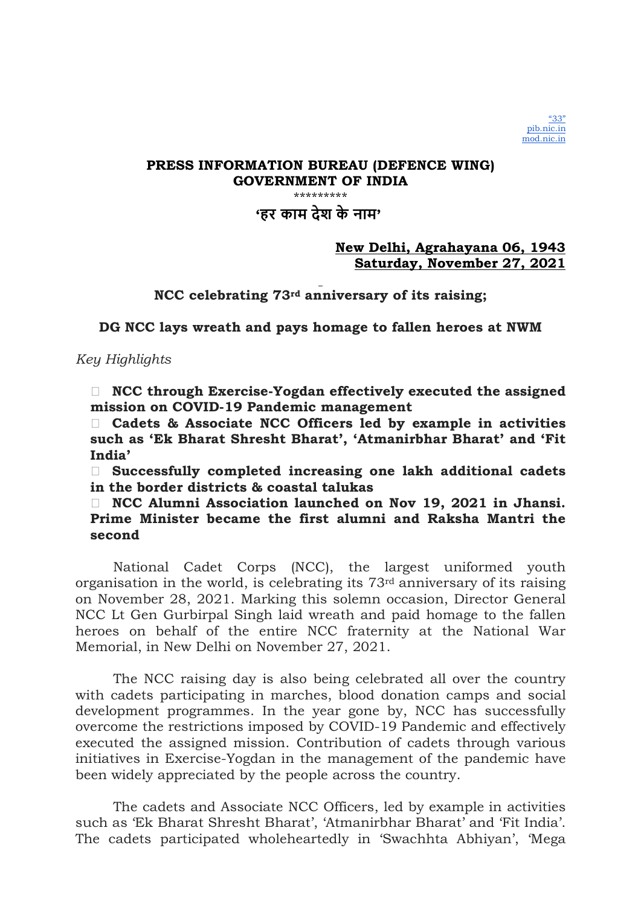# 'हर काम देश के नाम'

## New Delhi, Agrahayana 06, 1943 Saturday, November 27, 2021

NCC celebrating 73rd anniversary of its raising;

DG NCC lays wreath and pays homage to fallen heroes at NWM

Key Highlights

 $\Box$  NCC through Exercise-Yogdan effectively executed the assigned mission on COVID-19 Pandemic management

 Cadets & Associate NCC Officers led by example in activities such as 'Ek Bharat Shresht Bharat', 'Atmanirbhar Bharat' and 'Fit India'

 Successfully completed increasing one lakh additional cadets in the border districts & coastal talukas

 NCC Alumni Association launched on Nov 19, 2021 in Jhansi. Prime Minister became the first alumni and Raksha Mantri the second

National Cadet Corps (NCC), the largest uniformed youth organisation in the world, is celebrating its 73rd anniversary of its raising on November 28, 2021. Marking this solemn occasion, Director General NCC Lt Gen Gurbirpal Singh laid wreath and paid homage to the fallen heroes on behalf of the entire NCC fraternity at the National War Memorial, in New Delhi on November 27, 2021.

The NCC raising day is also being celebrated all over the country with cadets participating in marches, blood donation camps and social development programmes. In the year gone by, NCC has successfully overcome the restrictions imposed by COVID-19 Pandemic and effectively executed the assigned mission. Contribution of cadets through various initiatives in Exercise-Yogdan in the management of the pandemic have been widely appreciated by the people across the country.

The cadets and Associate NCC Officers, led by example in activities such as 'Ek Bharat Shresht Bharat', 'Atmanirbhar Bharat' and 'Fit India'. The cadets participated wholeheartedly in 'Swachhta Abhiyan', 'Mega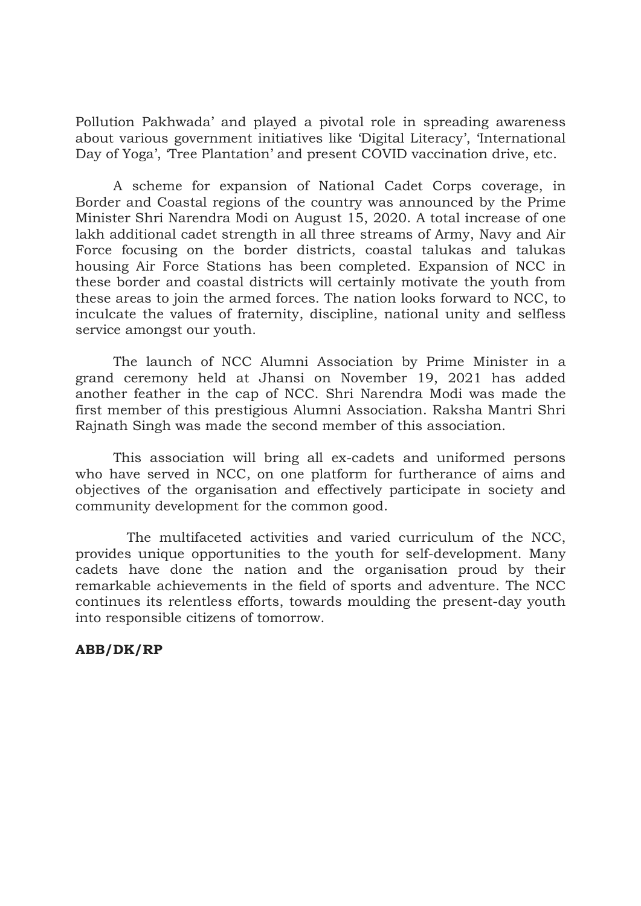Pollution Pakhwada' and played a pivotal role in spreading awareness about various government initiatives like 'Digital Literacy', 'International Day of Yoga', 'Tree Plantation' and present COVID vaccination drive, etc.

A scheme for expansion of National Cadet Corps coverage, in Border and Coastal regions of the country was announced by the Prime Minister Shri Narendra Modi on August 15, 2020. A total increase of one lakh additional cadet strength in all three streams of Army, Navy and Air Force focusing on the border districts, coastal talukas and talukas housing Air Force Stations has been completed. Expansion of NCC in these border and coastal districts will certainly motivate the youth from these areas to join the armed forces. The nation looks forward to NCC, to inculcate the values of fraternity, discipline, national unity and selfless service amongst our youth.

The launch of NCC Alumni Association by Prime Minister in a grand ceremony held at Jhansi on November 19, 2021 has added another feather in the cap of NCC. Shri Narendra Modi was made the first member of this prestigious Alumni Association. Raksha Mantri Shri Rajnath Singh was made the second member of this association.

This association will bring all ex-cadets and uniformed persons who have served in NCC, on one platform for furtherance of aims and objectives of the organisation and effectively participate in society and community development for the common good.

The multifaceted activities and varied curriculum of the NCC, provides unique opportunities to the youth for self-development. Many cadets have done the nation and the organisation proud by their remarkable achievements in the field of sports and adventure. The NCC continues its relentless efforts, towards moulding the present-day youth into responsible citizens of tomorrow.

## ABB/DK/RP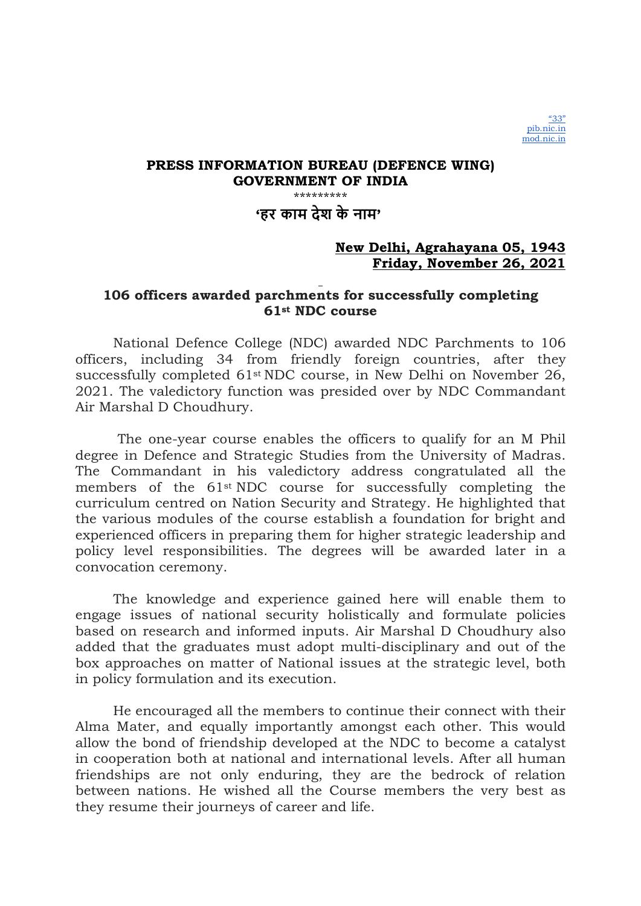# 'हर काम देश के नाम'

## New Delhi, Agrahayana 05, 1943 Friday, November 26, 2021

# 106 officers awarded parchments for successfully completing 61st NDC course

National Defence College (NDC) awarded NDC Parchments to 106 officers, including 34 from friendly foreign countries, after they successfully completed 61st NDC course, in New Delhi on November 26, 2021. The valedictory function was presided over by NDC Commandant Air Marshal D Choudhury.

 The one-year course enables the officers to qualify for an M Phil degree in Defence and Strategic Studies from the University of Madras. The Commandant in his valedictory address congratulated all the members of the 61st NDC course for successfully completing the curriculum centred on Nation Security and Strategy. He highlighted that the various modules of the course establish a foundation for bright and experienced officers in preparing them for higher strategic leadership and policy level responsibilities. The degrees will be awarded later in a convocation ceremony.

The knowledge and experience gained here will enable them to engage issues of national security holistically and formulate policies based on research and informed inputs. Air Marshal D Choudhury also added that the graduates must adopt multi-disciplinary and out of the box approaches on matter of National issues at the strategic level, both in policy formulation and its execution.

He encouraged all the members to continue their connect with their Alma Mater, and equally importantly amongst each other. This would allow the bond of friendship developed at the NDC to become a catalyst in cooperation both at national and international levels. After all human friendships are not only enduring, they are the bedrock of relation between nations. He wished all the Course members the very best as they resume their journeys of career and life.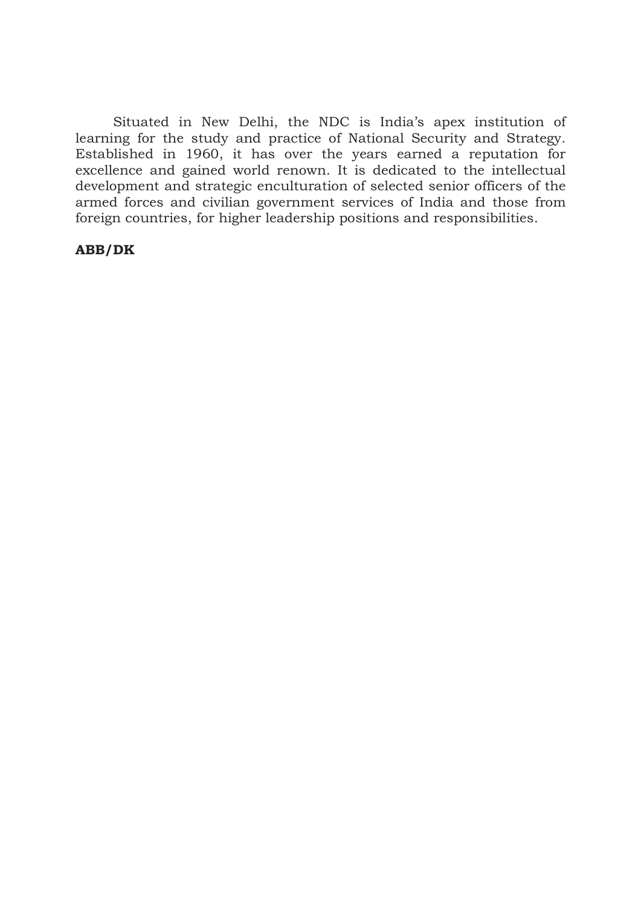Situated in New Delhi, the NDC is India's apex institution of learning for the study and practice of National Security and Strategy. Established in 1960, it has over the years earned a reputation for excellence and gained world renown. It is dedicated to the intellectual development and strategic enculturation of selected senior officers of the armed forces and civilian government services of India and those from foreign countries, for higher leadership positions and responsibilities.

### ABB/DK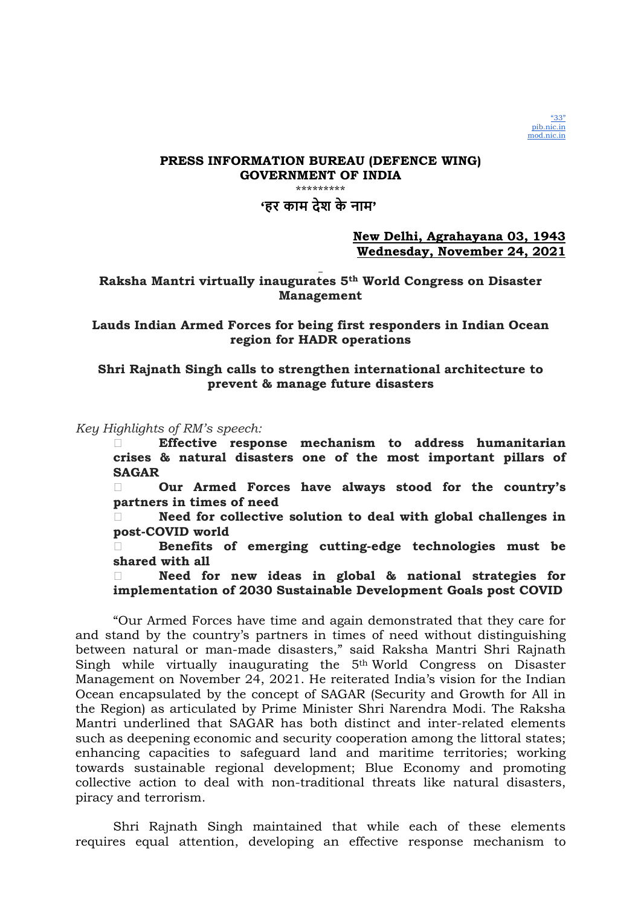

'हर काम देश के नाम'

### New Delhi, Agrahayana 03, 1943 Wednesday, November 24, 2021

Raksha Mantri virtually inaugurates 5th World Congress on Disaster Management

Lauds Indian Armed Forces for being first responders in Indian Ocean region for HADR operations

### Shri Rajnath Singh calls to strengthen international architecture to prevent & manage future disasters

Key Highlights of RM's speech:

 Effective response mechanism to address humanitarian crises & natural disasters one of the most important pillars of SAGAR

 Our Armed Forces have always stood for the country's partners in times of need

 Need for collective solution to deal with global challenges in post-COVID world

 Benefits of emerging cutting-edge technologies must be shared with all

 Need for new ideas in global & national strategies for implementation of 2030 Sustainable Development Goals post COVID

"Our Armed Forces have time and again demonstrated that they care for and stand by the country's partners in times of need without distinguishing between natural or man-made disasters," said Raksha Mantri Shri Rajnath Singh while virtually inaugurating the 5th World Congress on Disaster Management on November 24, 2021. He reiterated India's vision for the Indian Ocean encapsulated by the concept of SAGAR (Security and Growth for All in the Region) as articulated by Prime Minister Shri Narendra Modi. The Raksha Mantri underlined that SAGAR has both distinct and inter-related elements such as deepening economic and security cooperation among the littoral states; enhancing capacities to safeguard land and maritime territories; working towards sustainable regional development; Blue Economy and promoting collective action to deal with non-traditional threats like natural disasters, piracy and terrorism.

Shri Rajnath Singh maintained that while each of these elements requires equal attention, developing an effective response mechanism to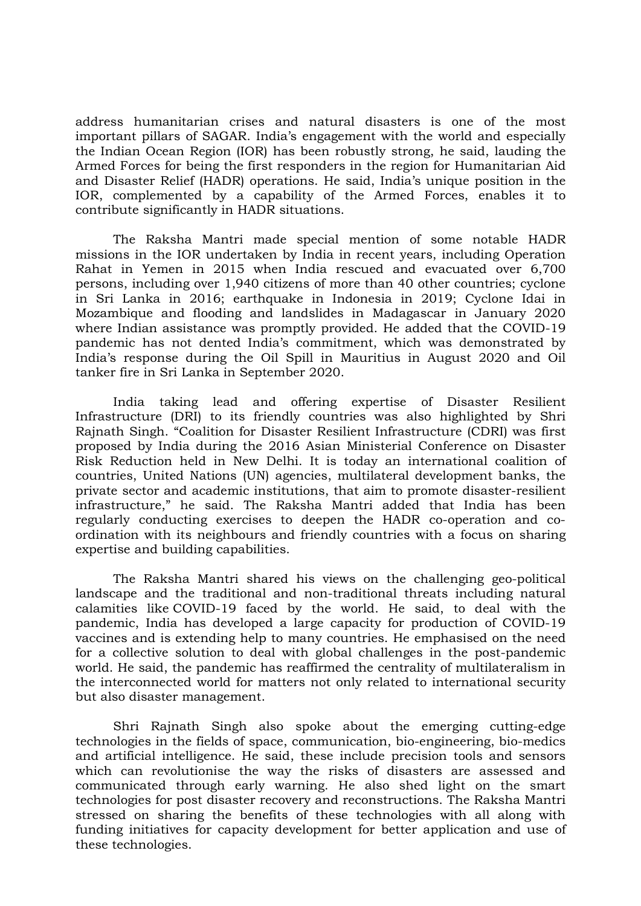address humanitarian crises and natural disasters is one of the most important pillars of SAGAR. India's engagement with the world and especially the Indian Ocean Region (IOR) has been robustly strong, he said, lauding the Armed Forces for being the first responders in the region for Humanitarian Aid and Disaster Relief (HADR) operations. He said, India's unique position in the IOR, complemented by a capability of the Armed Forces, enables it to contribute significantly in HADR situations.

The Raksha Mantri made special mention of some notable HADR missions in the IOR undertaken by India in recent years, including Operation Rahat in Yemen in 2015 when India rescued and evacuated over 6,700 persons, including over 1,940 citizens of more than 40 other countries; cyclone in Sri Lanka in 2016; earthquake in Indonesia in 2019; Cyclone Idai in Mozambique and flooding and landslides in Madagascar in January 2020 where Indian assistance was promptly provided. He added that the COVID-19 pandemic has not dented India's commitment, which was demonstrated by India's response during the Oil Spill in Mauritius in August 2020 and Oil tanker fire in Sri Lanka in September 2020.

India taking lead and offering expertise of Disaster Resilient Infrastructure (DRI) to its friendly countries was also highlighted by Shri Rajnath Singh. "Coalition for Disaster Resilient Infrastructure (CDRI) was first proposed by India during the 2016 Asian Ministerial Conference on Disaster Risk Reduction held in New Delhi. It is today an international coalition of countries, United Nations (UN) agencies, multilateral development banks, the private sector and academic institutions, that aim to promote disaster-resilient infrastructure," he said. The Raksha Mantri added that India has been regularly conducting exercises to deepen the HADR co-operation and coordination with its neighbours and friendly countries with a focus on sharing expertise and building capabilities.

The Raksha Mantri shared his views on the challenging geo-political landscape and the traditional and non-traditional threats including natural calamities like COVID-19 faced by the world. He said, to deal with the pandemic, India has developed a large capacity for production of COVID-19 vaccines and is extending help to many countries. He emphasised on the need for a collective solution to deal with global challenges in the post-pandemic world. He said, the pandemic has reaffirmed the centrality of multilateralism in the interconnected world for matters not only related to international security but also disaster management.

Shri Rajnath Singh also spoke about the emerging cutting-edge technologies in the fields of space, communication, bio-engineering, bio-medics and artificial intelligence. He said, these include precision tools and sensors which can revolutionise the way the risks of disasters are assessed and communicated through early warning. He also shed light on the smart technologies for post disaster recovery and reconstructions. The Raksha Mantri stressed on sharing the benefits of these technologies with all along with funding initiatives for capacity development for better application and use of these technologies.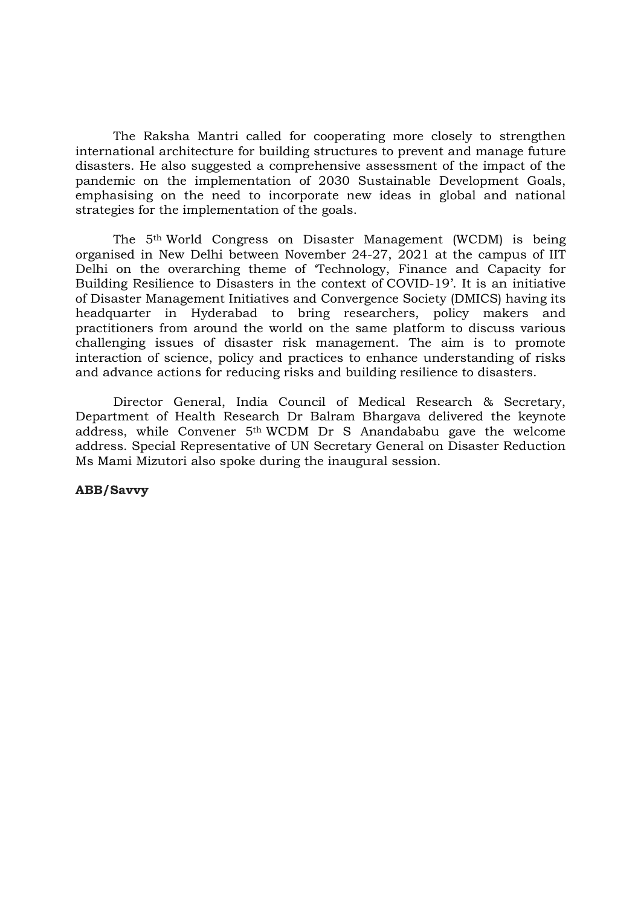The Raksha Mantri called for cooperating more closely to strengthen international architecture for building structures to prevent and manage future disasters. He also suggested a comprehensive assessment of the impact of the pandemic on the implementation of 2030 Sustainable Development Goals, emphasising on the need to incorporate new ideas in global and national strategies for the implementation of the goals.

The 5th World Congress on Disaster Management (WCDM) is being organised in New Delhi between November 24-27, 2021 at the campus of IIT Delhi on the overarching theme of 'Technology, Finance and Capacity for Building Resilience to Disasters in the context of COVID-19'. It is an initiative of Disaster Management Initiatives and Convergence Society (DMICS) having its headquarter in Hyderabad to bring researchers, policy makers and practitioners from around the world on the same platform to discuss various challenging issues of disaster risk management. The aim is to promote interaction of science, policy and practices to enhance understanding of risks and advance actions for reducing risks and building resilience to disasters.

Director General, India Council of Medical Research & Secretary, Department of Health Research Dr Balram Bhargava delivered the keynote address, while Convener 5th WCDM Dr S Anandababu gave the welcome address. Special Representative of UN Secretary General on Disaster Reduction Ms Mami Mizutori also spoke during the inaugural session.

ABB/Savvy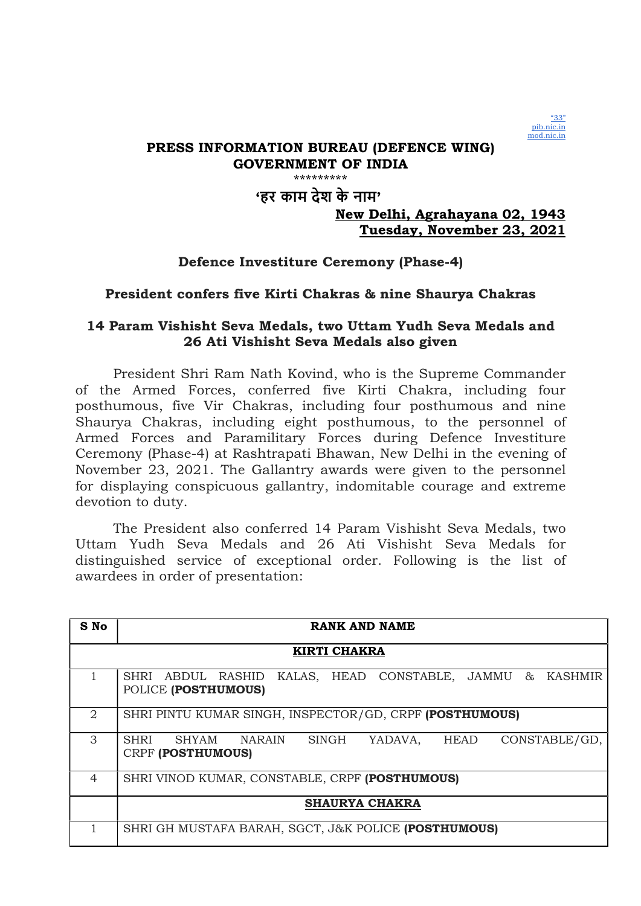

# 'हर काम देश के नाम'

# New Delhi, Agrahayana 02, 1943 Tuesday, November 23, 2021

# Defence Investiture Ceremony (Phase-4)

## President confers five Kirti Chakras & nine Shaurya Chakras

# 14 Param Vishisht Seva Medals, two Uttam Yudh Seva Medals and 26 Ati Vishisht Seva Medals also given

President Shri Ram Nath Kovind, who is the Supreme Commander of the Armed Forces, conferred five Kirti Chakra, including four posthumous, five Vir Chakras, including four posthumous and nine Shaurya Chakras, including eight posthumous, to the personnel of Armed Forces and Paramilitary Forces during Defence Investiture Ceremony (Phase-4) at Rashtrapati Bhawan, New Delhi in the evening of November 23, 2021. The Gallantry awards were given to the personnel for displaying conspicuous gallantry, indomitable courage and extreme devotion to duty.

The President also conferred 14 Param Vishisht Seva Medals, two Uttam Yudh Seva Medals and 26 Ati Vishisht Seva Medals for distinguished service of exceptional order. Following is the list of awardees in order of presentation:

| S No                  | RANK AND NAME                                                                              |
|-----------------------|--------------------------------------------------------------------------------------------|
|                       | <b>KIRTI CHAKRA</b>                                                                        |
|                       | KALAS, HEAD CONSTABLE, JAMMU & KASHMIR<br>SHRI ABDUL RASHID<br>POLICE (POSTHUMOUS)         |
| $\mathcal{D}_{\cdot}$ | SHRI PINTU KUMAR SINGH, INSPECTOR/GD, CRPF (POSTHUMOUS)                                    |
| 3                     | SHYAM NARAIN<br>CONSTABLE/GD,<br><b>SHRI</b><br>SINGH<br>YADAVA, HEAD<br>CRPF (POSTHUMOUS) |
| $\overline{4}$        | SHRI VINOD KUMAR, CONSTABLE, CRPF (POSTHUMOUS)                                             |
|                       | <b>SHAURYA CHAKRA</b>                                                                      |
|                       | SHRI GH MUSTAFA BARAH, SGCT, J&K POLICE (POSTHUMOUS)                                       |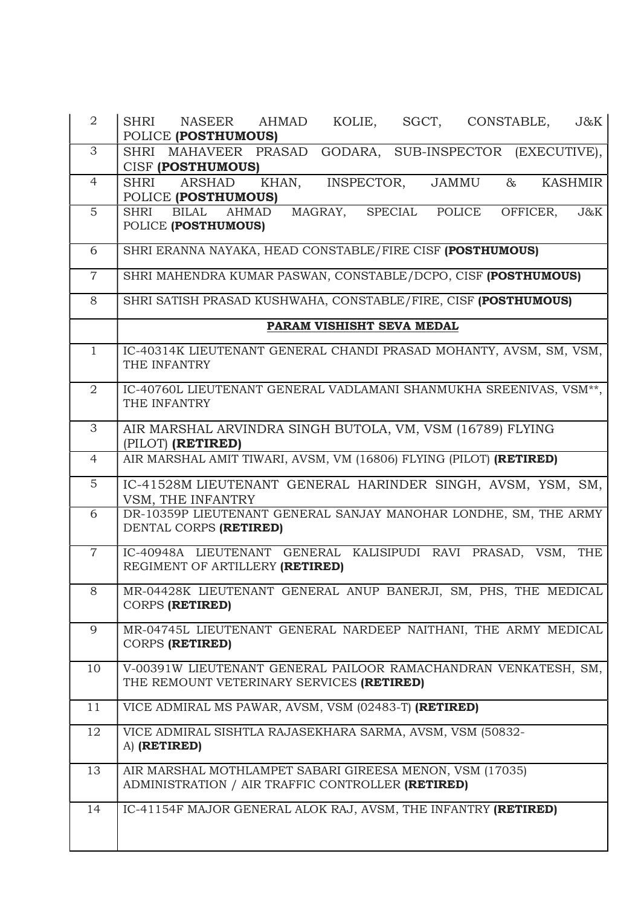| $\overline{2}$ | <b>SHRI</b><br>$J\&K$<br><b>NASEER</b><br><b>AHMAD</b><br>KOLIE,<br>SGCT,<br>CONSTABLE,<br>POLICE (POSTHUMOUS)        |
|----------------|-----------------------------------------------------------------------------------------------------------------------|
| 3              | SUB-INSPECTOR (EXECUTIVE),<br><b>SHRI</b><br>MAHAVEER PRASAD<br>GODARA,<br>CISF (POSTHUMOUS)                          |
| $\overline{4}$ | <b>ARSHAD</b><br>INSPECTOR,<br><b>JAMMU</b><br>$\&$<br><b>KASHMIR</b><br><b>SHRI</b><br>KHAN,<br>POLICE (POSTHUMOUS)  |
| 5              | MAGRAY,<br>SPECIAL<br>POLICE<br>OFFICER,<br>J&K<br><b>SHRI</b><br><b>BILAL</b><br><b>AHMAD</b><br>POLICE (POSTHUMOUS) |
| 6              | SHRI ERANNA NAYAKA, HEAD CONSTABLE/FIRE CISF (POSTHUMOUS)                                                             |
| $\overline{7}$ | SHRI MAHENDRA KUMAR PASWAN, CONSTABLE/DCPO, CISF (POSTHUMOUS)                                                         |
| 8              | SHRI SATISH PRASAD KUSHWAHA, CONSTABLE/FIRE, CISF (POSTHUMOUS)                                                        |
|                | PARAM VISHISHT SEVA MEDAL                                                                                             |
| $\overline{1}$ | IC-40314K LIEUTENANT GENERAL CHANDI PRASAD MOHANTY, AVSM, SM, VSM,<br>THE INFANTRY                                    |
| 2              | IC-40760L LIEUTENANT GENERAL VADLAMANI SHANMUKHA SREENIVAS, VSM <sup>**</sup> ,<br>THE INFANTRY                       |
| 3              | AIR MARSHAL ARVINDRA SINGH BUTOLA, VM, VSM (16789) FLYING<br>(PILOT) (RETIRED)                                        |
| $\overline{4}$ | AIR MARSHAL AMIT TIWARI, AVSM, VM (16806) FLYING (PILOT) (RETIRED)                                                    |
| 5              | IC-41528M LIEUTENANT GENERAL HARINDER SINGH, AVSM, YSM, SM,<br>VSM, THE INFANTRY                                      |
| 6              | DR-10359P LIEUTENANT GENERAL SANJAY MANOHAR LONDHE, SM, THE ARMY<br>DENTAL CORPS (RETIRED)                            |
| $\overline{7}$ | IC-40948A LIEUTENANT GENERAL KALISIPUDI RAVI PRASAD, VSM,<br><b>THE</b><br>REGIMENT OF ARTILLERY (RETIRED)            |
| $8\,$          | MR-04428K LIEUTENANT GENERAL ANUP BANERJI, SM, PHS, THE MEDICAL<br><b>CORPS (RETIRED)</b>                             |
| 9              | MR-04745L LIEUTENANT GENERAL NARDEEP NAITHANI, THE ARMY MEDICAL<br><b>CORPS (RETIRED)</b>                             |
| 10             | V-00391W LIEUTENANT GENERAL PAILOOR RAMACHANDRAN VENKATESH, SM,<br>THE REMOUNT VETERINARY SERVICES (RETIRED)          |
| 11             | VICE ADMIRAL MS PAWAR, AVSM, VSM (02483-T) (RETIRED)                                                                  |
| 12             | VICE ADMIRAL SISHTLA RAJASEKHARA SARMA, AVSM, VSM (50832-<br>A) (RETIRED)                                             |
| 13             | AIR MARSHAL MOTHLAMPET SABARI GIREESA MENON, VSM (17035)<br>ADMINISTRATION / AIR TRAFFIC CONTROLLER (RETIRED)         |
| 14             | IC-41154F MAJOR GENERAL ALOK RAJ, AVSM, THE INFANTRY (RETIRED)                                                        |

Π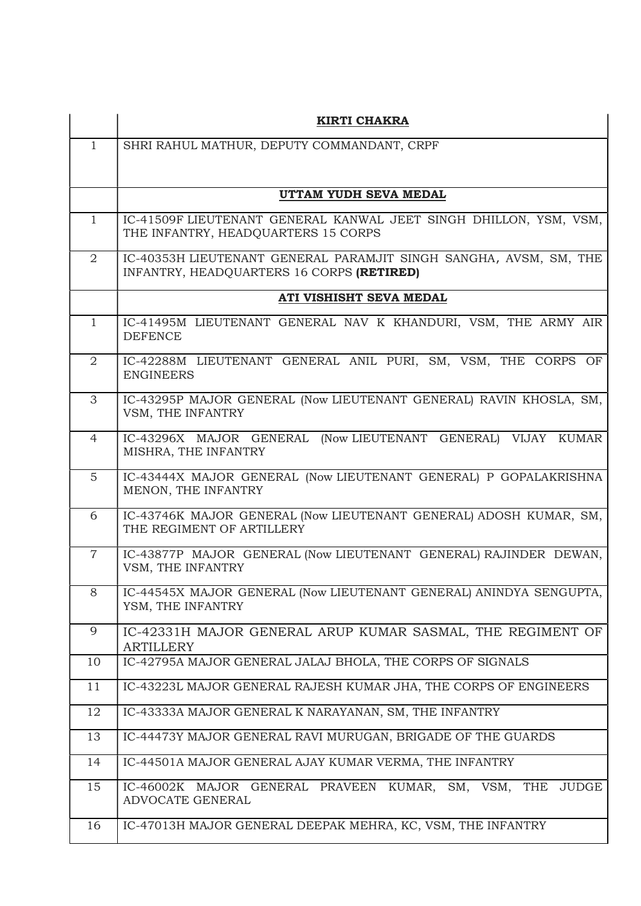|                | <b>KIRTI CHAKRA</b>                                                                                            |
|----------------|----------------------------------------------------------------------------------------------------------------|
| $\mathbf{1}$   | SHRI RAHUL MATHUR, DEPUTY COMMANDANT, CRPF                                                                     |
|                |                                                                                                                |
|                | UTTAM YUDH SEVA MEDAL                                                                                          |
|                |                                                                                                                |
| $\mathbf{1}$   | IC-41509F LIEUTENANT GENERAL KANWAL JEET SINGH DHILLON, YSM, VSM,<br>THE INFANTRY, HEADQUARTERS 15 CORPS       |
| $\overline{2}$ | IC-40353H LIEUTENANT GENERAL PARAMJIT SINGH SANGHA, AVSM, SM, THE<br>INFANTRY, HEADQUARTERS 16 CORPS (RETIRED) |
|                | ATI VISHISHT SEVA MEDAL                                                                                        |
| $\mathbf{1}$   | IC-41495M LIEUTENANT GENERAL NAV K KHANDURI, VSM, THE ARMY AIR<br><b>DEFENCE</b>                               |
| $\overline{2}$ | IC-42288M LIEUTENANT GENERAL ANIL PURI, SM, VSM, THE CORPS OF<br><b>ENGINEERS</b>                              |
| 3              | IC-43295P MAJOR GENERAL (Now LIEUTENANT GENERAL) RAVIN KHOSLA, SM,<br>VSM, THE INFANTRY                        |
| $\overline{4}$ | (Now LIEUTENANT GENERAL)<br>IC-43296X MAJOR GENERAL<br>VIJAY<br>KUMAR<br>MISHRA, THE INFANTRY                  |
| $\overline{5}$ | IC-43444X MAJOR GENERAL (Now LIEUTENANT GENERAL) P GOPALAKRISHNA<br>MENON, THE INFANTRY                        |
| 6              | IC-43746K MAJOR GENERAL (Now LIEUTENANT GENERAL) ADOSH KUMAR, SM,<br>THE REGIMENT OF ARTILLERY                 |
| $\overline{7}$ | IC-43877P MAJOR GENERAL (Now LIEUTENANT GENERAL) RAJINDER DEWAN,<br>VSM, THE INFANTRY                          |
| 8              | IC-44545X MAJOR GENERAL (Now LIEUTENANT GENERAL) ANINDYA SENGUPTA,<br>YSM, THE INFANTRY                        |
| 9              | IC-42331H MAJOR GENERAL ARUP KUMAR SASMAL, THE REGIMENT OF<br><b>ARTILLERY</b>                                 |
| 10             | IC-42795A MAJOR GENERAL JALAJ BHOLA, THE CORPS OF SIGNALS                                                      |
| 11             | IC-43223L MAJOR GENERAL RAJESH KUMAR JHA, THE CORPS OF ENGINEERS                                               |
| 12             | IC-43333A MAJOR GENERAL K NARAYANAN, SM, THE INFANTRY                                                          |
| 13             | IC-44473Y MAJOR GENERAL RAVI MURUGAN, BRIGADE OF THE GUARDS                                                    |
| 14             | IC-44501A MAJOR GENERAL AJAY KUMAR VERMA, THE INFANTRY                                                         |
| 15             | IC-46002K MAJOR GENERAL PRAVEEN<br><b>JUDGE</b><br>KUMAR, SM, VSM,<br>THE<br>ADVOCATE GENERAL                  |
| 16             | IC-47013H MAJOR GENERAL DEEPAK MEHRA, KC, VSM, THE INFANTRY                                                    |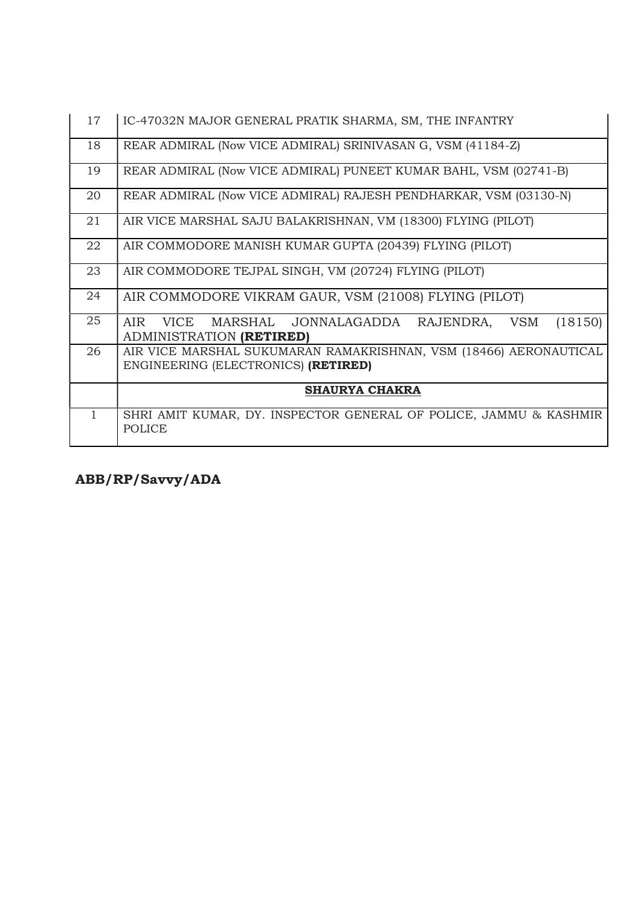| 17           | IC-47032N MAJOR GENERAL PRATIK SHARMA, SM, THE INFANTRY                                                  |
|--------------|----------------------------------------------------------------------------------------------------------|
| 18           | REAR ADMIRAL (Now VICE ADMIRAL) SRINIVASAN G, VSM (41184-Z)                                              |
| 19           | REAR ADMIRAL (Now VICE ADMIRAL) PUNEET KUMAR BAHL, VSM (02741-B)                                         |
| 20           | REAR ADMIRAL (Now VICE ADMIRAL) RAJESH PENDHARKAR, VSM (03130-N)                                         |
| 21           | AIR VICE MARSHAL SAJU BALAKRISHNAN, VM (18300) FLYING (PILOT)                                            |
| 22           | AIR COMMODORE MANISH KUMAR GUPTA (20439) FLYING (PILOT)                                                  |
| 23           | AIR COMMODORE TEJPAL SINGH, VM (20724) FLYING (PILOT)                                                    |
| 24           | AIR COMMODORE VIKRAM GAUR, VSM (21008) FLYING (PILOT)                                                    |
| 25           | (18150)<br>AIR.<br>VICE MARSHAL JONNALAGADDA RAJENDRA, VSM<br>ADMINISTRATION (RETIRED)                   |
| 26           | AIR VICE MARSHAL SUKUMARAN RAMAKRISHNAN, VSM (18466) AERONAUTICAL<br>ENGINEERING (ELECTRONICS) (RETIRED) |
|              | <b>SHAURYA CHAKRA</b>                                                                                    |
| $\mathbf{1}$ | SHRI AMIT KUMAR, DY. INSPECTOR GENERAL OF POLICE, JAMMU & KASHMIR<br><b>POLICE</b>                       |

ABB/RP/Savvy/ADA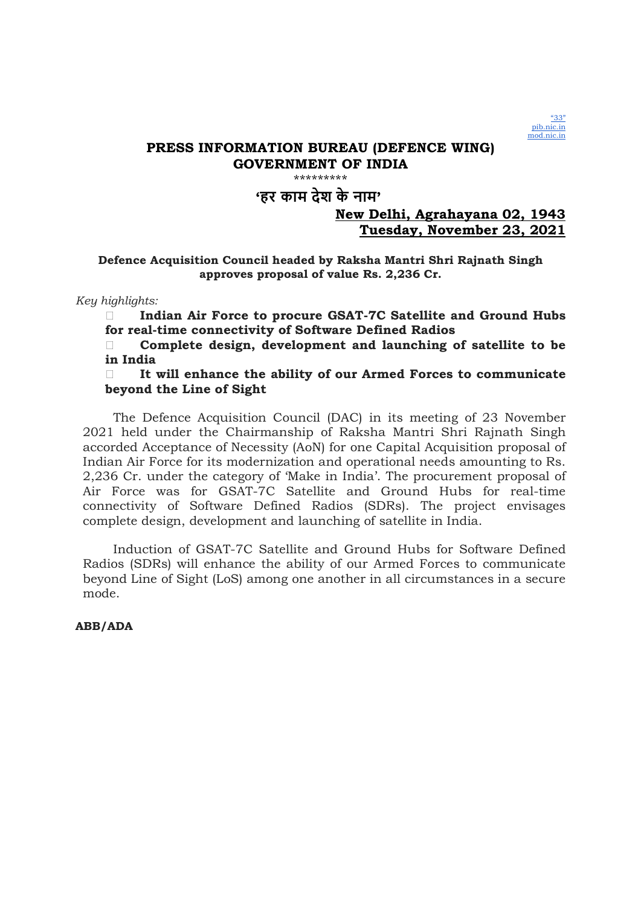

#### \*\*\*\*\*\*\*\*

# 'हर काम देश के नाम'

### New Delhi, Agrahayana 02, 1943 Tuesday, November 23, 2021

### Defence Acquisition Council headed by Raksha Mantri Shri Rajnath Singh approves proposal of value Rs. 2,236 Cr.

Key highlights:

Indian Air Force to procure GSAT-7C Satellite and Ground Hubs for real-time connectivity of Software Defined Radios

 $\Box$  Complete design, development and launching of satellite to be in India

 $\Box$  It will enhance the ability of our Armed Forces to communicate beyond the Line of Sight

The Defence Acquisition Council (DAC) in its meeting of 23 November 2021 held under the Chairmanship of Raksha Mantri Shri Rajnath Singh accorded Acceptance of Necessity (AoN) for one Capital Acquisition proposal of Indian Air Force for its modernization and operational needs amounting to Rs. 2,236 Cr. under the category of 'Make in India'. The procurement proposal of Air Force was for GSAT-7C Satellite and Ground Hubs for real-time connectivity of Software Defined Radios (SDRs). The project envisages complete design, development and launching of satellite in India.

Induction of GSAT-7C Satellite and Ground Hubs for Software Defined Radios (SDRs) will enhance the ability of our Armed Forces to communicate beyond Line of Sight (LoS) among one another in all circumstances in a secure mode.

ABB/ADA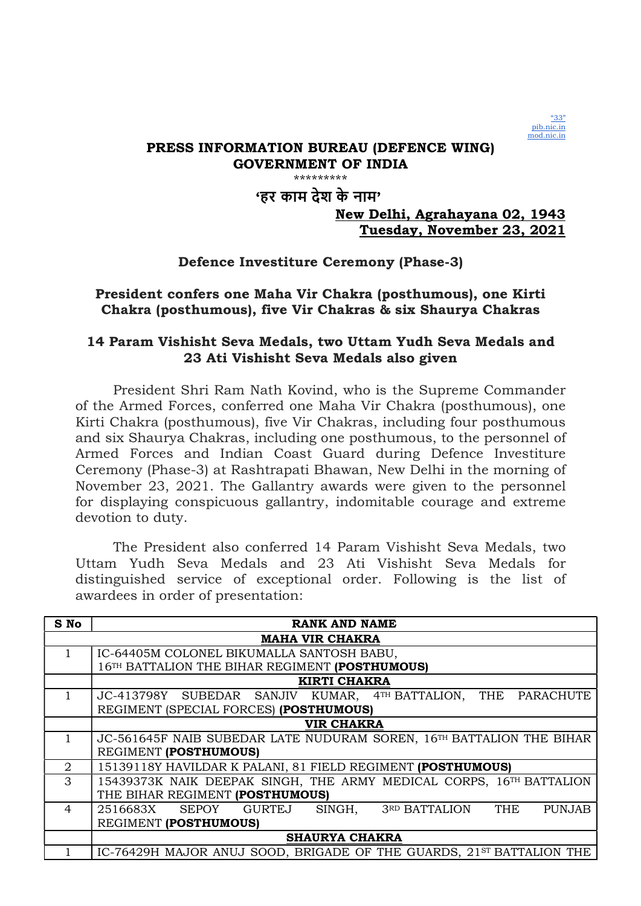

# 'हर काम देश के नाम'

## New Delhi, Agrahayana 02, 1943 Tuesday, November 23, 2021

# Defence Investiture Ceremony (Phase-3)

# President confers one Maha Vir Chakra (posthumous), one Kirti Chakra (posthumous), five Vir Chakras & six Shaurya Chakras

## 14 Param Vishisht Seva Medals, two Uttam Yudh Seva Medals and 23 Ati Vishisht Seva Medals also given

President Shri Ram Nath Kovind, who is the Supreme Commander of the Armed Forces, conferred one Maha Vir Chakra (posthumous), one Kirti Chakra (posthumous), five Vir Chakras, including four posthumous and six Shaurya Chakras, including one posthumous, to the personnel of Armed Forces and Indian Coast Guard during Defence Investiture Ceremony (Phase-3) at Rashtrapati Bhawan, New Delhi in the morning of November 23, 2021. The Gallantry awards were given to the personnel for displaying conspicuous gallantry, indomitable courage and extreme devotion to duty.

The President also conferred 14 Param Vishisht Seva Medals, two Uttam Yudh Seva Medals and 23 Ati Vishisht Seva Medals for distinguished service of exceptional order. Following is the list of awardees in order of presentation:

| S No                  | <b>RANK AND NAME</b>                                                             |
|-----------------------|----------------------------------------------------------------------------------|
|                       | <b>MAHA VIR CHAKRA</b>                                                           |
|                       | IC-64405M COLONEL BIKUMALLA SANTOSH BABU,                                        |
|                       | 16TH BATTALION THE BIHAR REGIMENT (POSTHUMOUS)                                   |
|                       | <b>KIRTI CHAKRA</b>                                                              |
|                       | JC-413798Y SUBEDAR SANJIV KUMAR, 4TH BATTALION, THE PARACHUTE                    |
|                       | REGIMENT (SPECIAL FORCES) (POSTHUMOUS)                                           |
|                       | <b>VIR CHAKRA</b>                                                                |
|                       | JC-561645F NAIB SUBEDAR LATE NUDURAM SOREN, 16 <sup>TH</sup> BATTALION THE BIHAR |
|                       | REGIMENT (POSTHUMOUS)                                                            |
| $\mathcal{D}_{\cdot}$ | 15139118Y HAVILDAR K PALANI, 81 FIELD REGIMENT (POSTHUMOUS)                      |
| 3                     | 15439373K NAIK DEEPAK SINGH, THE ARMY MEDICAL CORPS, 16TH BATTALION              |
|                       | THE BIHAR REGIMENT (POSTHUMOUS)                                                  |
| 4                     | THE<br>2516683X SEPOY GURTEJ<br>SINGH,<br>3RD BATTALION<br><b>PUNJAB</b>         |
|                       | REGIMENT (POSTHUMOUS)                                                            |
|                       | <b>SHAURYA CHAKRA</b>                                                            |
|                       | IC-76429H MAJOR ANUJ SOOD, BRIGADE OF THE GUARDS, 21ST BATTALION THE             |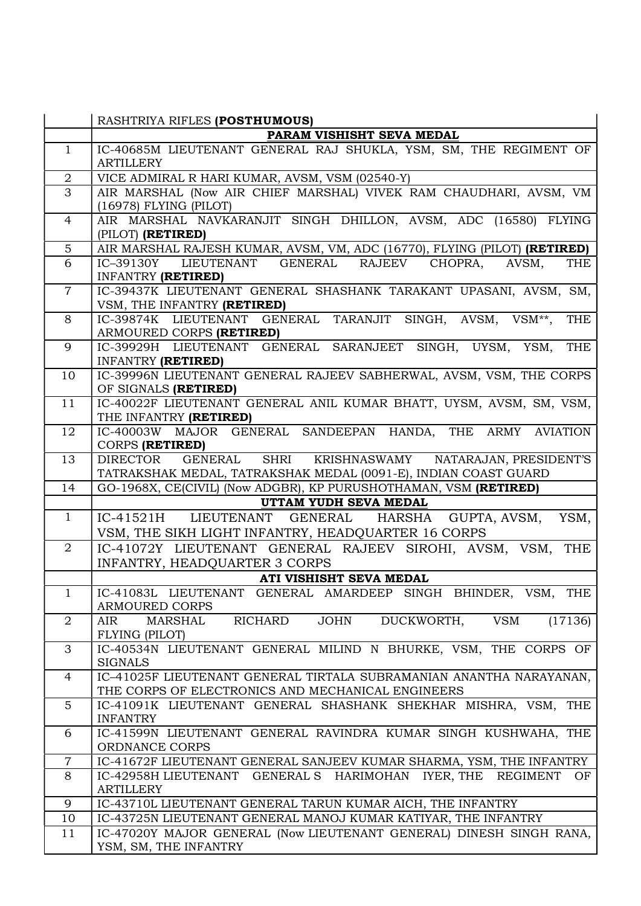|                | RASHTRIYA RIFLES (POSTHUMOUS)                                                                                                          |
|----------------|----------------------------------------------------------------------------------------------------------------------------------------|
|                | PARAM VISHISHT SEVA MEDAL                                                                                                              |
| $\mathbf{1}$   | IC-40685M LIEUTENANT GENERAL RAJ SHUKLA, YSM, SM, THE REGIMENT OF<br><b>ARTILLERY</b>                                                  |
| $\overline{2}$ | VICE ADMIRAL R HARI KUMAR, AVSM, VSM (02540-Y)                                                                                         |
| $\overline{3}$ | AIR MARSHAL (Now AIR CHIEF MARSHAL) VIVEK RAM CHAUDHARI, AVSM, VM<br>(16978) FLYING (PILOT)                                            |
| $\overline{4}$ | AIR MARSHAL NAVKARANJIT SINGH DHILLON, AVSM, ADC (16580) FLYING<br>(PILOT) (RETIRED)                                                   |
| $\overline{5}$ | AIR MARSHAL RAJESH KUMAR, AVSM, VM, ADC (16770), FLYING (PILOT) (RETIRED)                                                              |
| 6              | THE<br>IC-39130Y LIEUTENANT GENERAL RAJEEV<br>CHOPRA,<br>AVSM,<br><b>INFANTRY (RETIRED)</b>                                            |
| $\overline{7}$ | IC-39437K LIEUTENANT GENERAL SHASHANK TARAKANT UPASANI, AVSM, SM,<br>VSM, THE INFANTRY (RETIRED)                                       |
| 8              | IC-39874K LIEUTENANT GENERAL TARANJIT SINGH, AVSM, VSM**,<br>THE<br>ARMOURED CORPS (RETIRED)                                           |
| 9              | IC-39929H LIEUTENANT GENERAL SARANJEET SINGH, UYSM, YSM,<br>THE<br><b>INFANTRY (RETIRED)</b>                                           |
| 10             | IC-39996N LIEUTENANT GENERAL RAJEEV SABHERWAL, AVSM, VSM, THE CORPS<br>OF SIGNALS (RETIRED)                                            |
| 11             | IC-40022F LIEUTENANT GENERAL ANIL KUMAR BHATT, UYSM, AVSM, SM, VSM,<br>THE INFANTRY (RETIRED)                                          |
| 12             | IC-40003W MAJOR GENERAL SANDEEPAN HANDA, THE ARMY AVIATION<br>CORPS (RETIRED)                                                          |
| 13             | GENERAL SHRI KRISHNASWAMY NATARAJAN, PRESIDENT'S<br>DIRECTOR<br>TATRAKSHAK MEDAL, TATRAKSHAK MEDAL (0091-E), INDIAN COAST GUARD        |
|                |                                                                                                                                        |
| 14             | GO-1968X, CE(CIVIL) (Now ADGBR), KP PURUSHOTHAMAN, VSM (RETIRED)                                                                       |
|                | UTTAM YUDH SEVA MEDAL                                                                                                                  |
| $\mathbf{1}$   |                                                                                                                                        |
|                | YSM,<br>IC-41521H LIEUTENANT GENERAL HARSHA GUPTA, AVSM,<br>VSM, THE SIKH LIGHT INFANTRY, HEADQUARTER 16 CORPS                         |
| $\overline{2}$ |                                                                                                                                        |
|                | IC-41072Y LIEUTENANT GENERAL RAJEEV SIROHI, AVSM, VSM, THE<br><b>INFANTRY, HEADQUARTER 3 CORPS</b>                                     |
|                | ATI VISHISHT SEVA MEDAL                                                                                                                |
| $\mathbf{1}$   | IC-41083L LIEUTENANT GENERAL AMARDEEP SINGH BHINDER,<br>VSM,<br><b>THE</b><br>ARMOURED CORPS                                           |
| $\overline{2}$ | JOHN DUCKWORTH, VSM<br>RICHARD<br>(17136)<br>MARSHAL<br>AIR<br>FLYING (PILOT)                                                          |
| 3              | IC-40534N LIEUTENANT GENERAL MILIND N BHURKE, VSM, THE CORPS OF<br><b>SIGNALS</b>                                                      |
| $\overline{4}$ | IC-41025F LIEUTENANT GENERAL TIRTALA SUBRAMANIAN ANANTHA NARAYANAN,<br>THE CORPS OF ELECTRONICS AND MECHANICAL ENGINEERS               |
| 5              | IC-41091K LIEUTENANT GENERAL SHASHANK SHEKHAR MISHRA, VSM, THE<br><b>INFANTRY</b>                                                      |
| 6              | IC-41599N LIEUTENANT GENERAL RAVINDRA KUMAR SINGH KUSHWAHA, THE<br>ORDNANCE CORPS                                                      |
| $\overline{7}$ |                                                                                                                                        |
| 8              | IC-41672F LIEUTENANT GENERAL SANJEEV KUMAR SHARMA, YSM, THE INFANTRY<br>IC-42958H LIEUTENANT GENERAL S HARIMOHAN IYER, THE REGIMENT OF |
| 9              | <b>ARTILLERY</b>                                                                                                                       |
| 10             | IC-43710L LIEUTENANT GENERAL TARUN KUMAR AICH, THE INFANTRY<br>IC-43725N LIEUTENANT GENERAL MANOJ KUMAR KATIYAR, THE INFANTRY          |
| 11             | IC-47020Y MAJOR GENERAL (Now LIEUTENANT GENERAL) DINESH SINGH RANA,                                                                    |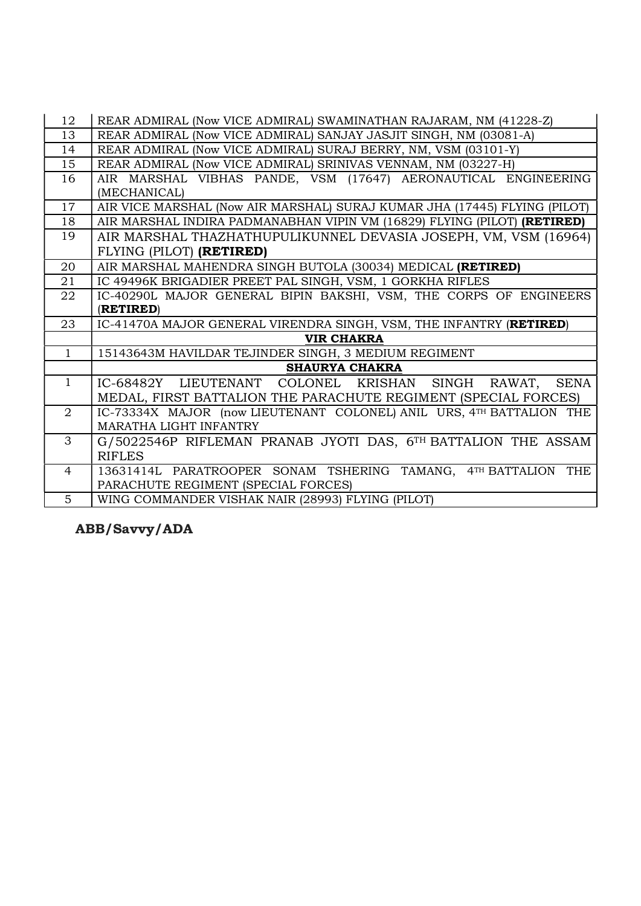| 12              | REAR ADMIRAL (Now VICE ADMIRAL) SWAMINATHAN RAJARAM, NM (41228-Z)         |
|-----------------|---------------------------------------------------------------------------|
| 13              | REAR ADMIRAL (Now VICE ADMIRAL) SANJAY JASJIT SINGH, NM (03081-A)         |
| 14              | REAR ADMIRAL (Now VICE ADMIRAL) SURAJ BERRY, NM, VSM (03101-Y)            |
| 15              | REAR ADMIRAL (Now VICE ADMIRAL) SRINIVAS VENNAM, NM (03227-H)             |
| 16              | AIR MARSHAL VIBHAS PANDE, VSM (17647) AERONAUTICAL ENGINEERING            |
|                 | (MECHANICAL)                                                              |
| 17              | AIR VICE MARSHAL (Now AIR MARSHAL) SURAJ KUMAR JHA (17445) FLYING (PILOT) |
| 18              | AIR MARSHAL INDIRA PADMANABHAN VIPIN VM (16829) FLYING (PILOT) (RETIRED)  |
| 19              | AIR MARSHAL THAZHATHUPULIKUNNEL DEVASIA JOSEPH, VM, VSM (16964)           |
|                 | FLYING (PILOT) (RETIRED)                                                  |
| 20              | AIR MARSHAL MAHENDRA SINGH BUTOLA (30034) MEDICAL (RETIRED)               |
| 21              | IC 49496K BRIGADIER PREET PAL SINGH, VSM, 1 GORKHA RIFLES                 |
| 22              | IC-40290L MAJOR GENERAL BIPIN BAKSHI, VSM, THE CORPS OF ENGINEERS         |
|                 | (RETIRED)                                                                 |
| 23              | IC-41470A MAJOR GENERAL VIRENDRA SINGH, VSM, THE INFANTRY (RETIRED)       |
|                 | <b>VIR CHAKRA</b>                                                         |
| $\mathbf{1}$    | 15143643M HAVILDAR TEJINDER SINGH, 3 MEDIUM REGIMENT                      |
|                 | <b>SHAURYA CHAKRA</b>                                                     |
| $\mathbf{1}$    | IC-68482Y LIEUTENANT COLONEL KRISHAN SINGH RAWAT, SENA                    |
|                 | MEDAL, FIRST BATTALION THE PARACHUTE REGIMENT (SPECIAL FORCES)            |
| $\overline{2}$  | IC-73334X MAJOR (now LIEUTENANT COLONEL) ANIL URS, 4TH BATTALION THE      |
|                 | MARATHA LIGHT INFANTRY                                                    |
| 3               | G/5022546P RIFLEMAN PRANAB JYOTI DAS, 6TH BATTALION THE ASSAM             |
|                 | <b>RIFLES</b>                                                             |
| $\overline{4}$  | 13631414L PARATROOPER SONAM TSHERING TAMANG, 4TH BATTALION THE            |
|                 | PARACHUTE REGIMENT (SPECIAL FORCES)                                       |
| $5\overline{)}$ | WING COMMANDER VISHAK NAIR (28993) FLYING (PILOT)                         |

ABB/Savvy/ADA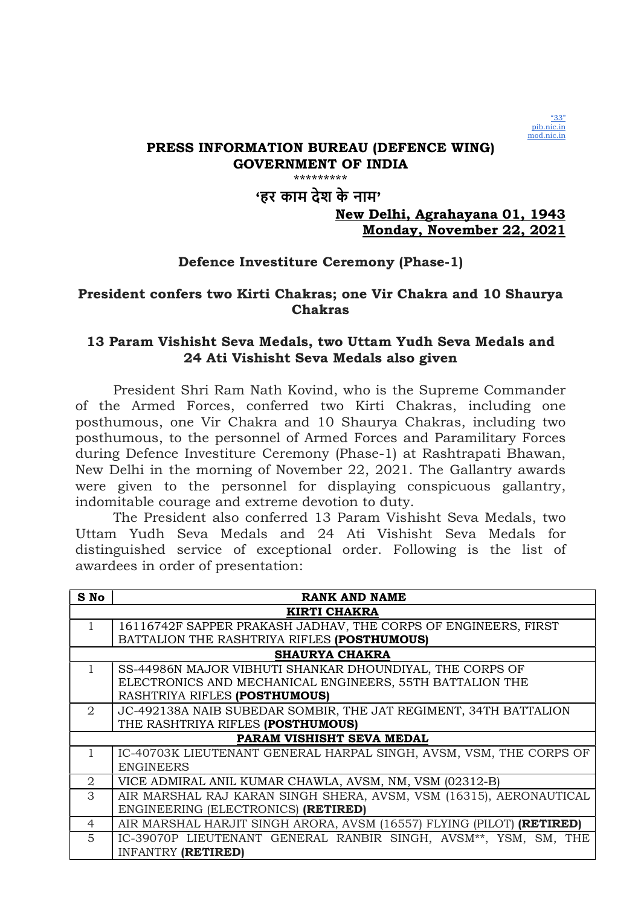

# 'हर काम देश के नाम'

# New Delhi, Agrahayana 01, 1943 Monday, November 22, 2021

# Defence Investiture Ceremony (Phase-1)

# President confers two Kirti Chakras; one Vir Chakra and 10 Shaurya Chakras

## 13 Param Vishisht Seva Medals, two Uttam Yudh Seva Medals and 24 Ati Vishisht Seva Medals also given

President Shri Ram Nath Kovind, who is the Supreme Commander of the Armed Forces, conferred two Kirti Chakras, including one posthumous, one Vir Chakra and 10 Shaurya Chakras, including two posthumous, to the personnel of Armed Forces and Paramilitary Forces during Defence Investiture Ceremony (Phase-1) at Rashtrapati Bhawan, New Delhi in the morning of November 22, 2021. The Gallantry awards were given to the personnel for displaying conspicuous gallantry, indomitable courage and extreme devotion to duty.

The President also conferred 13 Param Vishisht Seva Medals, two Uttam Yudh Seva Medals and 24 Ati Vishisht Seva Medals for distinguished service of exceptional order. Following is the list of awardees in order of presentation:

| S No                  | <b>RANK AND NAME</b>                                                  |  |
|-----------------------|-----------------------------------------------------------------------|--|
|                       | <b>KIRTI CHAKRA</b>                                                   |  |
|                       | 16116742F SAPPER PRAKASH JADHAV, THE CORPS OF ENGINEERS, FIRST        |  |
|                       | BATTALION THE RASHTRIYA RIFLES (POSTHUMOUS)                           |  |
|                       | <b>SHAURYA CHAKRA</b>                                                 |  |
| $\mathbf{1}$          | SS-44986N MAJOR VIBHUTI SHANKAR DHOUNDIYAL, THE CORPS OF              |  |
|                       | ELECTRONICS AND MECHANICAL ENGINEERS, 55TH BATTALION THE              |  |
|                       | RASHTRIYA RIFLES (POSTHUMOUS)                                         |  |
| $\overline{2}$        | JC-492138A NAIB SUBEDAR SOMBIR, THE JAT REGIMENT, 34TH BATTALION      |  |
|                       | THE RASHTRIYA RIFLES (POSTHUMOUS)                                     |  |
|                       | PARAM VISHISHT SEVA MEDAL                                             |  |
|                       | IC-40703K LIEUTENANT GENERAL HARPAL SINGH, AVSM, VSM, THE CORPS OF    |  |
|                       | <b>ENGINEERS</b>                                                      |  |
| $\mathcal{D}_{\cdot}$ | VICE ADMIRAL ANIL KUMAR CHAWLA, AVSM, NM, VSM (02312-B)               |  |
| 3                     | AIR MARSHAL RAJ KARAN SINGH SHERA, AVSM, VSM (16315), AERONAUTICAL    |  |
|                       | ENGINEERING (ELECTRONICS) (RETIRED)                                   |  |
| $\overline{4}$        | AIR MARSHAL HARJIT SINGH ARORA, AVSM (16557) FLYING (PILOT) (RETIRED) |  |
| 5                     | IC-39070P LIEUTENANT GENERAL RANBIR SINGH, AVSM**, YSM, SM, THE       |  |
|                       | <b>INFANTRY (RETIRED)</b>                                             |  |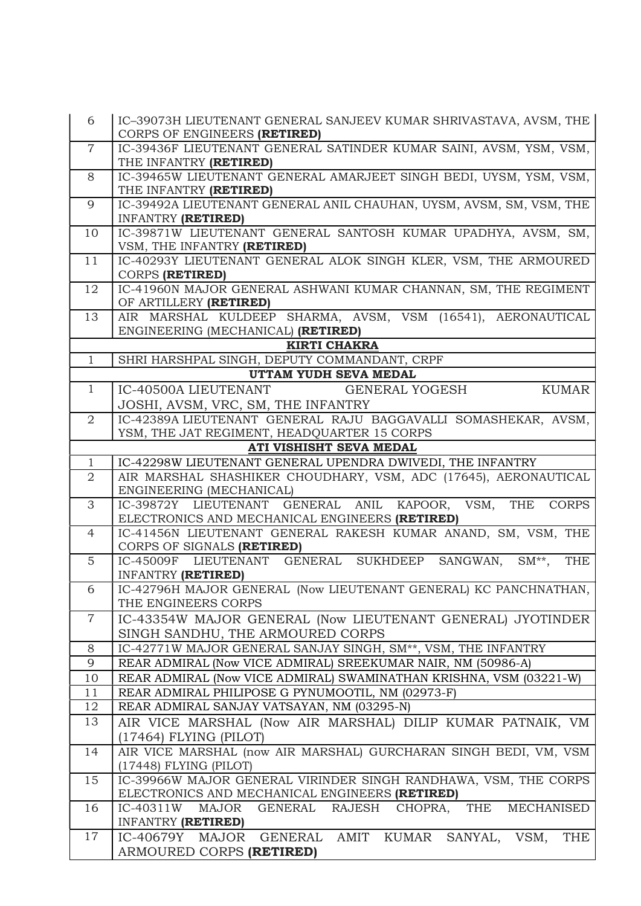| 6              | IC-39073H LIEUTENANT GENERAL SANJEEV KUMAR SHRIVASTAVA, AVSM, THE                                                             |
|----------------|-------------------------------------------------------------------------------------------------------------------------------|
|                | CORPS OF ENGINEERS (RETIRED)                                                                                                  |
| $\overline{7}$ | IC-39436F LIEUTENANT GENERAL SATINDER KUMAR SAINI, AVSM, YSM, VSM,                                                            |
|                | THE INFANTRY (RETIRED)                                                                                                        |
| 8              | IC-39465W LIEUTENANT GENERAL AMARJEET SINGH BEDI, UYSM, YSM, VSM,                                                             |
|                | THE INFANTRY (RETIRED)                                                                                                        |
| 9              | IC-39492A LIEUTENANT GENERAL ANIL CHAUHAN, UYSM, AVSM, SM, VSM, THE                                                           |
|                | <b>INFANTRY (RETIRED)</b>                                                                                                     |
| 10             | IC-39871W LIEUTENANT GENERAL SANTOSH KUMAR UPADHYA, AVSM, SM,                                                                 |
|                | VSM, THE INFANTRY (RETIRED)                                                                                                   |
| 11             | IC-40293Y LIEUTENANT GENERAL ALOK SINGH KLER, VSM, THE ARMOURED                                                               |
|                | CORPS (RETIRED)                                                                                                               |
| 12             | IC-41960N MAJOR GENERAL ASHWANI KUMAR CHANNAN, SM, THE REGIMENT                                                               |
|                | OF ARTILLERY (RETIRED)                                                                                                        |
| 13             | AIR MARSHAL KULDEEP SHARMA, AVSM, VSM (16541), AERONAUTICAL                                                                   |
|                | ENGINEERING (MECHANICAL) (RETIRED)<br><b>KIRTI CHAKRA</b>                                                                     |
| $\mathbf{1}$   | SHRI HARSHPAL SINGH, DEPUTY COMMANDANT, CRPF                                                                                  |
|                | UTTAM YUDH SEVA MEDAL                                                                                                         |
| $\mathbf{1}$   | <b>KUMAR</b><br>IC-40500A LIEUTENANT<br><b>GENERAL YOGESH</b>                                                                 |
|                | JOSHI, AVSM, VRC, SM, THE INFANTRY                                                                                            |
| $\overline{2}$ | IC-42389A LIEUTENANT GENERAL RAJU BAGGAVALLI SOMASHEKAR, AVSM,                                                                |
|                | YSM, THE JAT REGIMENT, HEADQUARTER 15 CORPS                                                                                   |
|                | ATI VISHISHT SEVA MEDAL                                                                                                       |
| $\mathbf{1}$   | IC-42298W LIEUTENANT GENERAL UPENDRA DWIVEDI, THE INFANTRY                                                                    |
| $\overline{2}$ | AIR MARSHAL SHASHIKER CHOUDHARY, VSM, ADC (17645), AERONAUTICAL                                                               |
|                | ENGINEERING (MECHANICAL)                                                                                                      |
| 3              | GENERAL ANIL KAPOOR, VSM,<br>IC-39872Y LIEUTENANT<br>THE<br><b>CORPS</b>                                                      |
|                | ELECTRONICS AND MECHANICAL ENGINEERS (RETIRED)                                                                                |
| $\overline{4}$ | IC-41456N LIEUTENANT GENERAL RAKESH KUMAR ANAND, SM, VSM, THE                                                                 |
|                | CORPS OF SIGNALS (RETIRED)                                                                                                    |
| 5              | IC-45009F LIEUTENANT GENERAL SUKHDEEP SANGWAN,<br><b>THE</b><br>$SM**$ ,                                                      |
|                | <b>INFANTRY (RETIRED)</b>                                                                                                     |
| 6              | IC-42796H MAJOR GENERAL (Now LIEUTENANT GENERAL) KC PANCHNATHAN,                                                              |
|                | THE ENGINEERS CORPS                                                                                                           |
| $\overline{7}$ | IC-43354W MAJOR GENERAL (Now LIEUTENANT GENERAL) JYOTINDER                                                                    |
|                | SINGH SANDHU, THE ARMOURED CORPS                                                                                              |
| 8              | IC-42771W MAJOR GENERAL SANJAY SINGH, SM**, VSM, THE INFANTRY                                                                 |
| $\overline{9}$ | REAR ADMIRAL (Now VICE ADMIRAL) SREEKUMAR NAIR, NM (50986-A)                                                                  |
| 10             | REAR ADMIRAL (Now VICE ADMIRAL) SWAMINATHAN KRISHNA, VSM (03221-W)                                                            |
| 11             | REAR ADMIRAL PHILIPOSE G PYNUMOOTIL, NM (02973-F)                                                                             |
| 12             | REAR ADMIRAL SANJAY VATSAYAN, NM (03295-N)                                                                                    |
| 13             | AIR VICE MARSHAL (Now AIR MARSHAL) DILIP KUMAR PATNAIK, VM                                                                    |
|                | $(17464)$ FLYING (PILOT)                                                                                                      |
| 14             | AIR VICE MARSHAL (now AIR MARSHAL) GURCHARAN SINGH BEDI, VM, VSM                                                              |
|                | (17448) FLYING (PILOT)                                                                                                        |
| 15             | IC-39966W MAJOR GENERAL VIRINDER SINGH RANDHAWA, VSM, THE CORPS                                                               |
| 16             | ELECTRONICS AND MECHANICAL ENGINEERS (RETIRED)<br>THE<br><b>MECHANISED</b><br>MAJOR<br>GENERAL RAJESH<br>CHOPRA,<br>IC-40311W |
|                | INFANTRY ( <b>RETIRED</b> )                                                                                                   |
| 17             | IC-40679Y MAJOR GENERAL AMIT KUMAR SANYAL, VSM,<br><b>THE</b>                                                                 |
|                | ARMOURED CORPS (RETIRED)                                                                                                      |
|                |                                                                                                                               |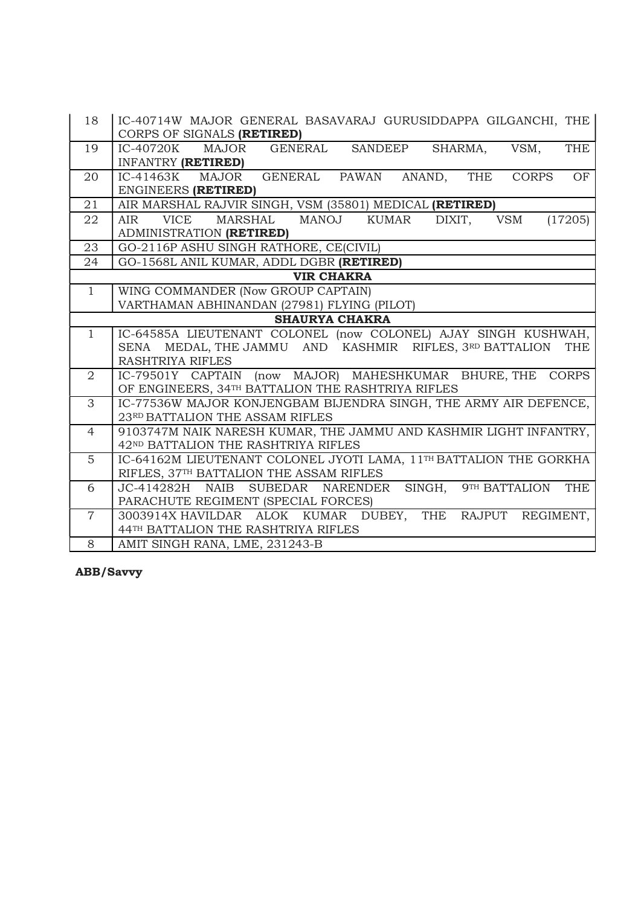| 18             | IC-40714W MAJOR GENERAL BASAVARAJ GURUSIDDAPPA GILGANCHI, THE<br>CORPS OF SIGNALS (RETIRED)                     |
|----------------|-----------------------------------------------------------------------------------------------------------------|
| 19             | GENERAL SANDEEP<br>IC-40720K<br>MAJOR<br>SHARMA,<br>VSM,<br><b>THE</b><br>INFANTRY (RETIRED)                    |
| 20             | IC-41463K MAJOR GENERAL PAWAN ANAND, THE<br>OF<br><b>CORPS</b><br>ENGINEERS (RETIRED)                           |
| 21             | AIR MARSHAL RAJVIR SINGH, VSM (35801) MEDICAL (RETIRED)                                                         |
| 22             | MANOJ<br><b>VSM</b><br>(17205)<br>VICE<br>MARSHAL<br>KUMAR<br>DIXIT,<br>AIR<br>ADMINISTRATION (RETIRED)         |
| 23             | GO-2116P ASHU SINGH RATHORE, CE(CIVIL)                                                                          |
| 24             | GO-1568L ANIL KUMAR, ADDL DGBR (RETIRED)                                                                        |
|                | <b>VIR CHAKRA</b>                                                                                               |
| $\mathbf{1}$   | WING COMMANDER (Now GROUP CAPTAIN)                                                                              |
|                | VARTHAMAN ABHINANDAN (27981) FLYING (PILOT)                                                                     |
|                | <b>SHAURYA CHAKRA</b>                                                                                           |
| $\mathbf{1}$   | IC-64585A LIEUTENANT COLONEL (now COLONEL) AJAY SINGH KUSHWAH,                                                  |
|                | SENA MEDAL, THE JAMMU AND KASHMIR RIFLES, 3RD BATTALION<br><b>THE</b>                                           |
| 2              | <b>RASHTRIYA RIFLES</b>                                                                                         |
|                | IC-79501Y CAPTAIN (now MAJOR) MAHESHKUMAR BHURE, THE CORPS<br>OF ENGINEERS, 34TH BATTALION THE RASHTRIYA RIFLES |
| 3              | IC-77536W MAJOR KONJENGBAM BIJENDRA SINGH, THE ARMY AIR DEFENCE,                                                |
|                | 23RD BATTALION THE ASSAM RIFLES                                                                                 |
| $\overline{4}$ | 9103747M NAIK NARESH KUMAR, THE JAMMU AND KASHMIR LIGHT INFANTRY,<br>42ND BATTALION THE RASHTRIYA RIFLES        |
| $\overline{5}$ | IC-64162M LIEUTENANT COLONEL JYOTI LAMA, 11TH BATTALION THE GORKHA                                              |
|                | RIFLES, 37TH BATTALION THE ASSAM RIFLES                                                                         |
| 6              | JC-414282H NAIB<br>SUBEDAR NARENDER<br>SINGH,<br>9TH BATTALION<br><b>THE</b>                                    |
|                | PARACHUTE REGIMENT (SPECIAL FORCES)                                                                             |
| $\overline{7}$ | 3003914X HAVILDAR ALOK KUMAR DUBEY, THE RAJPUT REGIMENT,                                                        |
|                | 44TH BATTALION THE RASHTRIYA RIFLES                                                                             |
| 8              | AMIT SINGH RANA, LME, 231243-B                                                                                  |

ABB/Savvy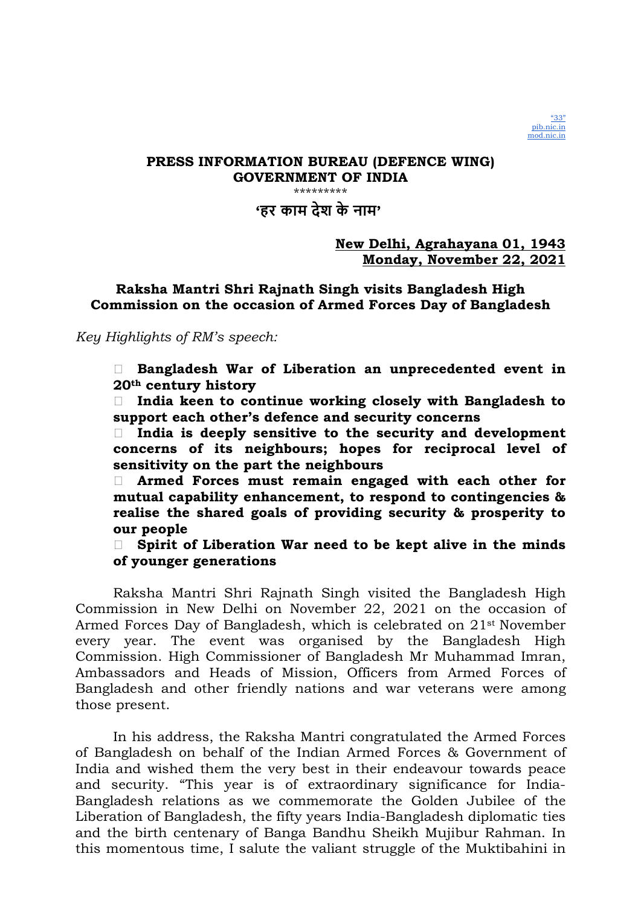'हर काम देश के नाम'

# New Delhi, Agrahayana 01, 1943 Monday, November 22, 2021

# Raksha Mantri Shri Rajnath Singh visits Bangladesh High Commission on the occasion of Armed Forces Day of Bangladesh

# Key Highlights of RM's speech:

 Bangladesh War of Liberation an unprecedented event in 20th century history

 $\Box$  India keen to continue working closely with Bangladesh to support each other's defence and security concerns

 $\Box$  India is deeply sensitive to the security and development concerns of its neighbours; hopes for reciprocal level of sensitivity on the part the neighbours

 Armed Forces must remain engaged with each other for mutual capability enhancement, to respond to contingencies & realise the shared goals of providing security & prosperity to our people

 $\Box$  Spirit of Liberation War need to be kept alive in the minds of younger generations

Raksha Mantri Shri Rajnath Singh visited the Bangladesh High Commission in New Delhi on November 22, 2021 on the occasion of Armed Forces Day of Bangladesh, which is celebrated on 21st November every year. The event was organised by the Bangladesh High Commission. High Commissioner of Bangladesh Mr Muhammad Imran, Ambassadors and Heads of Mission, Officers from Armed Forces of Bangladesh and other friendly nations and war veterans were among those present.

In his address, the Raksha Mantri congratulated the Armed Forces of Bangladesh on behalf of the Indian Armed Forces & Government of India and wished them the very best in their endeavour towards peace and security. "This year is of extraordinary significance for India-Bangladesh relations as we commemorate the Golden Jubilee of the Liberation of Bangladesh, the fifty years India-Bangladesh diplomatic ties and the birth centenary of Banga Bandhu Sheikh Mujibur Rahman. In this momentous time, I salute the valiant struggle of the Muktibahini in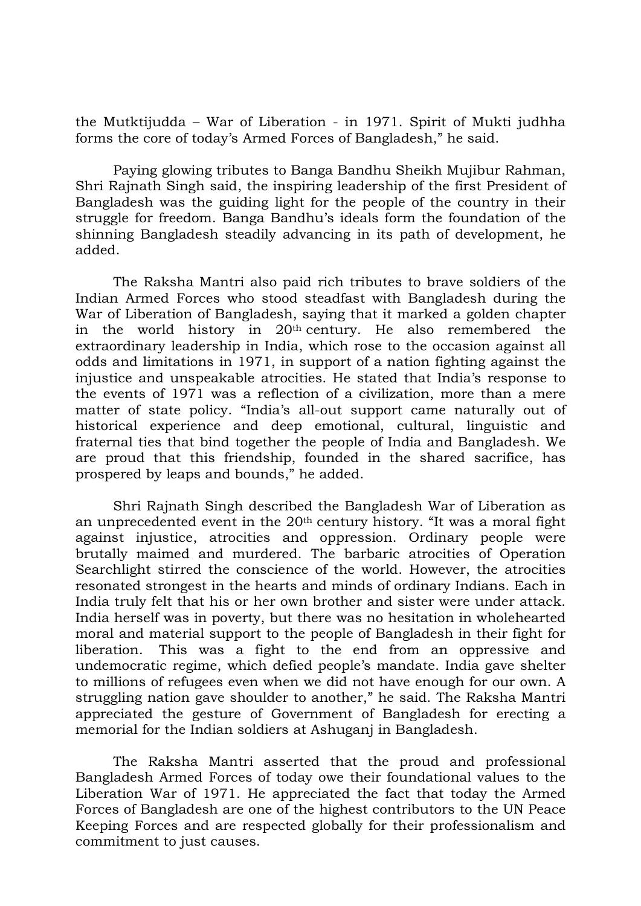the Mutktijudda – War of Liberation - in 1971. Spirit of Mukti judhha forms the core of today's Armed Forces of Bangladesh," he said.

Paying glowing tributes to Banga Bandhu Sheikh Mujibur Rahman, Shri Rajnath Singh said, the inspiring leadership of the first President of Bangladesh was the guiding light for the people of the country in their struggle for freedom. Banga Bandhu's ideals form the foundation of the shinning Bangladesh steadily advancing in its path of development, he added.

The Raksha Mantri also paid rich tributes to brave soldiers of the Indian Armed Forces who stood steadfast with Bangladesh during the War of Liberation of Bangladesh, saying that it marked a golden chapter in the world history in 20th century. He also remembered the extraordinary leadership in India, which rose to the occasion against all odds and limitations in 1971, in support of a nation fighting against the injustice and unspeakable atrocities. He stated that India's response to the events of 1971 was a reflection of a civilization, more than a mere matter of state policy. "India's all-out support came naturally out of historical experience and deep emotional, cultural, linguistic and fraternal ties that bind together the people of India and Bangladesh. We are proud that this friendship, founded in the shared sacrifice, has prospered by leaps and bounds," he added.

Shri Rajnath Singh described the Bangladesh War of Liberation as an unprecedented event in the 20th century history. "It was a moral fight against injustice, atrocities and oppression. Ordinary people were brutally maimed and murdered. The barbaric atrocities of Operation Searchlight stirred the conscience of the world. However, the atrocities resonated strongest in the hearts and minds of ordinary Indians. Each in India truly felt that his or her own brother and sister were under attack. India herself was in poverty, but there was no hesitation in wholehearted moral and material support to the people of Bangladesh in their fight for liberation. This was a fight to the end from an oppressive and undemocratic regime, which defied people's mandate. India gave shelter to millions of refugees even when we did not have enough for our own. A struggling nation gave shoulder to another," he said. The Raksha Mantri appreciated the gesture of Government of Bangladesh for erecting a memorial for the Indian soldiers at Ashuganj in Bangladesh.

The Raksha Mantri asserted that the proud and professional Bangladesh Armed Forces of today owe their foundational values to the Liberation War of 1971. He appreciated the fact that today the Armed Forces of Bangladesh are one of the highest contributors to the UN Peace Keeping Forces and are respected globally for their professionalism and commitment to just causes.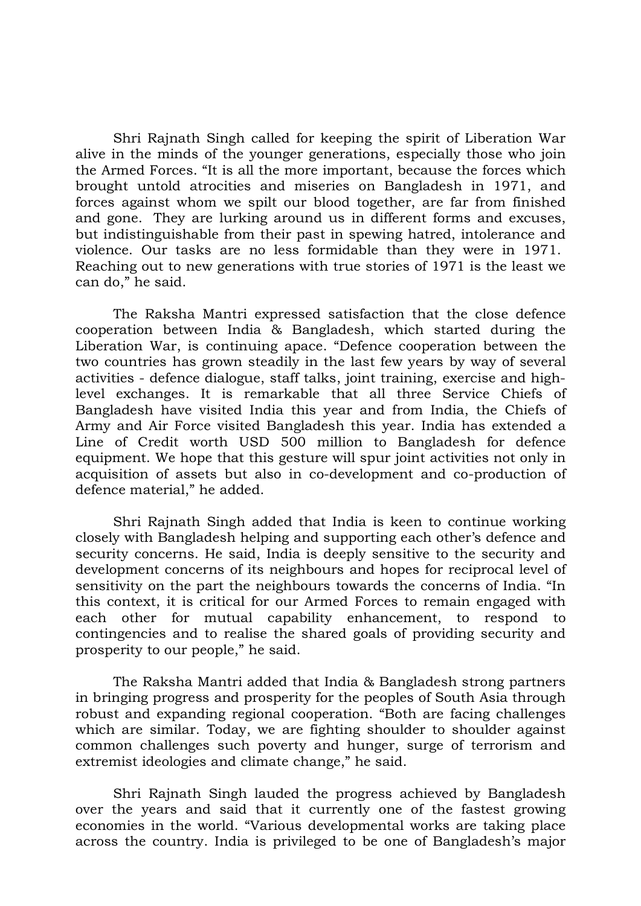Shri Rajnath Singh called for keeping the spirit of Liberation War alive in the minds of the younger generations, especially those who join the Armed Forces. "It is all the more important, because the forces which brought untold atrocities and miseries on Bangladesh in 1971, and forces against whom we spilt our blood together, are far from finished and gone. They are lurking around us in different forms and excuses, but indistinguishable from their past in spewing hatred, intolerance and violence. Our tasks are no less formidable than they were in 1971. Reaching out to new generations with true stories of 1971 is the least we can do," he said.

The Raksha Mantri expressed satisfaction that the close defence cooperation between India & Bangladesh, which started during the Liberation War, is continuing apace. "Defence cooperation between the two countries has grown steadily in the last few years by way of several activities - defence dialogue, staff talks, joint training, exercise and highlevel exchanges. It is remarkable that all three Service Chiefs of Bangladesh have visited India this year and from India, the Chiefs of Army and Air Force visited Bangladesh this year. India has extended a Line of Credit worth USD 500 million to Bangladesh for defence equipment. We hope that this gesture will spur joint activities not only in acquisition of assets but also in co-development and co-production of defence material," he added.

Shri Rajnath Singh added that India is keen to continue working closely with Bangladesh helping and supporting each other's defence and security concerns. He said, India is deeply sensitive to the security and development concerns of its neighbours and hopes for reciprocal level of sensitivity on the part the neighbours towards the concerns of India. "In this context, it is critical for our Armed Forces to remain engaged with each other for mutual capability enhancement, to respond to contingencies and to realise the shared goals of providing security and prosperity to our people," he said.

The Raksha Mantri added that India & Bangladesh strong partners in bringing progress and prosperity for the peoples of South Asia through robust and expanding regional cooperation. "Both are facing challenges which are similar. Today, we are fighting shoulder to shoulder against common challenges such poverty and hunger, surge of terrorism and extremist ideologies and climate change," he said.

Shri Rajnath Singh lauded the progress achieved by Bangladesh over the years and said that it currently one of the fastest growing economies in the world. "Various developmental works are taking place across the country. India is privileged to be one of Bangladesh's major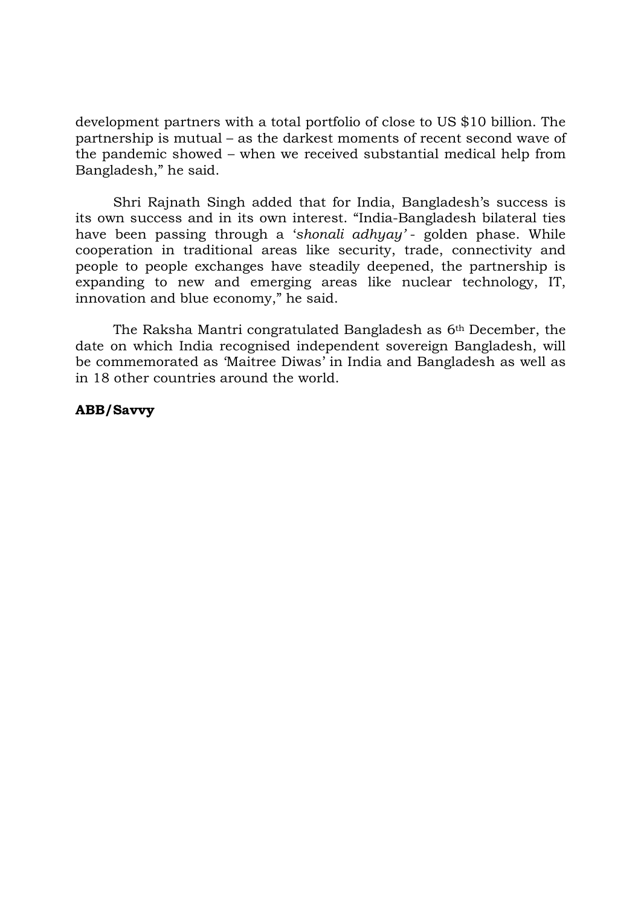development partners with a total portfolio of close to US \$10 billion. The partnership is mutual – as the darkest moments of recent second wave of the pandemic showed – when we received substantial medical help from Bangladesh," he said.

Shri Rajnath Singh added that for India, Bangladesh's success is its own success and in its own interest. "India-Bangladesh bilateral ties have been passing through a 'shonali adhyay' - golden phase. While cooperation in traditional areas like security, trade, connectivity and people to people exchanges have steadily deepened, the partnership is expanding to new and emerging areas like nuclear technology, IT, innovation and blue economy," he said.

The Raksha Mantri congratulated Bangladesh as 6th December, the date on which India recognised independent sovereign Bangladesh, will be commemorated as 'Maitree Diwas' in India and Bangladesh as well as in 18 other countries around the world.

# ABB/Savvy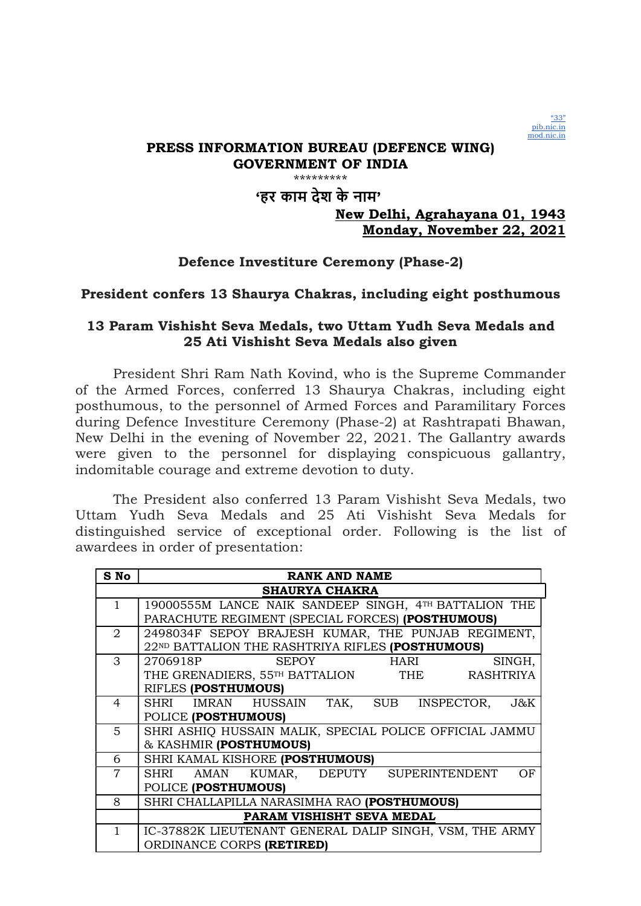

# 'हर काम देश के नाम'

# New Delhi, Agrahayana 01, 1943 Monday, November 22, 2021

# Defence Investiture Ceremony (Phase-2)

## President confers 13 Shaurya Chakras, including eight posthumous

## 13 Param Vishisht Seva Medals, two Uttam Yudh Seva Medals and 25 Ati Vishisht Seva Medals also given

President Shri Ram Nath Kovind, who is the Supreme Commander of the Armed Forces, conferred 13 Shaurya Chakras, including eight posthumous, to the personnel of Armed Forces and Paramilitary Forces during Defence Investiture Ceremony (Phase-2) at Rashtrapati Bhawan, New Delhi in the evening of November 22, 2021. The Gallantry awards were given to the personnel for displaying conspicuous gallantry, indomitable courage and extreme devotion to duty.

The President also conferred 13 Param Vishisht Seva Medals, two Uttam Yudh Seva Medals and 25 Ati Vishisht Seva Medals for distinguished service of exceptional order. Following is the list of awardees in order of presentation:

| S No           | <b>RANK AND NAME</b>                                    |
|----------------|---------------------------------------------------------|
|                | <b>SHAURYA CHAKRA</b>                                   |
| $\mathbf{1}$   | 19000555M LANCE NAIK SANDEEP SINGH, 4TH BATTALION THE   |
|                | PARACHUTE REGIMENT (SPECIAL FORCES) (POSTHUMOUS)        |
| 2              | 2498034F SEPOY BRAJESH KUMAR, THE PUNJAB REGIMENT,      |
|                | 22ND BATTALION THE RASHTRIYA RIFLES (POSTHUMOUS)        |
| 3              | <b>SEPOY</b><br>2706918P<br><b>HARI</b><br>SINGH,       |
|                | THE GRENADIERS, 55TH BATTALION THE RASHTRIYA            |
|                | RIFLES (POSTHUMOUS)                                     |
| 4              | SHRI IMRAN HUSSAIN TAK, SUB INSPECTOR,<br>$J\&K$        |
|                | POLICE (POSTHUMOUS)                                     |
| $\overline{5}$ | SHRI ASHIQ HUSSAIN MALIK, SPECIAL POLICE OFFICIAL JAMMU |
|                | & KASHMIR (POSTHUMOUS)                                  |
| 6              | SHRI KAMAL KISHORE (POSTHUMOUS)                         |
| $\overline{7}$ | AMAN KUMAR, DEPUTY SUPERINTENDENT<br>OF<br>SHRI         |
|                | POLICE (POSTHUMOUS)                                     |
| 8              | SHRI CHALLAPILLA NARASIMHA RAO (POSTHUMOUS)             |
|                | PARAM VISHISHT SEVA MEDAL                               |
| 1              | IC-37882K LIEUTENANT GENERAL DALIP SINGH, VSM, THE ARMY |
|                | ORDINANCE CORPS (RETIRED)                               |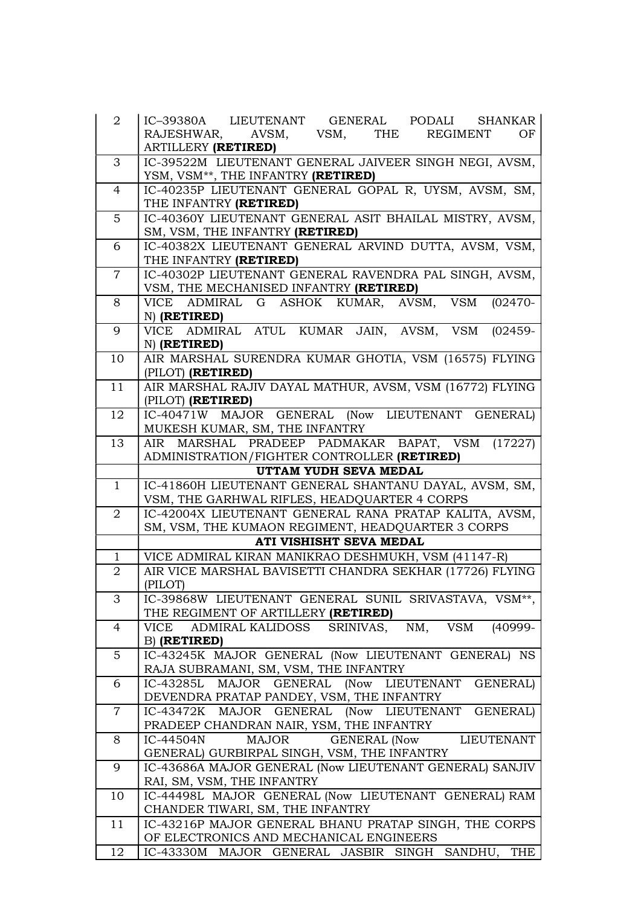| $\overline{a}$ | IC-39380A LIEUTENANT GENERAL PODALI SHANKAR                                                   |
|----------------|-----------------------------------------------------------------------------------------------|
|                | RAJESHWAR,<br>AVSM,<br>VSM, THE REGIMENT<br>OF                                                |
|                | <b>ARTILLERY (RETIRED)</b>                                                                    |
| 3              | IC-39522M LIEUTENANT GENERAL JAIVEER SINGH NEGI, AVSM,                                        |
|                | YSM, VSM <sup>**</sup> , THE INFANTRY (RETIRED)                                               |
| $\overline{4}$ | IC-40235P LIEUTENANT GENERAL GOPAL R, UYSM, AVSM, SM,                                         |
|                | THE INFANTRY (RETIRED)                                                                        |
| $\overline{5}$ | IC-40360Y LIEUTENANT GENERAL ASIT BHAILAL MISTRY, AVSM,                                       |
|                | SM, VSM, THE INFANTRY (RETIRED)                                                               |
| 6              | IC-40382X LIEUTENANT GENERAL ARVIND DUTTA, AVSM, VSM,                                         |
|                | THE INFANTRY (RETIRED)                                                                        |
| $\overline{7}$ | IC-40302P LIEUTENANT GENERAL RAVENDRA PAL SINGH, AVSM,                                        |
|                | VSM, THE MECHANISED INFANTRY (RETIRED)                                                        |
| 8              | VICE ADMIRAL G ASHOK KUMAR, AVSM, VSM<br>$(02470 -$                                           |
|                | N) (RETIRED)                                                                                  |
| 9              | VICE ADMIRAL ATUL KUMAR JAIN, AVSM, VSM<br>$(02459 -$                                         |
|                | N) (RETIRED)                                                                                  |
| 10             | AIR MARSHAL SURENDRA KUMAR GHOTIA, VSM (16575) FLYING                                         |
|                | (PILOT) (RETIRED)                                                                             |
| 11             | AIR MARSHAL RAJIV DAYAL MATHUR, AVSM, VSM (16772) FLYING                                      |
|                | (PILOT) (RETIRED)                                                                             |
| 12             | IC-40471W MAJOR GENERAL (Now LIEUTENANT GENERAL)                                              |
|                | MUKESH KUMAR, SM, THE INFANTRY                                                                |
| 13             | AIR MARSHAL PRADEEP PADMAKAR BAPAT, VSM (17227)                                               |
|                | ADMINISTRATION/FIGHTER CONTROLLER (RETIRED)                                                   |
|                | UTTAM YUDH SEVA MEDAL                                                                         |
| $\mathbf{1}$   | IC-41860H LIEUTENANT GENERAL SHANTANU DAYAL, AVSM, SM,                                        |
|                | VSM, THE GARHWAL RIFLES, HEADQUARTER 4 CORPS                                                  |
| 2              | IC-42004X LIEUTENANT GENERAL RANA PRATAP KALITA, AVSM,                                        |
|                | SM, VSM, THE KUMAON REGIMENT, HEADQUARTER 3 CORPS                                             |
|                | ATI VISHISHT SEVA MEDAL                                                                       |
| $\mathbf{1}$   | VICE ADMIRAL KIRAN MANIKRAO DESHMUKH, VSM (41147-R)                                           |
| $\overline{2}$ | AIR VICE MARSHAL BAVISETTI CHANDRA SEKHAR (17726) FLYING                                      |
|                | (PILOT)                                                                                       |
| 3              | IC-39868W LIEUTENANT GENERAL SUNIL SRIVASTAVA, VSM <sup>**</sup> ,                            |
|                | THE REGIMENT OF ARTILLERY (RETIRED)                                                           |
| $\overline{4}$ | SRINIVAS, NM, VSM<br>$\frac{1}{(40999-1)}$<br>ADMIRAL KALIDOSS<br>VICE                        |
|                | B) (RETIRED)                                                                                  |
| $\overline{5}$ | IC-43245K MAJOR GENERAL (Now LIEUTENANT GENERAL) NS                                           |
|                | RAJA SUBRAMANI, SM, VSM, THE INFANTRY                                                         |
| 6              | IC-43285L MAJOR GENERAL (Now LIEUTENANT GENERAL)<br>DEVENDRA PRATAP PANDEY, VSM, THE INFANTRY |
| $\overline{7}$ | IC-43472K MAJOR GENERAL (Now LIEUTENANT GENERAL)                                              |
|                | PRADEEP CHANDRAN NAIR, YSM, THE INFANTRY                                                      |
| 8              | MAJOR GENERAL (Now LIEUTENANT<br>IC-44504N                                                    |
|                | GENERAL) GURBIRPAL SINGH, VSM, THE INFANTRY                                                   |
| 9              | IC-43686A MAJOR GENERAL (Now LIEUTENANT GENERAL) SANJIV                                       |
|                | RAI, SM, VSM, THE INFANTRY                                                                    |
| 10             | IC-44498L MAJOR GENERAL (Now LIEUTENANT GENERAL) RAM                                          |
|                | CHANDER TIWARI, SM, THE INFANTRY                                                              |
| 11             | IC-43216P MAJOR GENERAL BHANU PRATAP SINGH, THE CORPS                                         |
|                | OF ELECTRONICS AND MECHANICAL ENGINEERS                                                       |
| 12             | IC-43330M MAJOR GENERAL JASBIR SINGH SANDHU, THE                                              |
|                |                                                                                               |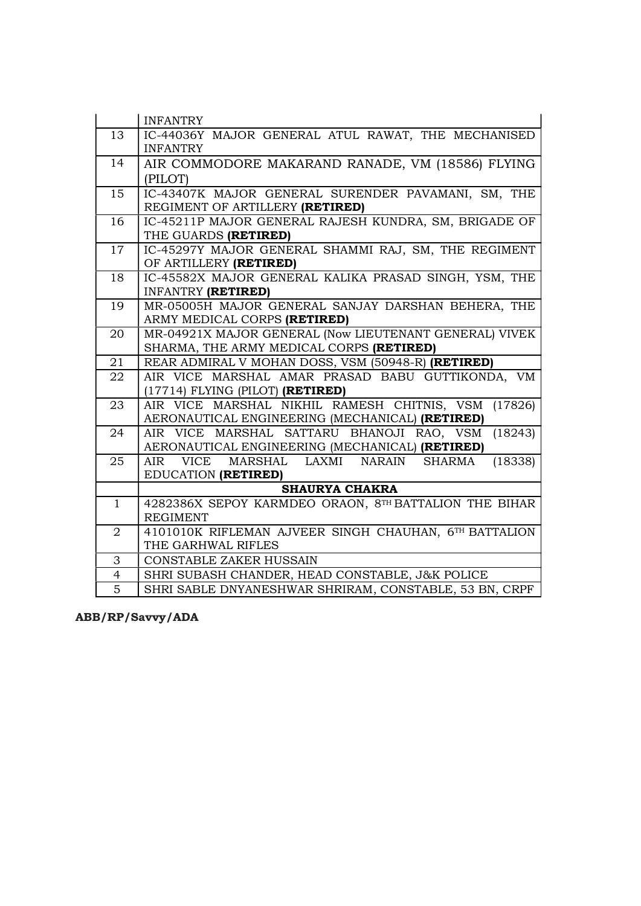| IC-44036Y MAJOR GENERAL ATUL RAWAT, THE MECHANISED<br>13<br><b>INFANTRY</b><br>14<br>AIR COMMODORE MAKARAND RANADE, VM (18586) FLYING<br>(PILOT) |         |
|--------------------------------------------------------------------------------------------------------------------------------------------------|---------|
|                                                                                                                                                  |         |
|                                                                                                                                                  |         |
|                                                                                                                                                  |         |
|                                                                                                                                                  |         |
| IC-43407K MAJOR GENERAL SURENDER PAVAMANI, SM, THE<br>15                                                                                         |         |
| REGIMENT OF ARTILLERY (RETIRED)                                                                                                                  |         |
| IC-45211P MAJOR GENERAL RAJESH KUNDRA, SM, BRIGADE OF<br>16                                                                                      |         |
| THE GUARDS (RETIRED)                                                                                                                             |         |
| IC-45297Y MAJOR GENERAL SHAMMI RAJ, SM, THE REGIMENT<br>17                                                                                       |         |
| OF ARTILLERY (RETIRED)                                                                                                                           |         |
| IC-45582X MAJOR GENERAL KALIKA PRASAD SINGH, YSM, THE<br>18                                                                                      |         |
| <b>INFANTRY (RETIRED)</b>                                                                                                                        |         |
| MR-05005H MAJOR GENERAL SANJAY DARSHAN BEHERA, THE<br>19                                                                                         |         |
| ARMY MEDICAL CORPS (RETIRED)                                                                                                                     |         |
| MR-04921X MAJOR GENERAL (Now LIEUTENANT GENERAL) VIVEK<br>20                                                                                     |         |
| SHARMA, THE ARMY MEDICAL CORPS (RETIRED)                                                                                                         |         |
| REAR ADMIRAL V MOHAN DOSS, VSM (50948-R) (RETIRED)<br>21                                                                                         |         |
| AIR VICE MARSHAL AMAR PRASAD BABU GUTTIKONDA, VM<br>22                                                                                           |         |
| $(17714)$ FLYING (PILOT) (RETIRED)                                                                                                               |         |
| AIR VICE MARSHAL NIKHIL RAMESH CHITNIS, VSM<br>23                                                                                                | (17826) |
| AERONAUTICAL ENGINEERING (MECHANICAL) (RETIRED)                                                                                                  |         |
| AIR VICE MARSHAL SATTARU BHANOJI RAO, VSM<br>24                                                                                                  | (18243) |
| AERONAUTICAL ENGINEERING (MECHANICAL) (RETIRED)                                                                                                  |         |
| AIR VICE MARSHAL LAXMI NARAIN<br>25<br>SHARMA<br>EDUCATION (RETIRED)                                                                             | (18338) |
| <b>SHAURYA CHAKRA</b>                                                                                                                            |         |
| 4282386X SEPOY KARMDEO ORAON, 8TH BATTALION THE BIHAR<br>$\mathbf{1}$                                                                            |         |
| <b>REGIMENT</b>                                                                                                                                  |         |
| 4101010K RIFLEMAN AJVEER SINGH CHAUHAN, 6TH BATTALION<br>2                                                                                       |         |
| THE GARHWAL RIFLES                                                                                                                               |         |
| 3<br><b>CONSTABLE ZAKER HUSSAIN</b>                                                                                                              |         |
| $\overline{4}$<br>SHRI SUBASH CHANDER, HEAD CONSTABLE, J&K POLICE                                                                                |         |
|                                                                                                                                                  |         |

ABB/RP/Savvy/ADA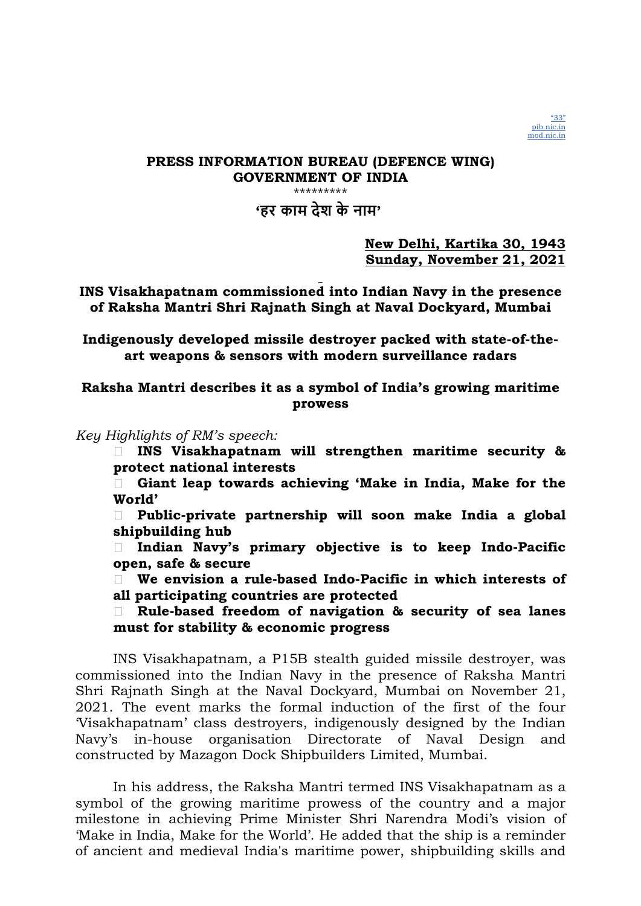

'हर काम देश के नाम'

New Delhi, Kartika 30, 1943 Sunday, November 21, 2021

INS Visakhapatnam commissioned into Indian Navy in the presence of Raksha Mantri Shri Rajnath Singh at Naval Dockyard, Mumbai

Indigenously developed missile destroyer packed with state-of-theart weapons & sensors with modern surveillance radars

Raksha Mantri describes it as a symbol of India's growing maritime prowess

Key Highlights of RM's speech:

 INS Visakhapatnam will strengthen maritime security & protect national interests

 Giant leap towards achieving 'Make in India, Make for the World'

 Public-private partnership will soon make India a global shipbuilding hub

 $\Box$  Indian Navy's primary objective is to keep Indo-Pacific open, safe & secure

 $\Box$  We envision a rule-based Indo-Pacific in which interests of all participating countries are protected

 Rule-based freedom of navigation & security of sea lanes must for stability & economic progress

INS Visakhapatnam, a P15B stealth guided missile destroyer, was commissioned into the Indian Navy in the presence of Raksha Mantri Shri Rajnath Singh at the Naval Dockyard, Mumbai on November 21, 2021. The event marks the formal induction of the first of the four 'Visakhapatnam' class destroyers, indigenously designed by the Indian Navy's in-house organisation Directorate of Naval Design and constructed by Mazagon Dock Shipbuilders Limited, Mumbai.

In his address, the Raksha Mantri termed INS Visakhapatnam as a symbol of the growing maritime prowess of the country and a major milestone in achieving Prime Minister Shri Narendra Modi's vision of 'Make in India, Make for the World'. He added that the ship is a reminder of ancient and medieval India's maritime power, shipbuilding skills and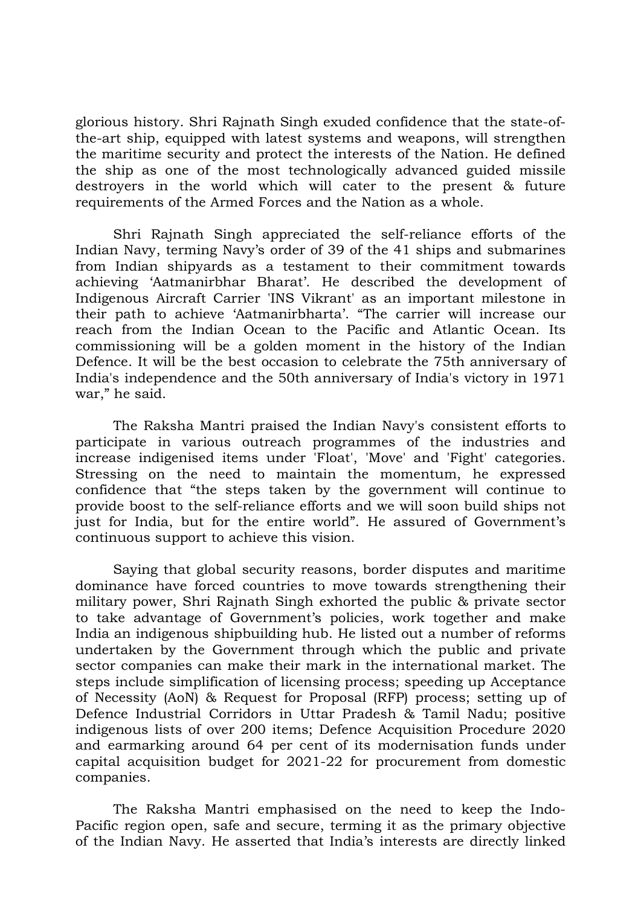glorious history. Shri Rajnath Singh exuded confidence that the state-ofthe-art ship, equipped with latest systems and weapons, will strengthen the maritime security and protect the interests of the Nation. He defined the ship as one of the most technologically advanced guided missile destroyers in the world which will cater to the present & future requirements of the Armed Forces and the Nation as a whole.

Shri Rajnath Singh appreciated the self-reliance efforts of the Indian Navy, terming Navy's order of 39 of the 41 ships and submarines from Indian shipyards as a testament to their commitment towards achieving 'Aatmanirbhar Bharat'. He described the development of Indigenous Aircraft Carrier 'INS Vikrant' as an important milestone in their path to achieve 'Aatmanirbharta'. "The carrier will increase our reach from the Indian Ocean to the Pacific and Atlantic Ocean. Its commissioning will be a golden moment in the history of the Indian Defence. It will be the best occasion to celebrate the 75th anniversary of India's independence and the 50th anniversary of India's victory in 1971 war," he said.

The Raksha Mantri praised the Indian Navy's consistent efforts to participate in various outreach programmes of the industries and increase indigenised items under 'Float', 'Move' and 'Fight' categories. Stressing on the need to maintain the momentum, he expressed confidence that "the steps taken by the government will continue to provide boost to the self-reliance efforts and we will soon build ships not just for India, but for the entire world". He assured of Government's continuous support to achieve this vision.

Saying that global security reasons, border disputes and maritime dominance have forced countries to move towards strengthening their military power, Shri Rajnath Singh exhorted the public & private sector to take advantage of Government's policies, work together and make India an indigenous shipbuilding hub. He listed out a number of reforms undertaken by the Government through which the public and private sector companies can make their mark in the international market. The steps include simplification of licensing process; speeding up Acceptance of Necessity (AoN) & Request for Proposal (RFP) process; setting up of Defence Industrial Corridors in Uttar Pradesh & Tamil Nadu; positive indigenous lists of over 200 items; Defence Acquisition Procedure 2020 and earmarking around 64 per cent of its modernisation funds under capital acquisition budget for 2021-22 for procurement from domestic companies.

The Raksha Mantri emphasised on the need to keep the Indo-Pacific region open, safe and secure, terming it as the primary objective of the Indian Navy. He asserted that India's interests are directly linked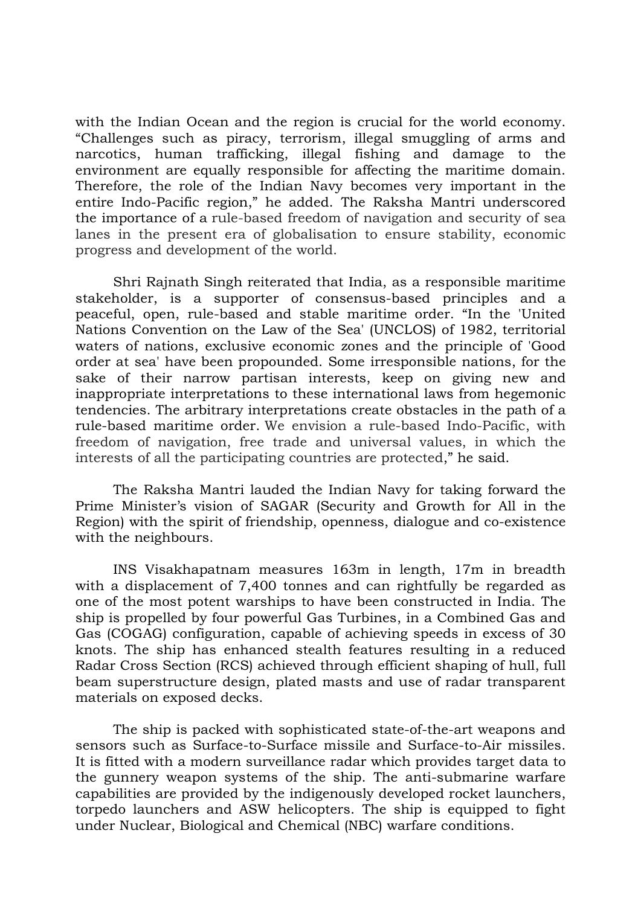with the Indian Ocean and the region is crucial for the world economy. "Challenges such as piracy, terrorism, illegal smuggling of arms and narcotics, human trafficking, illegal fishing and damage to the environment are equally responsible for affecting the maritime domain. Therefore, the role of the Indian Navy becomes very important in the entire Indo-Pacific region," he added. The Raksha Mantri underscored the importance of a rule-based freedom of navigation and security of sea lanes in the present era of globalisation to ensure stability, economic progress and development of the world.

Shri Rajnath Singh reiterated that India, as a responsible maritime stakeholder, is a supporter of consensus-based principles and a peaceful, open, rule-based and stable maritime order. "In the 'United Nations Convention on the Law of the Sea' (UNCLOS) of 1982, territorial waters of nations, exclusive economic zones and the principle of 'Good order at sea' have been propounded. Some irresponsible nations, for the sake of their narrow partisan interests, keep on giving new and inappropriate interpretations to these international laws from hegemonic tendencies. The arbitrary interpretations create obstacles in the path of a rule-based maritime order. We envision a rule-based Indo-Pacific, with freedom of navigation, free trade and universal values, in which the interests of all the participating countries are protected," he said.

The Raksha Mantri lauded the Indian Navy for taking forward the Prime Minister's vision of SAGAR (Security and Growth for All in the Region) with the spirit of friendship, openness, dialogue and co-existence with the neighbours.

INS Visakhapatnam measures 163m in length, 17m in breadth with a displacement of 7,400 tonnes and can rightfully be regarded as one of the most potent warships to have been constructed in India. The ship is propelled by four powerful Gas Turbines, in a Combined Gas and Gas (COGAG) configuration, capable of achieving speeds in excess of 30 knots. The ship has enhanced stealth features resulting in a reduced Radar Cross Section (RCS) achieved through efficient shaping of hull, full beam superstructure design, plated masts and use of radar transparent materials on exposed decks.

The ship is packed with sophisticated state-of-the-art weapons and sensors such as Surface-to-Surface missile and Surface-to-Air missiles. It is fitted with a modern surveillance radar which provides target data to the gunnery weapon systems of the ship. The anti-submarine warfare capabilities are provided by the indigenously developed rocket launchers, torpedo launchers and ASW helicopters. The ship is equipped to fight under Nuclear, Biological and Chemical (NBC) warfare conditions.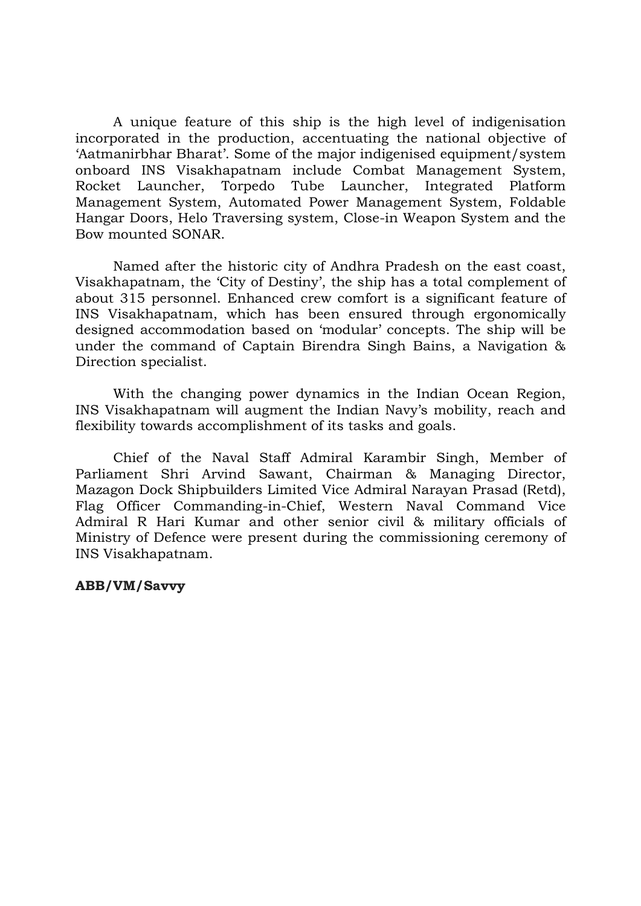A unique feature of this ship is the high level of indigenisation incorporated in the production, accentuating the national objective of 'Aatmanirbhar Bharat'. Some of the major indigenised equipment/system onboard INS Visakhapatnam include Combat Management System, Tube Launcher, Integrated Platform Management System, Automated Power Management System, Foldable Hangar Doors, Helo Traversing system, Close-in Weapon System and the Bow mounted SONAR.

Named after the historic city of Andhra Pradesh on the east coast, Visakhapatnam, the 'City of Destiny', the ship has a total complement of about 315 personnel. Enhanced crew comfort is a significant feature of INS Visakhapatnam, which has been ensured through ergonomically designed accommodation based on 'modular' concepts. The ship will be under the command of Captain Birendra Singh Bains, a Navigation & Direction specialist.

With the changing power dynamics in the Indian Ocean Region, INS Visakhapatnam will augment the Indian Navy's mobility, reach and flexibility towards accomplishment of its tasks and goals.

Chief of the Naval Staff Admiral Karambir Singh, Member of Parliament Shri Arvind Sawant, Chairman & Managing Director, Mazagon Dock Shipbuilders Limited Vice Admiral Narayan Prasad (Retd), Flag Officer Commanding-in-Chief, Western Naval Command Vice Admiral R Hari Kumar and other senior civil & military officials of Ministry of Defence were present during the commissioning ceremony of INS Visakhapatnam.

### ABB/VM/Savvy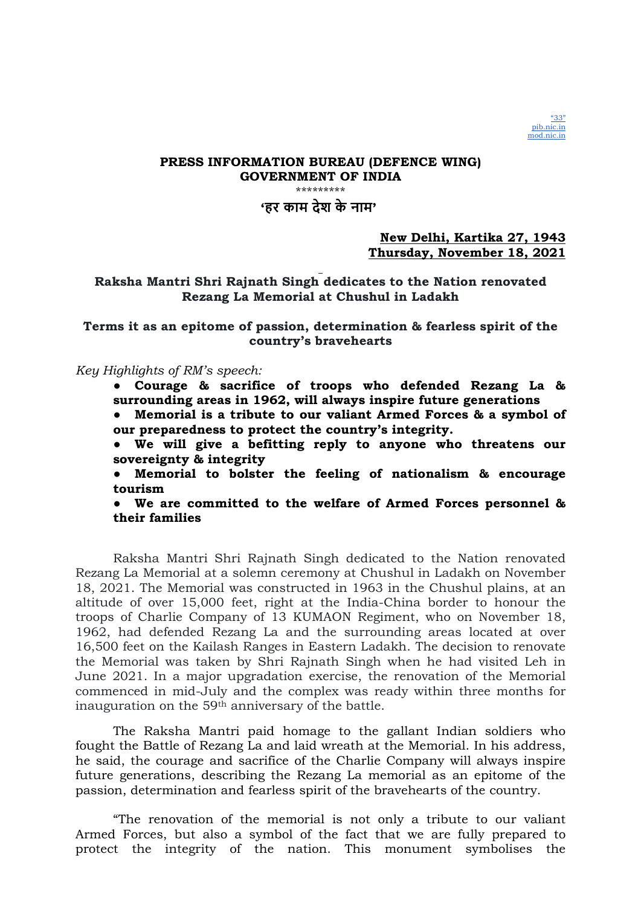

\*\*\*\*\*\*\*\*\*

## 'हर काम देश के नाम'

### New Delhi, Kartika 27, 1943 Thursday, November 18, 2021

### Raksha Mantri Shri Rajnath Singh dedicates to the Nation renovated Rezang La Memorial at Chushul in Ladakh

### Terms it as an epitome of passion, determination & fearless spirit of the country's bravehearts

### Key Highlights of RM's speech:

● Courage & sacrifice of troops who defended Rezang La & surrounding areas in 1962, will always inspire future generations

Memorial is a tribute to our valiant Armed Forces & a symbol of our preparedness to protect the country's integrity.

● We will give a befitting reply to anyone who threatens our sovereignty & integrity

● Memorial to bolster the feeling of nationalism & encourage tourism

● We are committed to the welfare of Armed Forces personnel & their families

Raksha Mantri Shri Rajnath Singh dedicated to the Nation renovated Rezang La Memorial at a solemn ceremony at Chushul in Ladakh on November 18, 2021. The Memorial was constructed in 1963 in the Chushul plains, at an altitude of over 15,000 feet, right at the India-China border to honour the troops of Charlie Company of 13 KUMAON Regiment, who on November 18, 1962, had defended Rezang La and the surrounding areas located at over 16,500 feet on the Kailash Ranges in Eastern Ladakh. The decision to renovate the Memorial was taken by Shri Rajnath Singh when he had visited Leh in June 2021. In a major upgradation exercise, the renovation of the Memorial commenced in mid-July and the complex was ready within three months for inauguration on the 59th anniversary of the battle.

The Raksha Mantri paid homage to the gallant Indian soldiers who fought the Battle of Rezang La and laid wreath at the Memorial. In his address, he said, the courage and sacrifice of the Charlie Company will always inspire future generations, describing the Rezang La memorial as an epitome of the passion, determination and fearless spirit of the bravehearts of the country.

"The renovation of the memorial is not only a tribute to our valiant Armed Forces, but also a symbol of the fact that we are fully prepared to protect the integrity of the nation. This monument symbolises the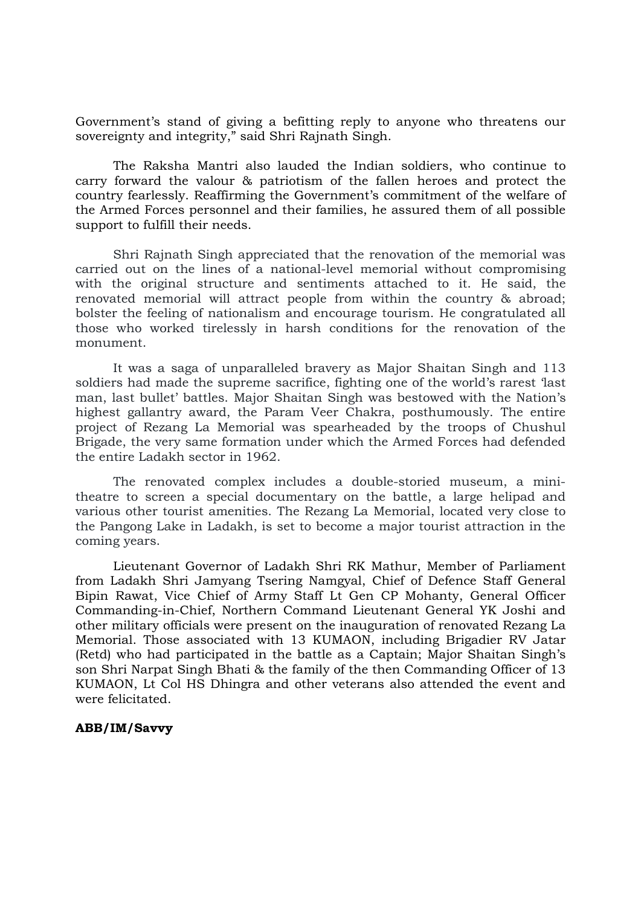Government's stand of giving a befitting reply to anyone who threatens our sovereignty and integrity," said Shri Rajnath Singh.

The Raksha Mantri also lauded the Indian soldiers, who continue to carry forward the valour & patriotism of the fallen heroes and protect the country fearlessly. Reaffirming the Government's commitment of the welfare of the Armed Forces personnel and their families, he assured them of all possible support to fulfill their needs.

Shri Rajnath Singh appreciated that the renovation of the memorial was carried out on the lines of a national-level memorial without compromising with the original structure and sentiments attached to it. He said, the renovated memorial will attract people from within the country & abroad; bolster the feeling of nationalism and encourage tourism. He congratulated all those who worked tirelessly in harsh conditions for the renovation of the monument.

It was a saga of unparalleled bravery as Major Shaitan Singh and 113 soldiers had made the supreme sacrifice, fighting one of the world's rarest 'last man, last bullet' battles. Major Shaitan Singh was bestowed with the Nation's highest gallantry award, the Param Veer Chakra, posthumously. The entire project of Rezang La Memorial was spearheaded by the troops of Chushul Brigade, the very same formation under which the Armed Forces had defended the entire Ladakh sector in 1962.

The renovated complex includes a double-storied museum, a minitheatre to screen a special documentary on the battle, a large helipad and various other tourist amenities. The Rezang La Memorial, located very close to the Pangong Lake in Ladakh, is set to become a major tourist attraction in the coming years.

Lieutenant Governor of Ladakh Shri RK Mathur, Member of Parliament from Ladakh Shri Jamyang Tsering Namgyal, Chief of Defence Staff General Bipin Rawat, Vice Chief of Army Staff Lt Gen CP Mohanty, General Officer Commanding-in-Chief, Northern Command Lieutenant General YK Joshi and other military officials were present on the inauguration of renovated Rezang La Memorial. Those associated with 13 KUMAON, including Brigadier RV Jatar (Retd) who had participated in the battle as a Captain; Major Shaitan Singh's son Shri Narpat Singh Bhati & the family of the then Commanding Officer of 13 KUMAON, Lt Col HS Dhingra and other veterans also attended the event and were felicitated.

### ABB/IM/Savvy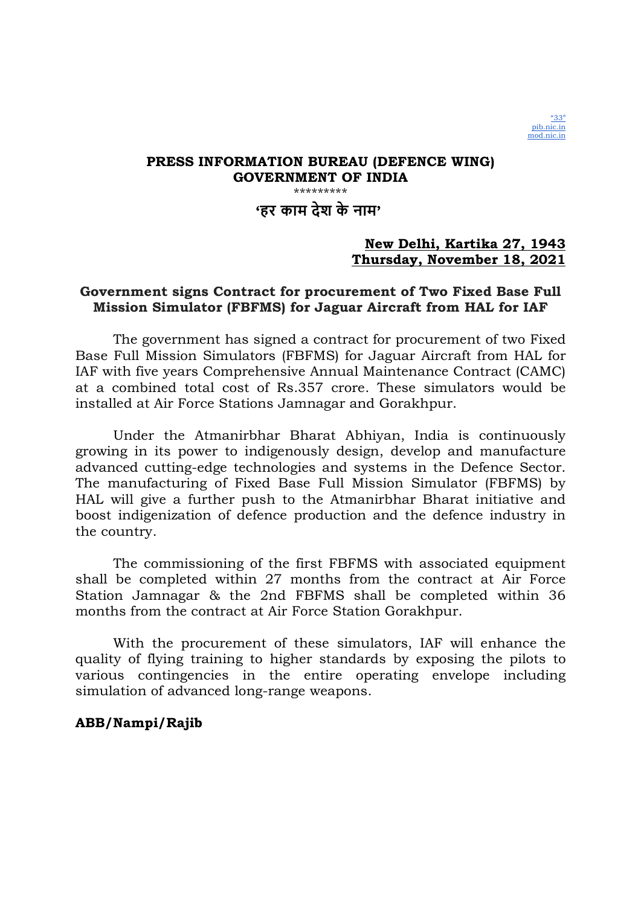

'हर काम देश के नाम'

## New Delhi, Kartika 27, 1943 Thursday, November 18, 2021

## Government signs Contract for procurement of Two Fixed Base Full Mission Simulator (FBFMS) for Jaguar Aircraft from HAL for IAF

The government has signed a contract for procurement of two Fixed Base Full Mission Simulators (FBFMS) for Jaguar Aircraft from HAL for IAF with five years Comprehensive Annual Maintenance Contract (CAMC) at a combined total cost of Rs.357 crore. These simulators would be installed at Air Force Stations Jamnagar and Gorakhpur.

Under the Atmanirbhar Bharat Abhiyan, India is continuously growing in its power to indigenously design, develop and manufacture advanced cutting-edge technologies and systems in the Defence Sector. The manufacturing of Fixed Base Full Mission Simulator (FBFMS) by HAL will give a further push to the Atmanirbhar Bharat initiative and boost indigenization of defence production and the defence industry in the country.

The commissioning of the first FBFMS with associated equipment shall be completed within 27 months from the contract at Air Force Station Jamnagar & the 2nd FBFMS shall be completed within 36 months from the contract at Air Force Station Gorakhpur.

With the procurement of these simulators, IAF will enhance the quality of flying training to higher standards by exposing the pilots to various contingencies in the entire operating envelope including simulation of advanced long-range weapons.

## ABB/Nampi/Rajib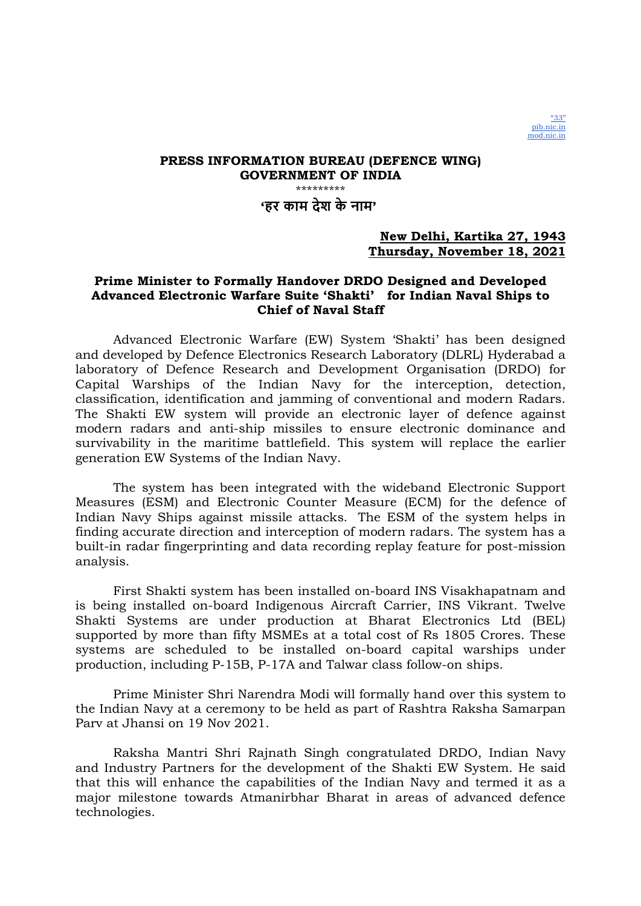

### PRESS INFORMATION BUREAU (DEFENCE WING) GOVERNMENT OF INDIA \*\*\*\*\*\*\*\*\*\*\*\*\*\* 'हर काम देश के नाम'

### New Delhi, Kartika 27, 1943 Thursday, November 18, 2021

### Prime Minister to Formally Handover DRDO Designed and Developed Advanced Electronic Warfare Suite 'Shakti' for Indian Naval Ships to Chief of Naval Staff

Advanced Electronic Warfare (EW) System 'Shakti' has been designed and developed by Defence Electronics Research Laboratory (DLRL) Hyderabad a laboratory of Defence Research and Development Organisation (DRDO) for Capital Warships of the Indian Navy for the interception, detection, classification, identification and jamming of conventional and modern Radars. The Shakti EW system will provide an electronic layer of defence against modern radars and anti-ship missiles to ensure electronic dominance and survivability in the maritime battlefield. This system will replace the earlier generation EW Systems of the Indian Navy.

The system has been integrated with the wideband Electronic Support Measures (ESM) and Electronic Counter Measure (ECM) for the defence of Indian Navy Ships against missile attacks. The ESM of the system helps in finding accurate direction and interception of modern radars. The system has a built-in radar fingerprinting and data recording replay feature for post-mission analysis.

First Shakti system has been installed on-board INS Visakhapatnam and is being installed on-board Indigenous Aircraft Carrier, INS Vikrant. Twelve Shakti Systems are under production at Bharat Electronics Ltd (BEL) supported by more than fifty MSMEs at a total cost of Rs 1805 Crores. These systems are scheduled to be installed on-board capital warships under production, including P-15B, P-17A and Talwar class follow-on ships.

Prime Minister Shri Narendra Modi will formally hand over this system to the Indian Navy at a ceremony to be held as part of Rashtra Raksha Samarpan Parv at Jhansi on 19 Nov 2021.

Raksha Mantri Shri Rajnath Singh congratulated DRDO, Indian Navy and Industry Partners for the development of the Shakti EW System. He said that this will enhance the capabilities of the Indian Navy and termed it as a major milestone towards Atmanirbhar Bharat in areas of advanced defence technologies.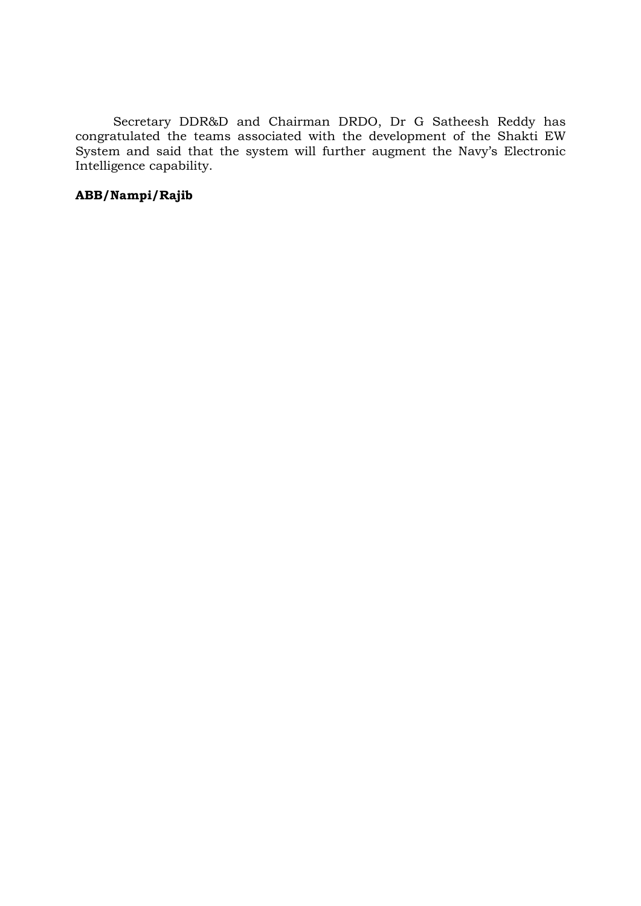Secretary DDR&D and Chairman DRDO, Dr G Satheesh Reddy has congratulated the teams associated with the development of the Shakti EW System and said that the system will further augment the Navy's Electronic Intelligence capability.

## ABB/Nampi/Rajib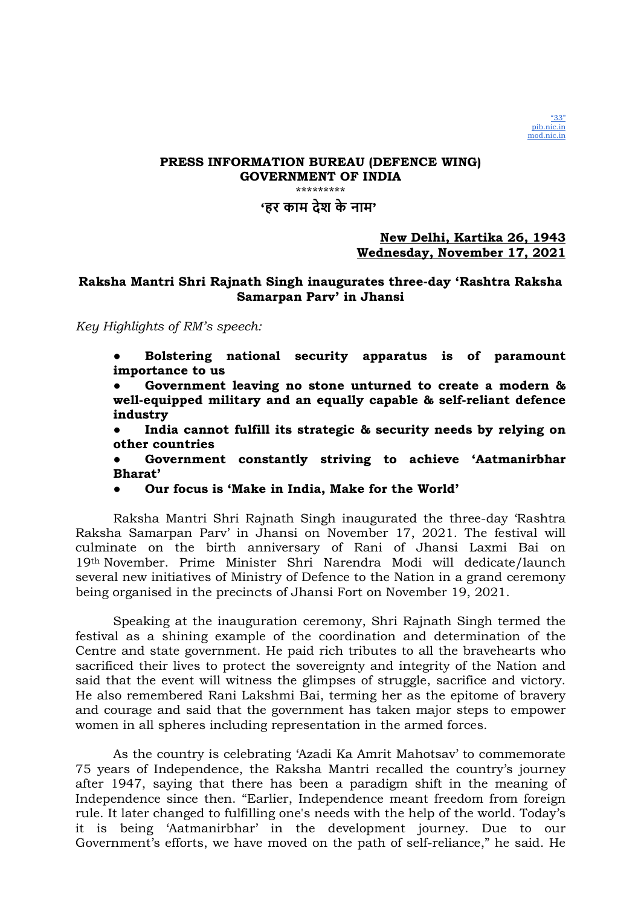\*\*\*\*\*\*\*\*\*

## 'हर काम देश के नाम'

### New Delhi, Kartika 26, 1943 Wednesday, November 17, 2021

## Raksha Mantri Shri Rajnath Singh inaugurates three-day 'Rashtra Raksha Samarpan Parv' in Jhansi

Key Highlights of RM's speech:

Bolstering national security apparatus is of paramount importance to us

Government leaving no stone unturned to create a modern & well-equipped military and an equally capable & self-reliant defence industry

● India cannot fulfill its strategic & security needs by relying on other countries

Government constantly striving to achieve 'Aatmanirbhar Bharat'

● Our focus is 'Make in India, Make for the World'

Raksha Mantri Shri Rajnath Singh inaugurated the three-day 'Rashtra Raksha Samarpan Parv' in Jhansi on November 17, 2021. The festival will culminate on the birth anniversary of Rani of Jhansi Laxmi Bai on 19th November. Prime Minister Shri Narendra Modi will dedicate/launch several new initiatives of Ministry of Defence to the Nation in a grand ceremony being organised in the precincts of Jhansi Fort on November 19, 2021.

Speaking at the inauguration ceremony, Shri Rajnath Singh termed the festival as a shining example of the coordination and determination of the Centre and state government. He paid rich tributes to all the bravehearts who sacrificed their lives to protect the sovereignty and integrity of the Nation and said that the event will witness the glimpses of struggle, sacrifice and victory. He also remembered Rani Lakshmi Bai, terming her as the epitome of bravery and courage and said that the government has taken major steps to empower women in all spheres including representation in the armed forces.

As the country is celebrating 'Azadi Ka Amrit Mahotsav' to commemorate 75 years of Independence, the Raksha Mantri recalled the country's journey after 1947, saying that there has been a paradigm shift in the meaning of Independence since then. "Earlier, Independence meant freedom from foreign rule. It later changed to fulfilling one's needs with the help of the world. Today's it is being 'Aatmanirbhar' in the development journey. Due to our Government's efforts, we have moved on the path of self-reliance," he said. He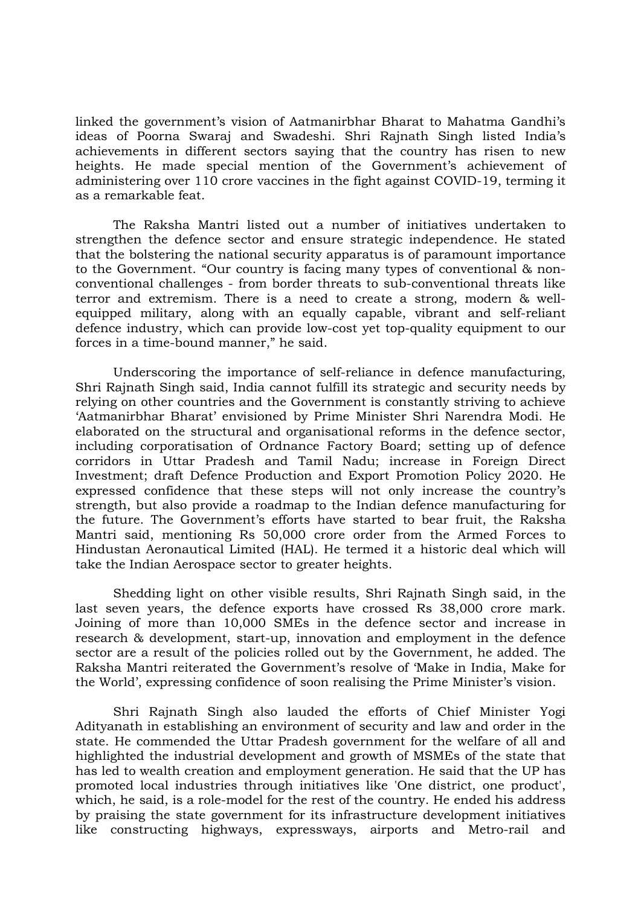linked the government's vision of Aatmanirbhar Bharat to Mahatma Gandhi's ideas of Poorna Swaraj and Swadeshi. Shri Rajnath Singh listed India's achievements in different sectors saying that the country has risen to new heights. He made special mention of the Government's achievement of administering over 110 crore vaccines in the fight against COVID-19, terming it as a remarkable feat.

The Raksha Mantri listed out a number of initiatives undertaken to strengthen the defence sector and ensure strategic independence. He stated that the bolstering the national security apparatus is of paramount importance to the Government. "Our country is facing many types of conventional & nonconventional challenges - from border threats to sub-conventional threats like terror and extremism. There is a need to create a strong, modern & wellequipped military, along with an equally capable, vibrant and self-reliant defence industry, which can provide low-cost yet top-quality equipment to our forces in a time-bound manner," he said.

Underscoring the importance of self-reliance in defence manufacturing, Shri Rajnath Singh said, India cannot fulfill its strategic and security needs by relying on other countries and the Government is constantly striving to achieve 'Aatmanirbhar Bharat' envisioned by Prime Minister Shri Narendra Modi. He elaborated on the structural and organisational reforms in the defence sector, including corporatisation of Ordnance Factory Board; setting up of defence corridors in Uttar Pradesh and Tamil Nadu; increase in Foreign Direct Investment; draft Defence Production and Export Promotion Policy 2020. He expressed confidence that these steps will not only increase the country's strength, but also provide a roadmap to the Indian defence manufacturing for the future. The Government's efforts have started to bear fruit, the Raksha Mantri said, mentioning Rs 50,000 crore order from the Armed Forces to Hindustan Aeronautical Limited (HAL). He termed it a historic deal which will take the Indian Aerospace sector to greater heights.

Shedding light on other visible results, Shri Rajnath Singh said, in the last seven years, the defence exports have crossed Rs 38,000 crore mark. Joining of more than 10,000 SMEs in the defence sector and increase in research & development, start-up, innovation and employment in the defence sector are a result of the policies rolled out by the Government, he added. The Raksha Mantri reiterated the Government's resolve of 'Make in India, Make for the World', expressing confidence of soon realising the Prime Minister's vision.

Shri Rajnath Singh also lauded the efforts of Chief Minister Yogi Adityanath in establishing an environment of security and law and order in the state. He commended the Uttar Pradesh government for the welfare of all and highlighted the industrial development and growth of MSMEs of the state that has led to wealth creation and employment generation. He said that the UP has promoted local industries through initiatives like 'One district, one product', which, he said, is a role-model for the rest of the country. He ended his address by praising the state government for its infrastructure development initiatives like constructing highways, expressways, airports and Metro-rail and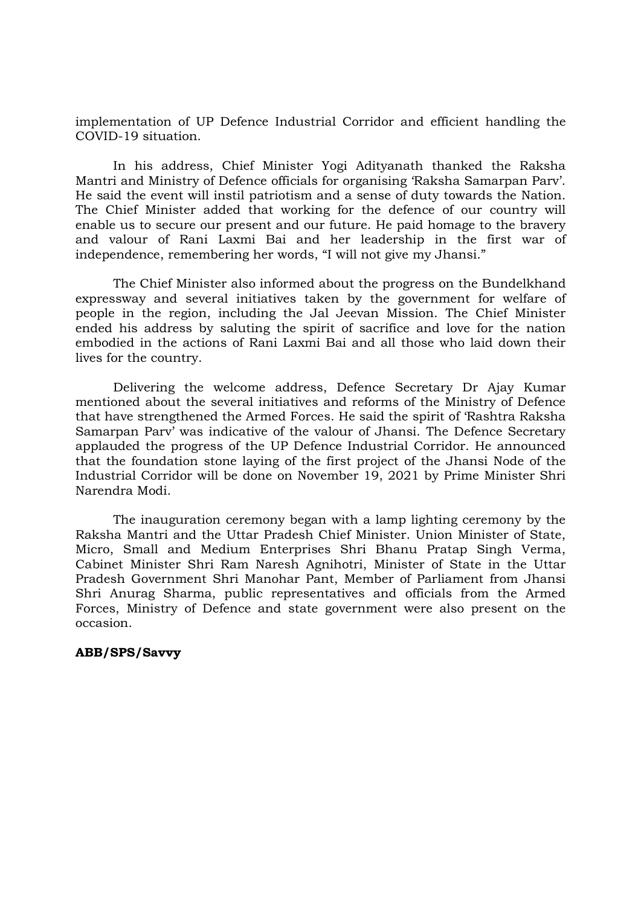implementation of UP Defence Industrial Corridor and efficient handling the COVID-19 situation.

In his address, Chief Minister Yogi Adityanath thanked the Raksha Mantri and Ministry of Defence officials for organising 'Raksha Samarpan Parv'. He said the event will instil patriotism and a sense of duty towards the Nation. The Chief Minister added that working for the defence of our country will enable us to secure our present and our future. He paid homage to the bravery and valour of Rani Laxmi Bai and her leadership in the first war of independence, remembering her words, "I will not give my Jhansi."

The Chief Minister also informed about the progress on the Bundelkhand expressway and several initiatives taken by the government for welfare of people in the region, including the Jal Jeevan Mission. The Chief Minister ended his address by saluting the spirit of sacrifice and love for the nation embodied in the actions of Rani Laxmi Bai and all those who laid down their lives for the country.

Delivering the welcome address, Defence Secretary Dr Ajay Kumar mentioned about the several initiatives and reforms of the Ministry of Defence that have strengthened the Armed Forces. He said the spirit of 'Rashtra Raksha Samarpan Parv' was indicative of the valour of Jhansi. The Defence Secretary applauded the progress of the UP Defence Industrial Corridor. He announced that the foundation stone laying of the first project of the Jhansi Node of the Industrial Corridor will be done on November 19, 2021 by Prime Minister Shri Narendra Modi.

The inauguration ceremony began with a lamp lighting ceremony by the Raksha Mantri and the Uttar Pradesh Chief Minister. Union Minister of State, Micro, Small and Medium Enterprises Shri Bhanu Pratap Singh Verma, Cabinet Minister Shri Ram Naresh Agnihotri, Minister of State in the Uttar Pradesh Government Shri Manohar Pant, Member of Parliament from Jhansi Shri Anurag Sharma, public representatives and officials from the Armed Forces, Ministry of Defence and state government were also present on the occasion.

### ABB/SPS/Savvy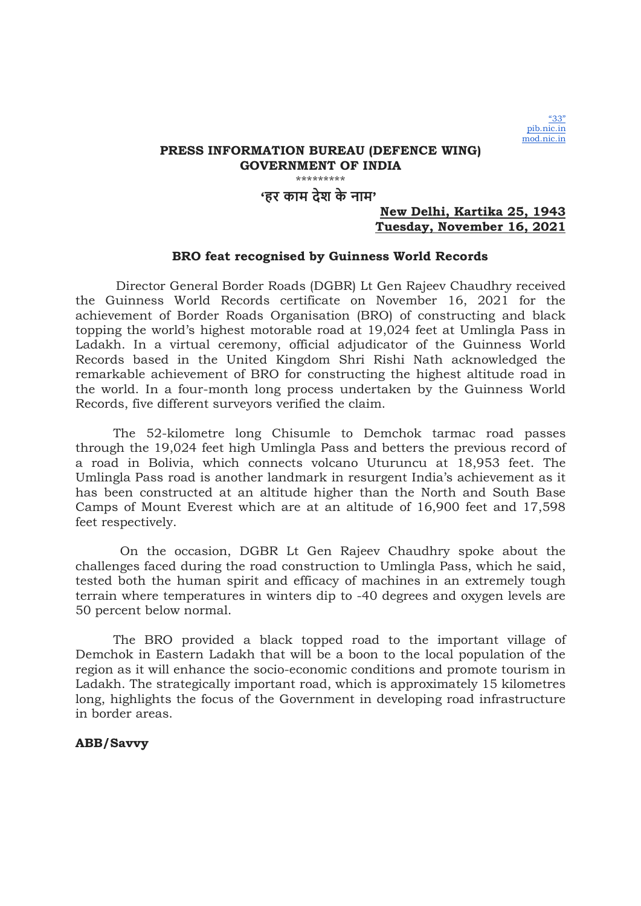### \*\*\*\*\*\*\*\*\* 'हर काम देश के नाम'

### New Delhi, Kartika 25, 1943 Tuesday, November 16, 2021

### BRO feat recognised by Guinness World Records

 Director General Border Roads (DGBR) Lt Gen Rajeev Chaudhry received the Guinness World Records certificate on November 16, 2021 for the achievement of Border Roads Organisation (BRO) of constructing and black topping the world's highest motorable road at 19,024 feet at Umlingla Pass in Ladakh. In a virtual ceremony, official adjudicator of the Guinness World Records based in the United Kingdom Shri Rishi Nath acknowledged the remarkable achievement of BRO for constructing the highest altitude road in the world. In a four-month long process undertaken by the Guinness World Records, five different surveyors verified the claim.

The 52-kilometre long Chisumle to Demchok tarmac road passes through the 19,024 feet high Umlingla Pass and betters the previous record of a road in Bolivia, which connects volcano Uturuncu at 18,953 feet. The Umlingla Pass road is another landmark in resurgent India's achievement as it has been constructed at an altitude higher than the North and South Base Camps of Mount Everest which are at an altitude of 16,900 feet and 17,598 feet respectively.

 On the occasion, DGBR Lt Gen Rajeev Chaudhry spoke about the challenges faced during the road construction to Umlingla Pass, which he said, tested both the human spirit and efficacy of machines in an extremely tough terrain where temperatures in winters dip to -40 degrees and oxygen levels are 50 percent below normal.

The BRO provided a black topped road to the important village of Demchok in Eastern Ladakh that will be a boon to the local population of the region as it will enhance the socio-economic conditions and promote tourism in Ladakh. The strategically important road, which is approximately 15 kilometres long, highlights the focus of the Government in developing road infrastructure in border areas.

### ABB/Savvy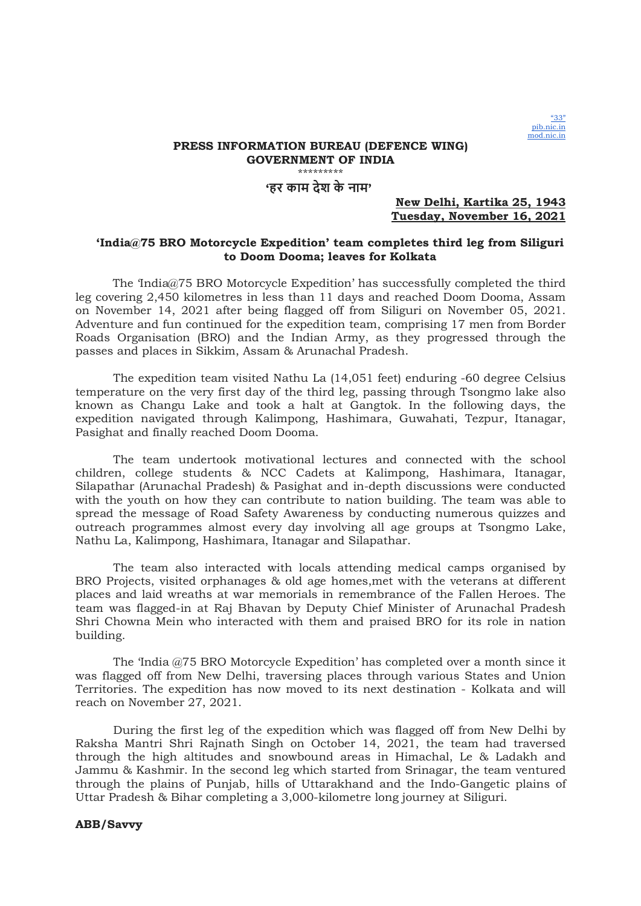

'हर काम देश के नाम'

#### New Delhi, Kartika 25, 1943 Tuesday, November 16, 2021

#### 'India@75 BRO Motorcycle Expedition' team completes third leg from Siliguri to Doom Dooma; leaves for Kolkata

 The 'India@75 BRO Motorcycle Expedition' has successfully completed the third leg covering 2,450 kilometres in less than 11 days and reached Doom Dooma, Assam on November 14, 2021 after being flagged off from Siliguri on November 05, 2021. Adventure and fun continued for the expedition team, comprising 17 men from Border Roads Organisation (BRO) and the Indian Army, as they progressed through the passes and places in Sikkim, Assam & Arunachal Pradesh.

The expedition team visited Nathu La (14,051 feet) enduring -60 degree Celsius temperature on the very first day of the third leg, passing through Tsongmo lake also known as Changu Lake and took a halt at Gangtok. In the following days, the expedition navigated through Kalimpong, Hashimara, Guwahati, Tezpur, Itanagar, Pasighat and finally reached Doom Dooma.

The team undertook motivational lectures and connected with the school children, college students & NCC Cadets at Kalimpong, Hashimara, Itanagar, Silapathar (Arunachal Pradesh) & Pasighat and in-depth discussions were conducted with the youth on how they can contribute to nation building. The team was able to spread the message of Road Safety Awareness by conducting numerous quizzes and outreach programmes almost every day involving all age groups at Tsongmo Lake, Nathu La, Kalimpong, Hashimara, Itanagar and Silapathar.

The team also interacted with locals attending medical camps organised by BRO Projects, visited orphanages & old age homes,met with the veterans at different places and laid wreaths at war memorials in remembrance of the Fallen Heroes. The team was flagged-in at Raj Bhavan by Deputy Chief Minister of Arunachal Pradesh Shri Chowna Mein who interacted with them and praised BRO for its role in nation building.

The 'India @75 BRO Motorcycle Expedition' has completed over a month since it was flagged off from New Delhi, traversing places through various States and Union Territories. The expedition has now moved to its next destination - Kolkata and will reach on November 27, 2021.

During the first leg of the expedition which was flagged off from New Delhi by Raksha Mantri Shri Rajnath Singh on October 14, 2021, the team had traversed through the high altitudes and snowbound areas in Himachal, Le & Ladakh and Jammu & Kashmir. In the second leg which started from Srinagar, the team ventured through the plains of Punjab, hills of Uttarakhand and the Indo-Gangetic plains of Uttar Pradesh & Bihar completing a 3,000-kilometre long journey at Siliguri.

#### ABB/Savvy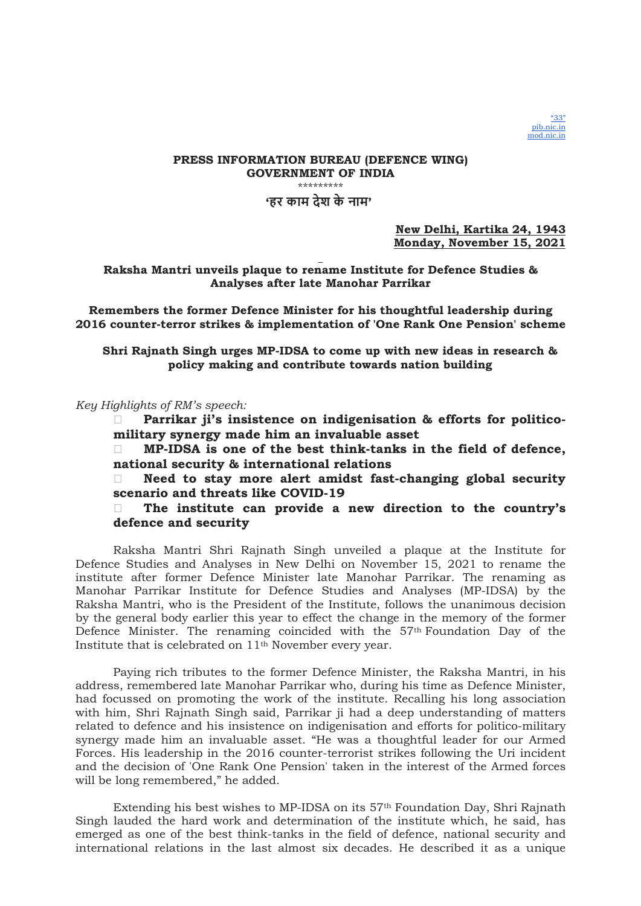

#### PRESS INFORMATION BUREAU (DEFENCE WING) GOVERNMENT OF INDIA \*\*\*\*\*\*\*\*\* 'हर काम देश के नाम'

New Delhi, Kartika 24, 1943 Monday, November 15, 2021

### Raksha Mantri unveils plaque to rename Institute for Defence Studies & Analyses after late Manohar Parrikar

Remembers the former Defence Minister for his thoughtful leadership during 2016 counter-terror strikes & implementation of 'One Rank One Pension' scheme

Shri Rajnath Singh urges MP-IDSA to come up with new ideas in research & policy making and contribute towards nation building

Key Highlights of RM's speech:

 Parrikar ji's insistence on indigenisation & efforts for politicomilitary synergy made him an invaluable asset

 $\Box$  MP-IDSA is one of the best think-tanks in the field of defence, national security & international relations

 Need to stay more alert amidst fast-changing global security scenario and threats like COVID-19

### The institute can provide a new direction to the country's defence and security

Raksha Mantri Shri Rajnath Singh unveiled a plaque at the Institute for Defence Studies and Analyses in New Delhi on November 15, 2021 to rename the institute after former Defence Minister late Manohar Parrikar. The renaming as Manohar Parrikar Institute for Defence Studies and Analyses (MP-IDSA) by the Raksha Mantri, who is the President of the Institute, follows the unanimous decision by the general body earlier this year to effect the change in the memory of the former Defence Minister. The renaming coincided with the  $57<sup>th</sup>$  Foundation Day of the Institute that is celebrated on 11th November every year.

Paying rich tributes to the former Defence Minister, the Raksha Mantri, in his address, remembered late Manohar Parrikar who, during his time as Defence Minister, had focussed on promoting the work of the institute. Recalling his long association with him, Shri Rajnath Singh said, Parrikar ji had a deep understanding of matters related to defence and his insistence on indigenisation and efforts for politico-military synergy made him an invaluable asset. "He was a thoughtful leader for our Armed Forces. His leadership in the 2016 counter-terrorist strikes following the Uri incident and the decision of 'One Rank One Pension' taken in the interest of the Armed forces will be long remembered," he added.

Extending his best wishes to MP-IDSA on its 57th Foundation Day, Shri Rajnath Singh lauded the hard work and determination of the institute which, he said, has emerged as one of the best think-tanks in the field of defence, national security and international relations in the last almost six decades. He described it as a unique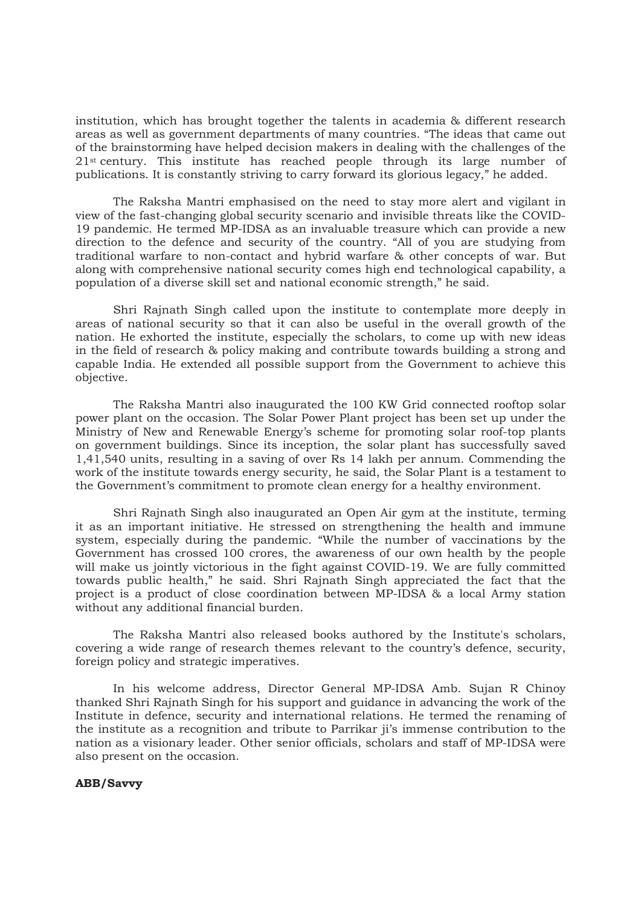institution, which has brought together the talents in academia & different research areas as well as government departments of many countries. "The ideas that came out of the brainstorming have helped decision makers in dealing with the challenges of the 21st century. This institute has reached people through its large number of publications. It is constantly striving to carry forward its glorious legacy," he added.

The Raksha Mantri emphasised on the need to stay more alert and vigilant in view of the fast-changing global security scenario and invisible threats like the COVID-19 pandemic. He termed MP-IDSA as an invaluable treasure which can provide a new direction to the defence and security of the country. "All of you are studying from traditional warfare to non-contact and hybrid warfare & other concepts of war. But along with comprehensive national security comes high end technological capability, a population of a diverse skill set and national economic strength," he said.

Shri Rajnath Singh called upon the institute to contemplate more deeply in areas of national security so that it can also be useful in the overall growth of the nation. He exhorted the institute, especially the scholars, to come up with new ideas in the field of research & policy making and contribute towards building a strong and capable India. He extended all possible support from the Government to achieve this objective.

The Raksha Mantri also inaugurated the 100 KW Grid connected rooftop solar power plant on the occasion. The Solar Power Plant project has been set up under the Ministry of New and Renewable Energy's scheme for promoting solar roof-top plants on government buildings. Since its inception, the solar plant has successfully saved 1,41,540 units, resulting in a saving of over Rs 14 lakh per annum. Commending the work of the institute towards energy security, he said, the Solar Plant is a testament to the Government's commitment to promote clean energy for a healthy environment.

Shri Rajnath Singh also inaugurated an Open Air gym at the institute, terming it as an important initiative. He stressed on strengthening the health and immune system, especially during the pandemic. "While the number of vaccinations by the Government has crossed 100 crores, the awareness of our own health by the people will make us jointly victorious in the fight against COVID-19. We are fully committed towards public health," he said. Shri Rajnath Singh appreciated the fact that the project is a product of close coordination between MP-IDSA & a local Army station without any additional financial burden.

The Raksha Mantri also released books authored by the Institute's scholars, covering a wide range of research themes relevant to the country's defence, security, foreign policy and strategic imperatives.

In his welcome address, Director General MP-IDSA Amb. Sujan R Chinoy thanked Shri Rajnath Singh for his support and guidance in advancing the work of the Institute in defence, security and international relations. He termed the renaming of the institute as a recognition and tribute to Parrikar ji's immense contribution to the nation as a visionary leader. Other senior officials, scholars and staff of MP-IDSA were also present on the occasion.

### ABB/Savvy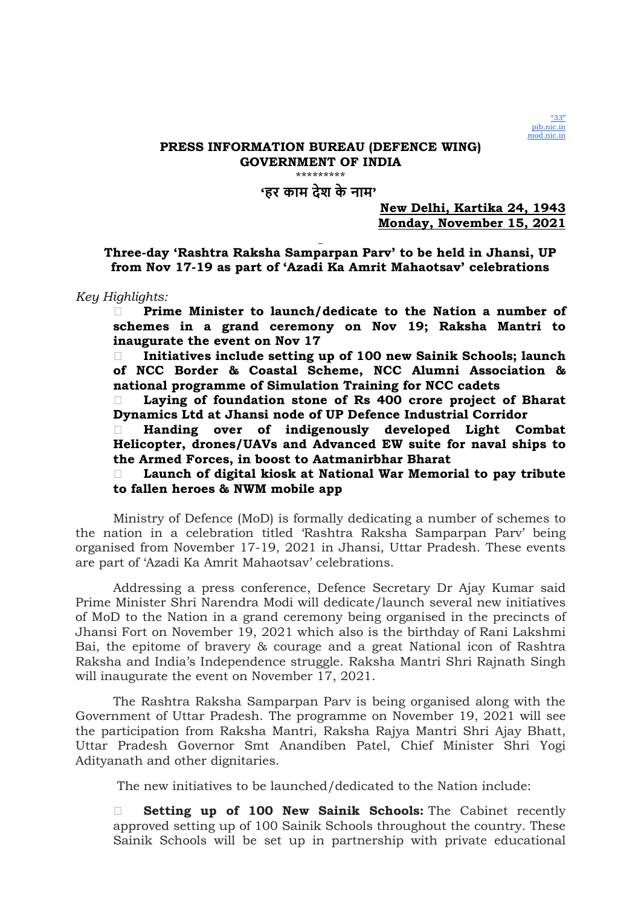

## 'हर काम देश के नाम'

### New Delhi, Kartika 24, 1943 Monday, November 15, 2021

Three-day 'Rashtra Raksha Samparpan Parv' to be held in Jhansi, UP from Nov 17-19 as part of 'Azadi Ka Amrit Mahaotsav' celebrations

Key Highlights:

 Prime Minister to launch/dedicate to the Nation a number of schemes in a grand ceremony on Nov 19; Raksha Mantri to inaugurate the event on Nov 17

 $\Box$  Initiatives include setting up of 100 new Sainik Schools; launch of NCC Border & Coastal Scheme, NCC Alumni Association & national programme of Simulation Training for NCC cadets

 Laying of foundation stone of Rs 400 crore project of Bharat Dynamics Ltd at Jhansi node of UP Defence Industrial Corridor

 Handing over of indigenously developed Light Combat Helicopter, drones/UAVs and Advanced EW suite for naval ships to the Armed Forces, in boost to Aatmanirbhar Bharat

 Launch of digital kiosk at National War Memorial to pay tribute to fallen heroes & NWM mobile app

Ministry of Defence (MoD) is formally dedicating a number of schemes to the nation in a celebration titled 'Rashtra Raksha Samparpan Parv' being organised from November 17-19, 2021 in Jhansi, Uttar Pradesh. These events are part of 'Azadi Ka Amrit Mahaotsav' celebrations.

Addressing a press conference, Defence Secretary Dr Ajay Kumar said Prime Minister Shri Narendra Modi will dedicate/launch several new initiatives of MoD to the Nation in a grand ceremony being organised in the precincts of Jhansi Fort on November 19, 2021 which also is the birthday of Rani Lakshmi Bai, the epitome of bravery & courage and a great National icon of Rashtra Raksha and India's Independence struggle. Raksha Mantri Shri Rajnath Singh will inaugurate the event on November 17, 2021.

The Rashtra Raksha Samparpan Parv is being organised along with the Government of Uttar Pradesh. The programme on November 19, 2021 will see the participation from Raksha Mantri, Raksha Rajya Mantri Shri Ajay Bhatt, Uttar Pradesh Governor Smt Anandiben Patel, Chief Minister Shri Yogi Adityanath and other dignitaries.

The new initiatives to be launched/dedicated to the Nation include:

**Setting up of 100 New Sainik Schools:** The Cabinet recently approved setting up of 100 Sainik Schools throughout the country. These Sainik Schools will be set up in partnership with private educational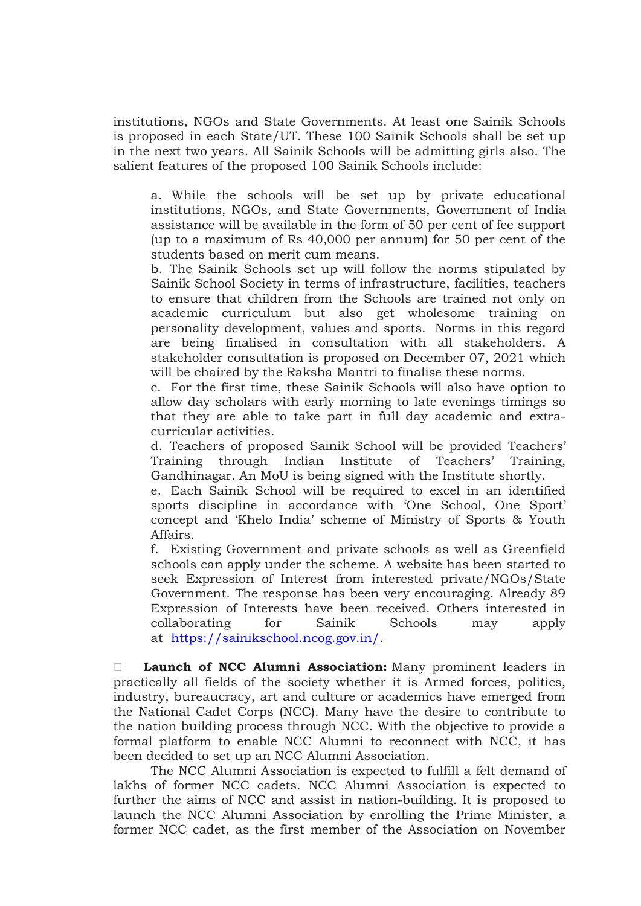institutions, NGOs and State Governments. At least one Sainik Schools is proposed in each State/UT. These 100 Sainik Schools shall be set up in the next two years. All Sainik Schools will be admitting girls also. The salient features of the proposed 100 Sainik Schools include:

a. While the schools will be set up by private educational institutions, NGOs, and State Governments, Government of India assistance will be available in the form of 50 per cent of fee support (up to a maximum of Rs 40,000 per annum) for 50 per cent of the students based on merit cum means.

b. The Sainik Schools set up will follow the norms stipulated by Sainik School Society in terms of infrastructure, facilities, teachers to ensure that children from the Schools are trained not only on academic curriculum but also get wholesome training on personality development, values and sports. Norms in this regard are being finalised in consultation with all stakeholders. A stakeholder consultation is proposed on December 07, 2021 which will be chaired by the Raksha Mantri to finalise these norms.

c. For the first time, these Sainik Schools will also have option to allow day scholars with early morning to late evenings timings so that they are able to take part in full day academic and extracurricular activities.

d. Teachers of proposed Sainik School will be provided Teachers' Training through Indian Institute of Teachers' Training, Gandhinagar. An MoU is being signed with the Institute shortly.

e. Each Sainik School will be required to excel in an identified sports discipline in accordance with 'One School, One Sport' concept and 'Khelo India' scheme of Ministry of Sports & Youth Affairs.

f. Existing Government and private schools as well as Greenfield schools can apply under the scheme. A website has been started to seek Expression of Interest from interested private/NGOs/State Government. The response has been very encouraging. Already 89 Expression of Interests have been received. Others interested in collaborating for Sainik Schools may apply at https://sainikschool.ncog.gov.in/.

**Launch of NCC Alumni Association:** Many prominent leaders in practically all fields of the society whether it is Armed forces, politics, industry, bureaucracy, art and culture or academics have emerged from the National Cadet Corps (NCC). Many have the desire to contribute to the nation building process through NCC. With the objective to provide a formal platform to enable NCC Alumni to reconnect with NCC, it has been decided to set up an NCC Alumni Association.

The NCC Alumni Association is expected to fulfill a felt demand of lakhs of former NCC cadets. NCC Alumni Association is expected to further the aims of NCC and assist in nation-building. It is proposed to launch the NCC Alumni Association by enrolling the Prime Minister, a former NCC cadet, as the first member of the Association on November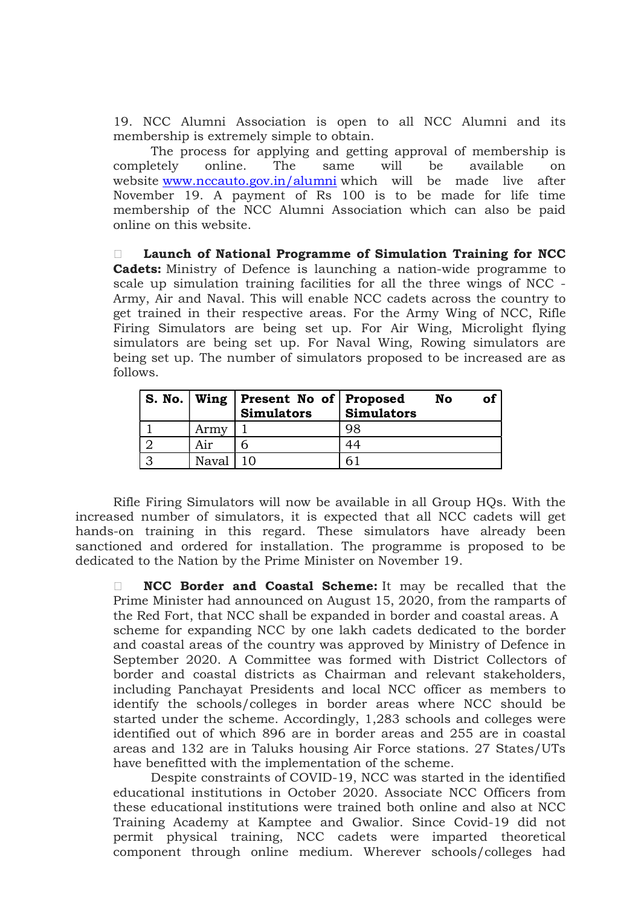19. NCC Alumni Association is open to all NCC Alumni and its membership is extremely simple to obtain.

The process for applying and getting approval of membership is completely online. The same will be available on website www.nccauto.gov.in/alumni which will be made live after November 19. A payment of Rs 100 is to be made for life time membership of the NCC Alumni Association which can also be paid online on this website.

 Launch of National Programme of Simulation Training for NCC Cadets: Ministry of Defence is launching a nation-wide programme to scale up simulation training facilities for all the three wings of NCC - Army, Air and Naval. This will enable NCC cadets across the country to get trained in their respective areas. For the Army Wing of NCC, Rifle Firing Simulators are being set up. For Air Wing, Microlight flying simulators are being set up. For Naval Wing, Rowing simulators are being set up. The number of simulators proposed to be increased are as follows.

|       | S. No.   Wing   Present No of   Proposed<br><b>Simulators</b> | Simulators | No | οi |
|-------|---------------------------------------------------------------|------------|----|----|
| Army  |                                                               | 98         |    |    |
| Air   |                                                               |            |    |    |
| Naval |                                                               |            |    |    |

Rifle Firing Simulators will now be available in all Group HQs. With the increased number of simulators, it is expected that all NCC cadets will get hands-on training in this regard. These simulators have already been sanctioned and ordered for installation. The programme is proposed to be dedicated to the Nation by the Prime Minister on November 19.

 $\Box$  NCC Border and Coastal Scheme: It may be recalled that the Prime Minister had announced on August 15, 2020, from the ramparts of the Red Fort, that NCC shall be expanded in border and coastal areas. A scheme for expanding NCC by one lakh cadets dedicated to the border and coastal areas of the country was approved by Ministry of Defence in September 2020. A Committee was formed with District Collectors of border and coastal districts as Chairman and relevant stakeholders, including Panchayat Presidents and local NCC officer as members to identify the schools/colleges in border areas where NCC should be started under the scheme. Accordingly, 1,283 schools and colleges were identified out of which 896 are in border areas and 255 are in coastal areas and 132 are in Taluks housing Air Force stations. 27 States/UTs have benefitted with the implementation of the scheme.

Despite constraints of COVID-19, NCC was started in the identified educational institutions in October 2020. Associate NCC Officers from these educational institutions were trained both online and also at NCC Training Academy at Kamptee and Gwalior. Since Covid-19 did not permit physical training, NCC cadets were imparted theoretical component through online medium. Wherever schools/colleges had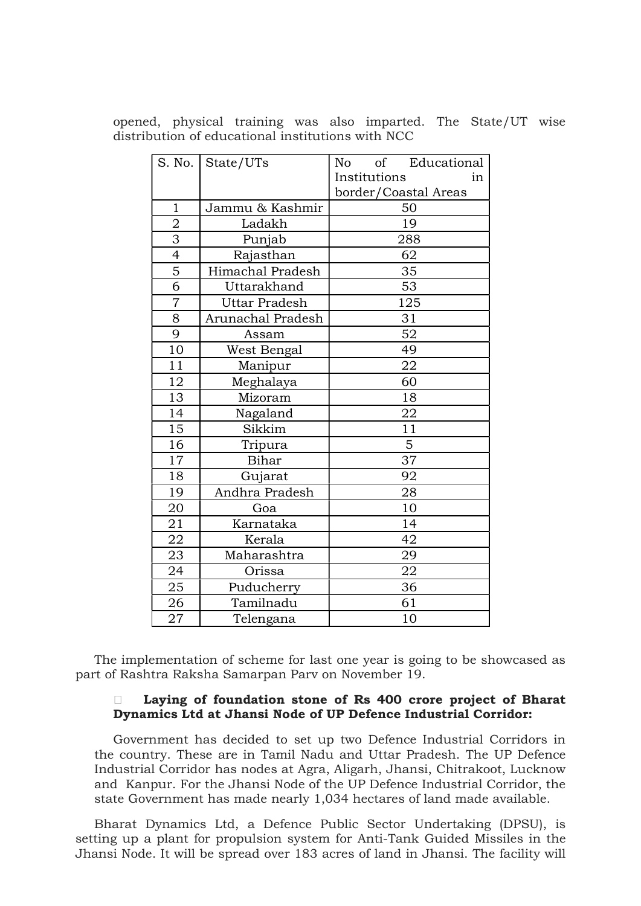opened, physical training was also imparted. The State/UT wise distribution of educational institutions with NCC

|                | S. No.   State/UTs   | of Educational<br>No |  |  |
|----------------|----------------------|----------------------|--|--|
|                |                      | Institutions<br>in   |  |  |
|                |                      | border/Coastal Areas |  |  |
| $\mathbf{1}$   | Jammu & Kashmir      | 50                   |  |  |
| $\overline{2}$ | Ladakh               | 19                   |  |  |
| $\overline{3}$ | Punjab               | 288                  |  |  |
| $\overline{4}$ | Rajasthan            | 62                   |  |  |
| $\overline{5}$ | Himachal Pradesh     | 35                   |  |  |
| $\overline{6}$ | Uttarakhand          | 53                   |  |  |
| $\overline{7}$ | <b>Uttar Pradesh</b> | 125                  |  |  |
| $\overline{8}$ | Arunachal Pradesh    | 31                   |  |  |
| $\overline{9}$ | Assam                | $\overline{52}$      |  |  |
| 10             | West Bengal          | 49                   |  |  |
| 11             | Manipur              | 22                   |  |  |
| 12             | Meghalaya            | 60                   |  |  |
| 13             | Mizoram              | 18                   |  |  |
| 14             | Nagaland             | 22                   |  |  |
| 15             | Sikkim               | 11                   |  |  |
| 16             | Tripura              | 5                    |  |  |
| 17             | <b>Bihar</b>         | 37                   |  |  |
| 18             | Gujarat              | 92                   |  |  |
| 19             | Andhra Pradesh       | 28                   |  |  |
| 20             | Goa                  | 10                   |  |  |
| 21             | Karnataka            | 14                   |  |  |
| 22             | Kerala               | 42                   |  |  |
| 23             | Maharashtra          | 29                   |  |  |
| 24             | Orissa               | 22                   |  |  |
| 25             | Puducherry           | 36                   |  |  |
| 26             | Tamilnadu            | 61                   |  |  |
| 27             | Telengana            | 10                   |  |  |

The implementation of scheme for last one year is going to be showcased as part of Rashtra Raksha Samarpan Parv on November 19.

## Laying of foundation stone of Rs 400 crore project of Bharat Dynamics Ltd at Jhansi Node of UP Defence Industrial Corridor:

Government has decided to set up two Defence Industrial Corridors in the country. These are in Tamil Nadu and Uttar Pradesh. The UP Defence Industrial Corridor has nodes at Agra, Aligarh, Jhansi, Chitrakoot, Lucknow and Kanpur. For the Jhansi Node of the UP Defence Industrial Corridor, the state Government has made nearly 1,034 hectares of land made available.

Bharat Dynamics Ltd, a Defence Public Sector Undertaking (DPSU), is setting up a plant for propulsion system for Anti-Tank Guided Missiles in the Jhansi Node. It will be spread over 183 acres of land in Jhansi. The facility will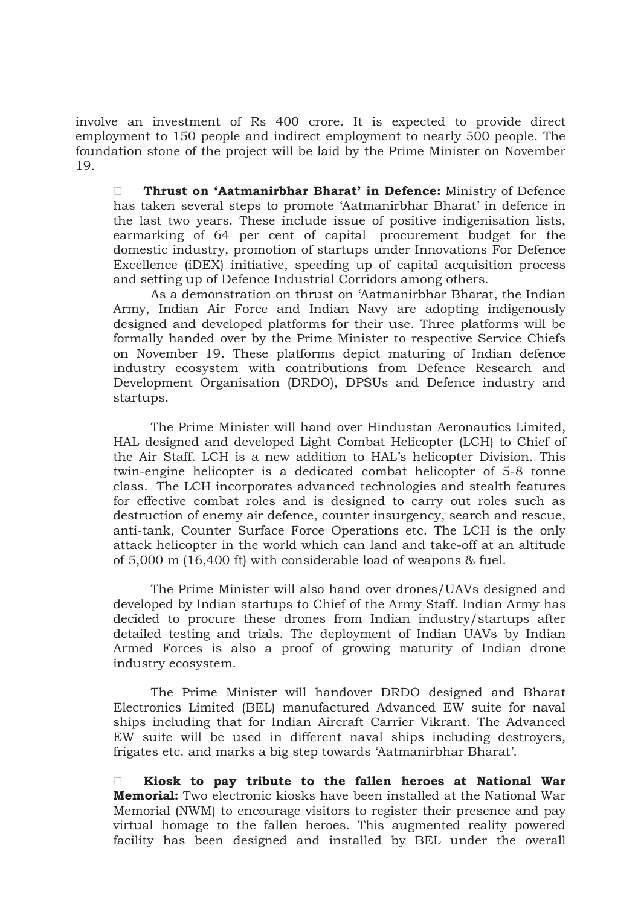involve an investment of Rs 400 crore. It is expected to provide direct employment to 150 people and indirect employment to nearly 500 people. The foundation stone of the project will be laid by the Prime Minister on November 19.

**Thrust on 'Aatmanirbhar Bharat' in Defence:** Ministry of Defence has taken several steps to promote 'Aatmanirbhar Bharat' in defence in the last two years. These include issue of positive indigenisation lists, earmarking of 64 per cent of capital procurement budget for the domestic industry, promotion of startups under Innovations For Defence Excellence (iDEX) initiative, speeding up of capital acquisition process and setting up of Defence Industrial Corridors among others.

As a demonstration on thrust on 'Aatmanirbhar Bharat, the Indian Army, Indian Air Force and Indian Navy are adopting indigenously designed and developed platforms for their use. Three platforms will be formally handed over by the Prime Minister to respective Service Chiefs on November 19. These platforms depict maturing of Indian defence industry ecosystem with contributions from Defence Research and Development Organisation (DRDO), DPSUs and Defence industry and startups.

The Prime Minister will hand over Hindustan Aeronautics Limited, HAL designed and developed Light Combat Helicopter (LCH) to Chief of the Air Staff. LCH is a new addition to HAL's helicopter Division. This twin-engine helicopter is a dedicated combat helicopter of 5-8 tonne class. The LCH incorporates advanced technologies and stealth features for effective combat roles and is designed to carry out roles such as destruction of enemy air defence, counter insurgency, search and rescue, anti-tank, Counter Surface Force Operations etc. The LCH is the only attack helicopter in the world which can land and take-off at an altitude of 5,000 m (16,400 ft) with considerable load of weapons & fuel.

The Prime Minister will also hand over drones/UAVs designed and developed by Indian startups to Chief of the Army Staff. Indian Army has decided to procure these drones from Indian industry/startups after detailed testing and trials. The deployment of Indian UAVs by Indian Armed Forces is also a proof of growing maturity of Indian drone industry ecosystem.

The Prime Minister will handover DRDO designed and Bharat Electronics Limited (BEL) manufactured Advanced EW suite for naval ships including that for Indian Aircraft Carrier Vikrant. The Advanced EW suite will be used in different naval ships including destroyers, frigates etc. and marks a big step towards 'Aatmanirbhar Bharat'.

 $\Box$  Kiosk to pay tribute to the fallen heroes at National War Memorial: Two electronic kiosks have been installed at the National War Memorial (NWM) to encourage visitors to register their presence and pay virtual homage to the fallen heroes. This augmented reality powered facility has been designed and installed by BEL under the overall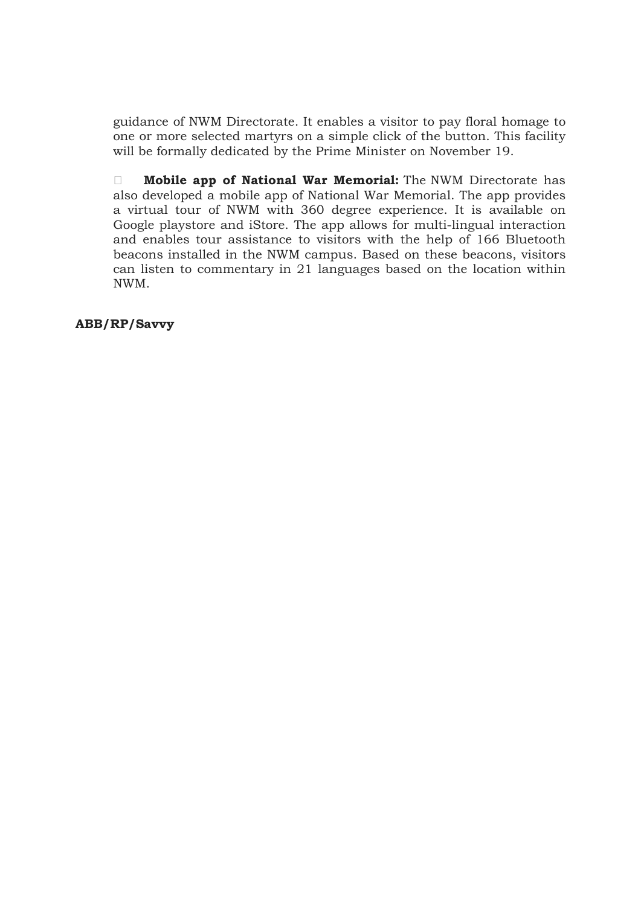guidance of NWM Directorate. It enables a visitor to pay floral homage to one or more selected martyrs on a simple click of the button. This facility will be formally dedicated by the Prime Minister on November 19.

**Mobile app of National War Memorial:** The NWM Directorate has also developed a mobile app of National War Memorial. The app provides a virtual tour of NWM with 360 degree experience. It is available on Google playstore and iStore. The app allows for multi-lingual interaction and enables tour assistance to visitors with the help of 166 Bluetooth beacons installed in the NWM campus. Based on these beacons, visitors can listen to commentary in 21 languages based on the location within NWM.

ABB/RP/Savvy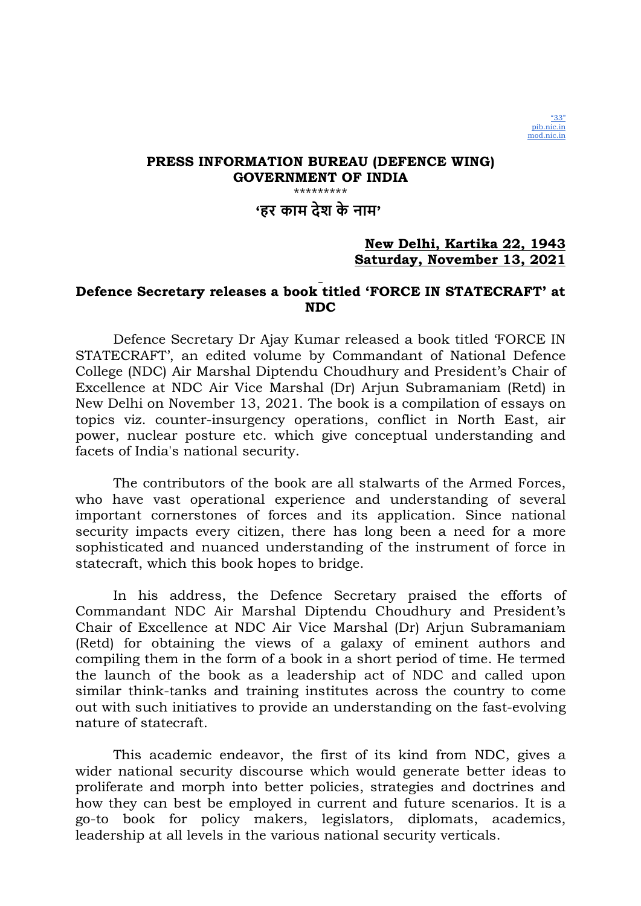

'हर काम देश के नाम'

## New Delhi, Kartika 22, 1943 Saturday, November 13, 2021

## Defence Secretary releases a book titled 'FORCE IN STATECRAFT' at NDC

Defence Secretary Dr Ajay Kumar released a book titled 'FORCE IN STATECRAFT', an edited volume by Commandant of National Defence College (NDC) Air Marshal Diptendu Choudhury and President's Chair of Excellence at NDC Air Vice Marshal (Dr) Arjun Subramaniam (Retd) in New Delhi on November 13, 2021. The book is a compilation of essays on topics viz. counter-insurgency operations, conflict in North East, air power, nuclear posture etc. which give conceptual understanding and facets of India's national security.

The contributors of the book are all stalwarts of the Armed Forces, who have vast operational experience and understanding of several important cornerstones of forces and its application. Since national security impacts every citizen, there has long been a need for a more sophisticated and nuanced understanding of the instrument of force in statecraft, which this book hopes to bridge.

In his address, the Defence Secretary praised the efforts of Commandant NDC Air Marshal Diptendu Choudhury and President's Chair of Excellence at NDC Air Vice Marshal (Dr) Arjun Subramaniam (Retd) for obtaining the views of a galaxy of eminent authors and compiling them in the form of a book in a short period of time. He termed the launch of the book as a leadership act of NDC and called upon similar think-tanks and training institutes across the country to come out with such initiatives to provide an understanding on the fast-evolving nature of statecraft.

This academic endeavor, the first of its kind from NDC, gives a wider national security discourse which would generate better ideas to proliferate and morph into better policies, strategies and doctrines and how they can best be employed in current and future scenarios. It is a go-to book for policy makers, legislators, diplomats, academics, leadership at all levels in the various national security verticals.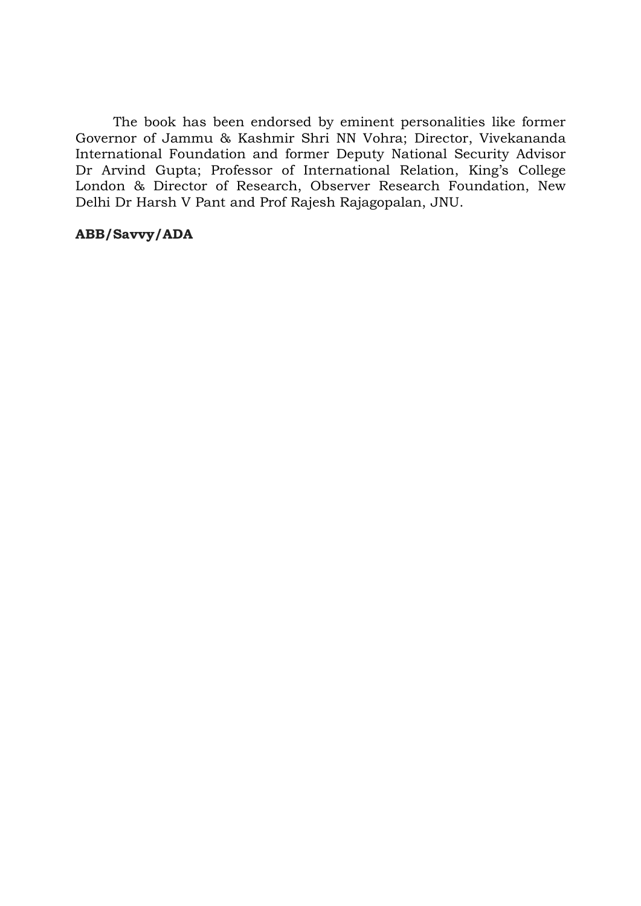The book has been endorsed by eminent personalities like former Governor of Jammu & Kashmir Shri NN Vohra; Director, Vivekananda International Foundation and former Deputy National Security Advisor Dr Arvind Gupta; Professor of International Relation, King's College London & Director of Research, Observer Research Foundation, New Delhi Dr Harsh V Pant and Prof Rajesh Rajagopalan, JNU.

## ABB/Savvy/ADA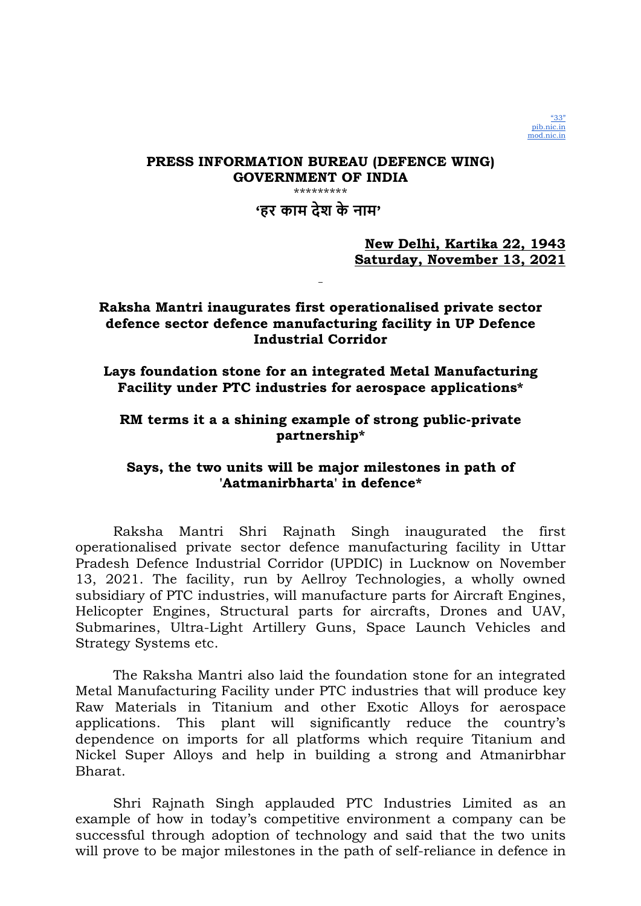'हर काम देश के नाम'

## New Delhi, Kartika 22, 1943 Saturday, November 13, 2021

## Raksha Mantri inaugurates first operationalised private sector defence sector defence manufacturing facility in UP Defence Industrial Corridor

Lays foundation stone for an integrated Metal Manufacturing Facility under PTC industries for aerospace applications\*

## RM terms it a a shining example of strong public-private partnership\*

## Says, the two units will be major milestones in path of 'Aatmanirbharta' in defence\*

Raksha Mantri Shri Rajnath Singh inaugurated the first operationalised private sector defence manufacturing facility in Uttar Pradesh Defence Industrial Corridor (UPDIC) in Lucknow on November 13, 2021. The facility, run by Aellroy Technologies, a wholly owned subsidiary of PTC industries, will manufacture parts for Aircraft Engines, Helicopter Engines, Structural parts for aircrafts, Drones and UAV, Submarines, Ultra-Light Artillery Guns, Space Launch Vehicles and Strategy Systems etc.

The Raksha Mantri also laid the foundation stone for an integrated Metal Manufacturing Facility under PTC industries that will produce key Raw Materials in Titanium and other Exotic Alloys for aerospace applications. This plant will significantly reduce the country's dependence on imports for all platforms which require Titanium and Nickel Super Alloys and help in building a strong and Atmanirbhar Bharat.

Shri Rajnath Singh applauded PTC Industries Limited as an example of how in today's competitive environment a company can be successful through adoption of technology and said that the two units will prove to be major milestones in the path of self-reliance in defence in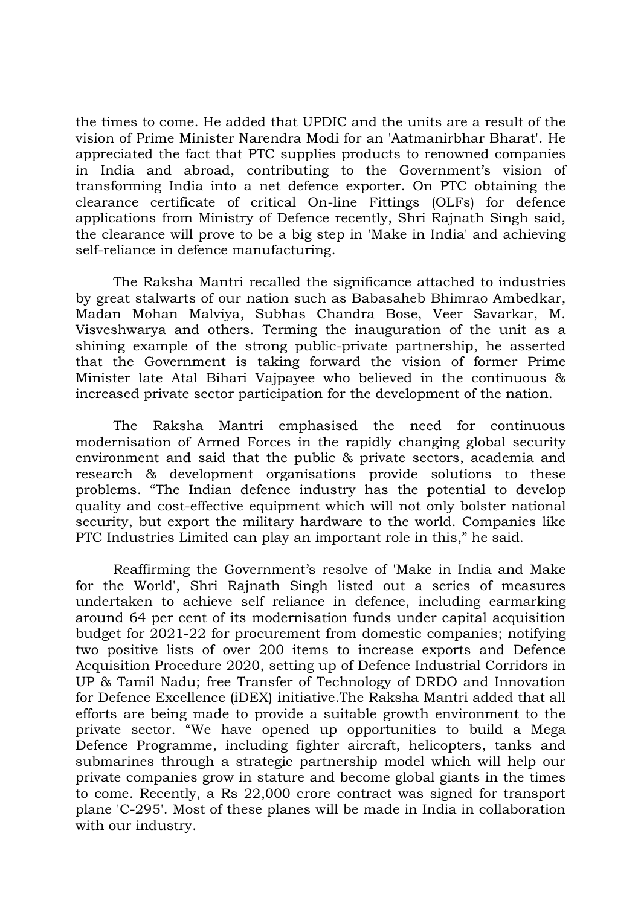the times to come. He added that UPDIC and the units are a result of the vision of Prime Minister Narendra Modi for an 'Aatmanirbhar Bharat'. He appreciated the fact that PTC supplies products to renowned companies in India and abroad, contributing to the Government's vision of transforming India into a net defence exporter. On PTC obtaining the clearance certificate of critical On-line Fittings (OLFs) for defence applications from Ministry of Defence recently, Shri Rajnath Singh said, the clearance will prove to be a big step in 'Make in India' and achieving self-reliance in defence manufacturing.

The Raksha Mantri recalled the significance attached to industries by great stalwarts of our nation such as Babasaheb Bhimrao Ambedkar, Madan Mohan Malviya, Subhas Chandra Bose, Veer Savarkar, M. Visveshwarya and others. Terming the inauguration of the unit as a shining example of the strong public-private partnership, he asserted that the Government is taking forward the vision of former Prime Minister late Atal Bihari Vajpayee who believed in the continuous & increased private sector participation for the development of the nation.

The Raksha Mantri emphasised the need for continuous modernisation of Armed Forces in the rapidly changing global security environment and said that the public & private sectors, academia and research & development organisations provide solutions to these problems. "The Indian defence industry has the potential to develop quality and cost-effective equipment which will not only bolster national security, but export the military hardware to the world. Companies like PTC Industries Limited can play an important role in this," he said.

Reaffirming the Government's resolve of 'Make in India and Make for the World', Shri Rajnath Singh listed out a series of measures undertaken to achieve self reliance in defence, including earmarking around 64 per cent of its modernisation funds under capital acquisition budget for 2021-22 for procurement from domestic companies; notifying two positive lists of over 200 items to increase exports and Defence Acquisition Procedure 2020, setting up of Defence Industrial Corridors in UP & Tamil Nadu; free Transfer of Technology of DRDO and Innovation for Defence Excellence (iDEX) initiative.The Raksha Mantri added that all efforts are being made to provide a suitable growth environment to the private sector. "We have opened up opportunities to build a Mega Defence Programme, including fighter aircraft, helicopters, tanks and submarines through a strategic partnership model which will help our private companies grow in stature and become global giants in the times to come. Recently, a Rs 22,000 crore contract was signed for transport plane 'C-295'. Most of these planes will be made in India in collaboration with our industry.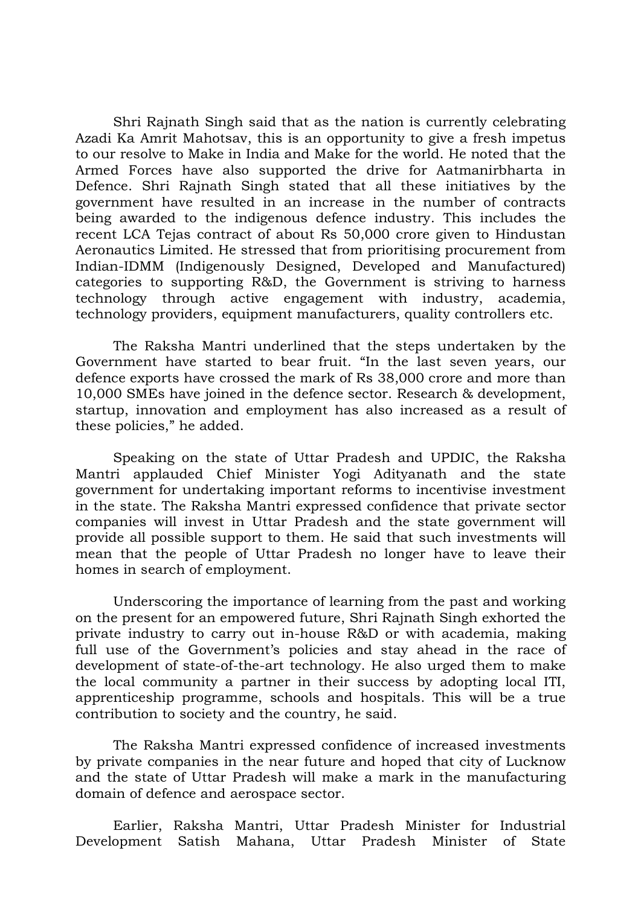Shri Rajnath Singh said that as the nation is currently celebrating Azadi Ka Amrit Mahotsav, this is an opportunity to give a fresh impetus to our resolve to Make in India and Make for the world. He noted that the Armed Forces have also supported the drive for Aatmanirbharta in Defence. Shri Rajnath Singh stated that all these initiatives by the government have resulted in an increase in the number of contracts being awarded to the indigenous defence industry. This includes the recent LCA Tejas contract of about Rs 50,000 crore given to Hindustan Aeronautics Limited. He stressed that from prioritising procurement from Indian-IDMM (Indigenously Designed, Developed and Manufactured) categories to supporting R&D, the Government is striving to harness technology through active engagement with industry, academia, technology providers, equipment manufacturers, quality controllers etc.

The Raksha Mantri underlined that the steps undertaken by the Government have started to bear fruit. "In the last seven years, our defence exports have crossed the mark of Rs 38,000 crore and more than 10,000 SMEs have joined in the defence sector. Research & development, startup, innovation and employment has also increased as a result of these policies," he added.

Speaking on the state of Uttar Pradesh and UPDIC, the Raksha Mantri applauded Chief Minister Yogi Adityanath and the state government for undertaking important reforms to incentivise investment in the state. The Raksha Mantri expressed confidence that private sector companies will invest in Uttar Pradesh and the state government will provide all possible support to them. He said that such investments will mean that the people of Uttar Pradesh no longer have to leave their homes in search of employment.

Underscoring the importance of learning from the past and working on the present for an empowered future, Shri Rajnath Singh exhorted the private industry to carry out in-house R&D or with academia, making full use of the Government's policies and stay ahead in the race of development of state-of-the-art technology. He also urged them to make the local community a partner in their success by adopting local ITI, apprenticeship programme, schools and hospitals. This will be a true contribution to society and the country, he said.

The Raksha Mantri expressed confidence of increased investments by private companies in the near future and hoped that city of Lucknow and the state of Uttar Pradesh will make a mark in the manufacturing domain of defence and aerospace sector.

Earlier, Raksha Mantri, Uttar Pradesh Minister for Industrial Development Satish Mahana, Uttar Pradesh Minister of State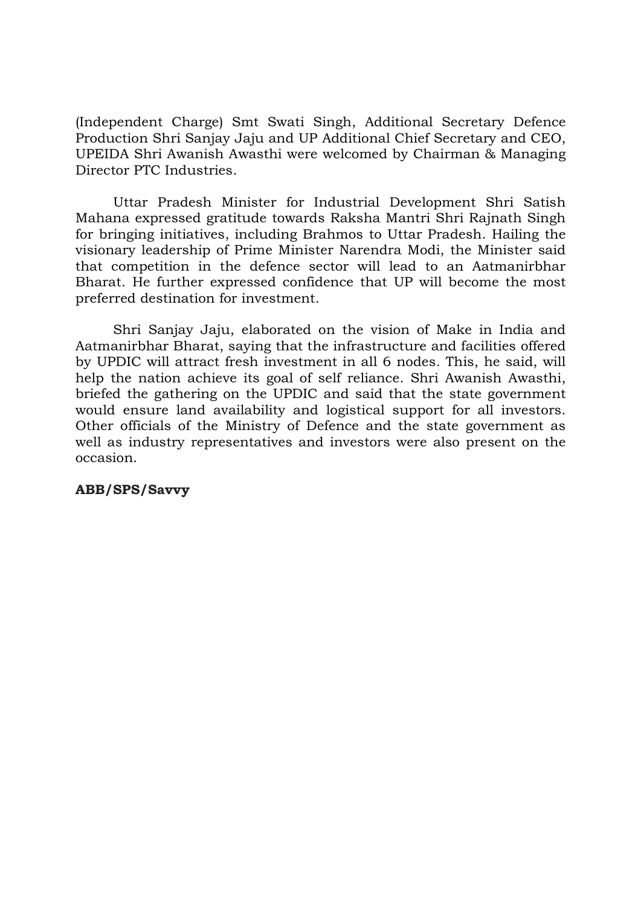(Independent Charge) Smt Swati Singh, Additional Secretary Defence Production Shri Sanjay Jaju and UP Additional Chief Secretary and CEO, UPEIDA Shri Awanish Awasthi were welcomed by Chairman & Managing Director PTC Industries.

Uttar Pradesh Minister for Industrial Development Shri Satish Mahana expressed gratitude towards Raksha Mantri Shri Rajnath Singh for bringing initiatives, including Brahmos to Uttar Pradesh. Hailing the visionary leadership of Prime Minister Narendra Modi, the Minister said that competition in the defence sector will lead to an Aatmanirbhar Bharat. He further expressed confidence that UP will become the most preferred destination for investment.

Shri Sanjay Jaju, elaborated on the vision of Make in India and Aatmanirbhar Bharat, saying that the infrastructure and facilities offered by UPDIC will attract fresh investment in all 6 nodes. This, he said, will help the nation achieve its goal of self reliance. Shri Awanish Awasthi, briefed the gathering on the UPDIC and said that the state government would ensure land availability and logistical support for all investors. Other officials of the Ministry of Defence and the state government as well as industry representatives and investors were also present on the occasion.

## ABB/SPS/Savvy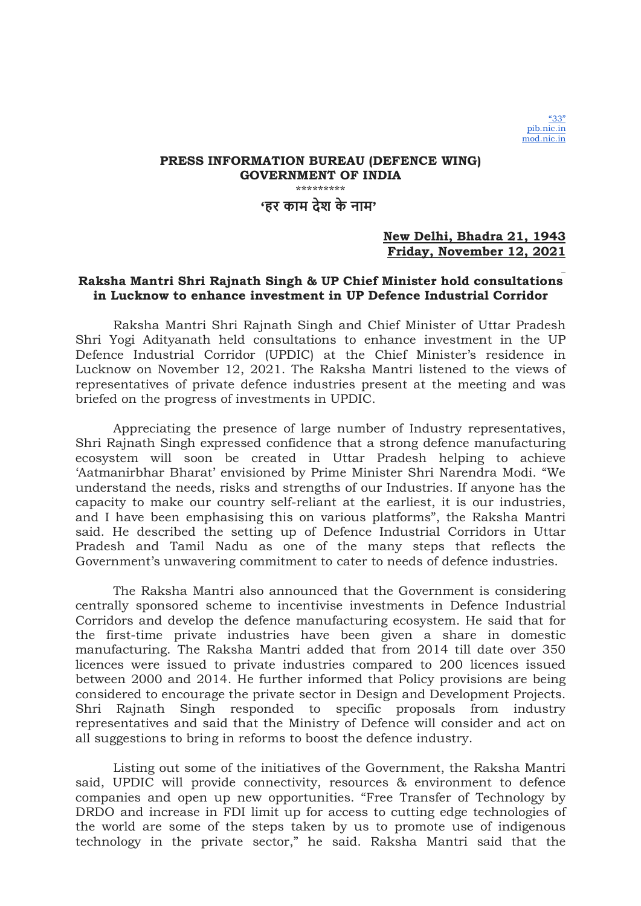## PRESS INFORMATION BUREAU (DEFENCE WING) GOVERNMENT OF INDIA \*\*\*\*\*\*\*\*\* 'हर काम देश के नाम'

### New Delhi, Bhadra 21, 1943 Friday, November 12, 2021

### Raksha Mantri Shri Rajnath Singh & UP Chief Minister hold consultations in Lucknow to enhance investment in UP Defence Industrial Corridor

Raksha Mantri Shri Rajnath Singh and Chief Minister of Uttar Pradesh Shri Yogi Adityanath held consultations to enhance investment in the UP Defence Industrial Corridor (UPDIC) at the Chief Minister's residence in Lucknow on November 12, 2021. The Raksha Mantri listened to the views of representatives of private defence industries present at the meeting and was briefed on the progress of investments in UPDIC.

Appreciating the presence of large number of Industry representatives, Shri Rajnath Singh expressed confidence that a strong defence manufacturing ecosystem will soon be created in Uttar Pradesh helping to achieve 'Aatmanirbhar Bharat' envisioned by Prime Minister Shri Narendra Modi. "We understand the needs, risks and strengths of our Industries. If anyone has the capacity to make our country self-reliant at the earliest, it is our industries, and I have been emphasising this on various platforms", the Raksha Mantri said. He described the setting up of Defence Industrial Corridors in Uttar Pradesh and Tamil Nadu as one of the many steps that reflects the Government's unwavering commitment to cater to needs of defence industries.

The Raksha Mantri also announced that the Government is considering centrally sponsored scheme to incentivise investments in Defence Industrial Corridors and develop the defence manufacturing ecosystem. He said that for the first-time private industries have been given a share in domestic manufacturing. The Raksha Mantri added that from 2014 till date over 350 licences were issued to private industries compared to 200 licences issued between 2000 and 2014. He further informed that Policy provisions are being considered to encourage the private sector in Design and Development Projects. Shri Rajnath Singh responded to specific proposals from industry representatives and said that the Ministry of Defence will consider and act on all suggestions to bring in reforms to boost the defence industry.

Listing out some of the initiatives of the Government, the Raksha Mantri said, UPDIC will provide connectivity, resources & environment to defence companies and open up new opportunities. "Free Transfer of Technology by DRDO and increase in FDI limit up for access to cutting edge technologies of the world are some of the steps taken by us to promote use of indigenous technology in the private sector," he said. Raksha Mantri said that the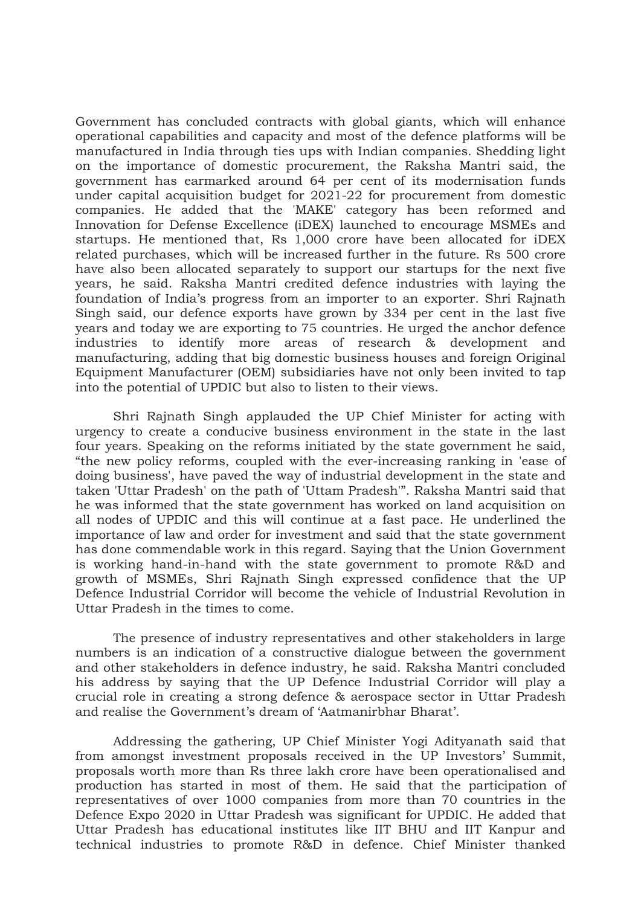Government has concluded contracts with global giants, which will enhance operational capabilities and capacity and most of the defence platforms will be manufactured in India through ties ups with Indian companies. Shedding light on the importance of domestic procurement, the Raksha Mantri said, the government has earmarked around 64 per cent of its modernisation funds under capital acquisition budget for 2021-22 for procurement from domestic companies. He added that the 'MAKE' category has been reformed and Innovation for Defense Excellence (iDEX) launched to encourage MSMEs and startups. He mentioned that, Rs 1,000 crore have been allocated for iDEX related purchases, which will be increased further in the future. Rs 500 crore have also been allocated separately to support our startups for the next five years, he said. Raksha Mantri credited defence industries with laying the foundation of India's progress from an importer to an exporter. Shri Rajnath Singh said, our defence exports have grown by 334 per cent in the last five years and today we are exporting to 75 countries. He urged the anchor defence industries to identify more areas of research & development and manufacturing, adding that big domestic business houses and foreign Original Equipment Manufacturer (OEM) subsidiaries have not only been invited to tap into the potential of UPDIC but also to listen to their views.

Shri Rajnath Singh applauded the UP Chief Minister for acting with urgency to create a conducive business environment in the state in the last four years. Speaking on the reforms initiated by the state government he said, "the new policy reforms, coupled with the ever-increasing ranking in 'ease of doing business', have paved the way of industrial development in the state and taken 'Uttar Pradesh' on the path of 'Uttam Pradesh'". Raksha Mantri said that he was informed that the state government has worked on land acquisition on all nodes of UPDIC and this will continue at a fast pace. He underlined the importance of law and order for investment and said that the state government has done commendable work in this regard. Saying that the Union Government is working hand-in-hand with the state government to promote R&D and growth of MSMEs, Shri Rajnath Singh expressed confidence that the UP Defence Industrial Corridor will become the vehicle of Industrial Revolution in Uttar Pradesh in the times to come.

The presence of industry representatives and other stakeholders in large numbers is an indication of a constructive dialogue between the government and other stakeholders in defence industry, he said. Raksha Mantri concluded his address by saying that the UP Defence Industrial Corridor will play a crucial role in creating a strong defence & aerospace sector in Uttar Pradesh and realise the Government's dream of 'Aatmanirbhar Bharat'.

Addressing the gathering, UP Chief Minister Yogi Adityanath said that from amongst investment proposals received in the UP Investors' Summit, proposals worth more than Rs three lakh crore have been operationalised and production has started in most of them. He said that the participation of representatives of over 1000 companies from more than 70 countries in the Defence Expo 2020 in Uttar Pradesh was significant for UPDIC. He added that Uttar Pradesh has educational institutes like IIT BHU and IIT Kanpur and technical industries to promote R&D in defence. Chief Minister thanked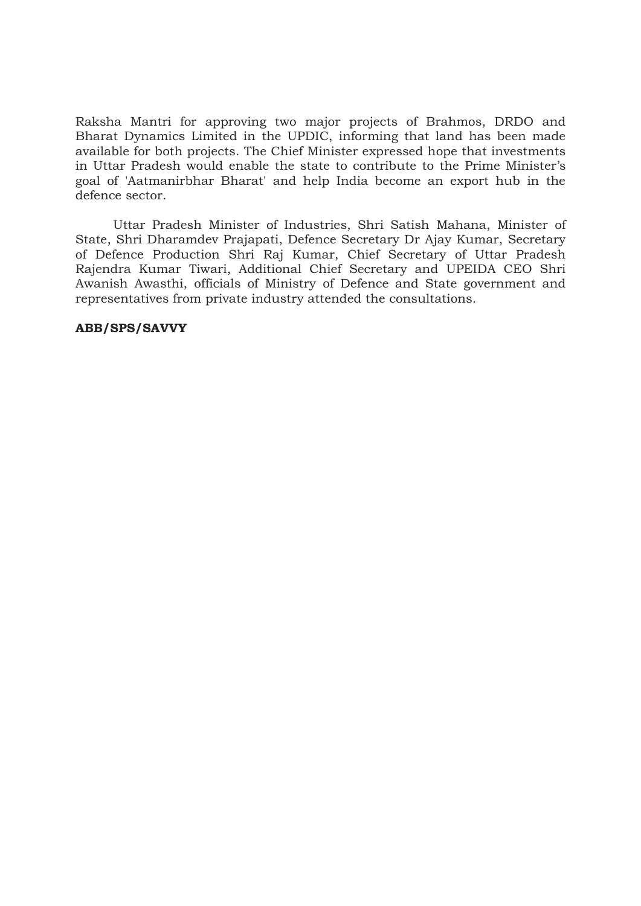Raksha Mantri for approving two major projects of Brahmos, DRDO and Bharat Dynamics Limited in the UPDIC, informing that land has been made available for both projects. The Chief Minister expressed hope that investments in Uttar Pradesh would enable the state to contribute to the Prime Minister's goal of 'Aatmanirbhar Bharat' and help India become an export hub in the defence sector.

Uttar Pradesh Minister of Industries, Shri Satish Mahana, Minister of State, Shri Dharamdev Prajapati, Defence Secretary Dr Ajay Kumar, Secretary of Defence Production Shri Raj Kumar, Chief Secretary of Uttar Pradesh Rajendra Kumar Tiwari, Additional Chief Secretary and UPEIDA CEO Shri Awanish Awasthi, officials of Ministry of Defence and State government and representatives from private industry attended the consultations.

### ABB/SPS/SAVVY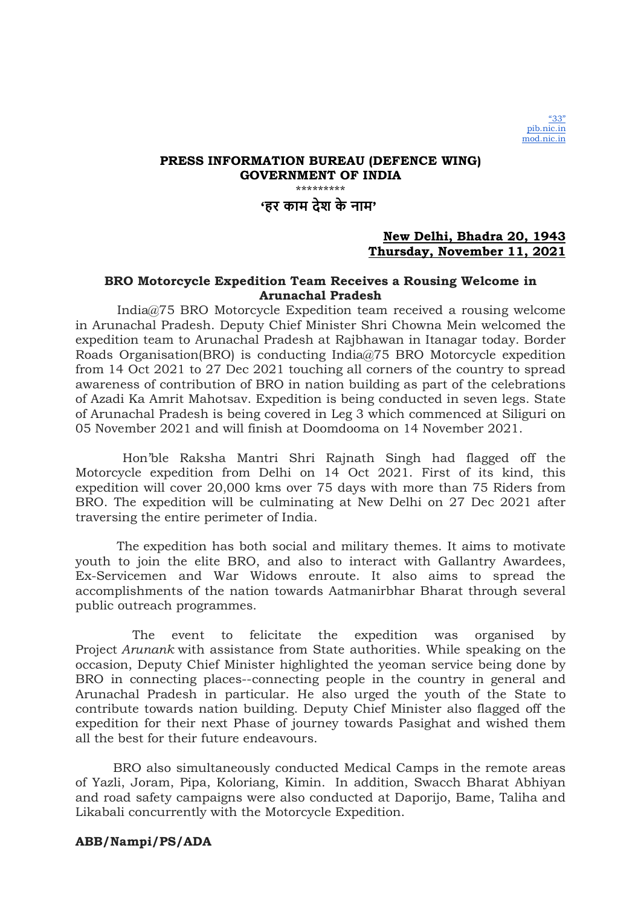## 'हर काम देश के नाम'

## New Delhi, Bhadra 20, 1943 Thursday, November 11, 2021

### BRO Motorcycle Expedition Team Receives a Rousing Welcome in Arunachal Pradesh

 India@75 BRO Motorcycle Expedition team received a rousing welcome in Arunachal Pradesh. Deputy Chief Minister Shri Chowna Mein welcomed the expedition team to Arunachal Pradesh at Rajbhawan in Itanagar today. Border Roads Organisation(BRO) is conducting India@75 BRO Motorcycle expedition from 14 Oct 2021 to 27 Dec 2021 touching all corners of the country to spread awareness of contribution of BRO in nation building as part of the celebrations of Azadi Ka Amrit Mahotsav. Expedition is being conducted in seven legs. State of Arunachal Pradesh is being covered in Leg 3 which commenced at Siliguri on 05 November 2021 and will finish at Doomdooma on 14 November 2021.

 Hon'ble Raksha Mantri Shri Rajnath Singh had flagged off the Motorcycle expedition from Delhi on 14 Oct 2021. First of its kind, this expedition will cover 20,000 kms over 75 days with more than 75 Riders from BRO. The expedition will be culminating at New Delhi on 27 Dec 2021 after traversing the entire perimeter of India.

 The expedition has both social and military themes. It aims to motivate youth to join the elite BRO, and also to interact with Gallantry Awardees, Ex-Servicemen and War Widows enroute. It also aims to spread the accomplishments of the nation towards Aatmanirbhar Bharat through several public outreach programmes.

 The event to felicitate the expedition was organised by Project Arunank with assistance from State authorities. While speaking on the occasion, Deputy Chief Minister highlighted the yeoman service being done by BRO in connecting places--connecting people in the country in general and Arunachal Pradesh in particular. He also urged the youth of the State to contribute towards nation building. Deputy Chief Minister also flagged off the expedition for their next Phase of journey towards Pasighat and wished them all the best for their future endeavours.

BRO also simultaneously conducted Medical Camps in the remote areas of Yazli, Joram, Pipa, Koloriang, Kimin. In addition, Swacch Bharat Abhiyan and road safety campaigns were also conducted at Daporijo, Bame, Taliha and Likabali concurrently with the Motorcycle Expedition.

### ABB/Nampi/PS/ADA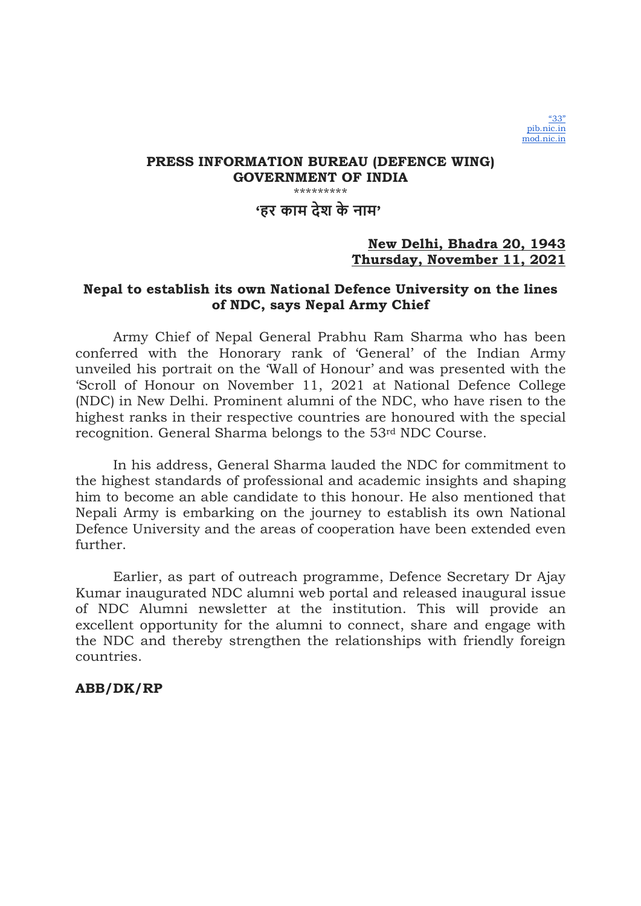'हर काम देश के नाम'

## New Delhi, Bhadra 20, 1943 Thursday, November 11, 2021

## Nepal to establish its own National Defence University on the lines of NDC, says Nepal Army Chief

Army Chief of Nepal General Prabhu Ram Sharma who has been conferred with the Honorary rank of 'General' of the Indian Army unveiled his portrait on the 'Wall of Honour' and was presented with the 'Scroll of Honour on November 11, 2021 at National Defence College (NDC) in New Delhi. Prominent alumni of the NDC, who have risen to the highest ranks in their respective countries are honoured with the special recognition. General Sharma belongs to the 53rd NDC Course.

In his address, General Sharma lauded the NDC for commitment to the highest standards of professional and academic insights and shaping him to become an able candidate to this honour. He also mentioned that Nepali Army is embarking on the journey to establish its own National Defence University and the areas of cooperation have been extended even further.

Earlier, as part of outreach programme, Defence Secretary Dr Ajay Kumar inaugurated NDC alumni web portal and released inaugural issue of NDC Alumni newsletter at the institution. This will provide an excellent opportunity for the alumni to connect, share and engage with the NDC and thereby strengthen the relationships with friendly foreign countries.

## ABB/DK/RP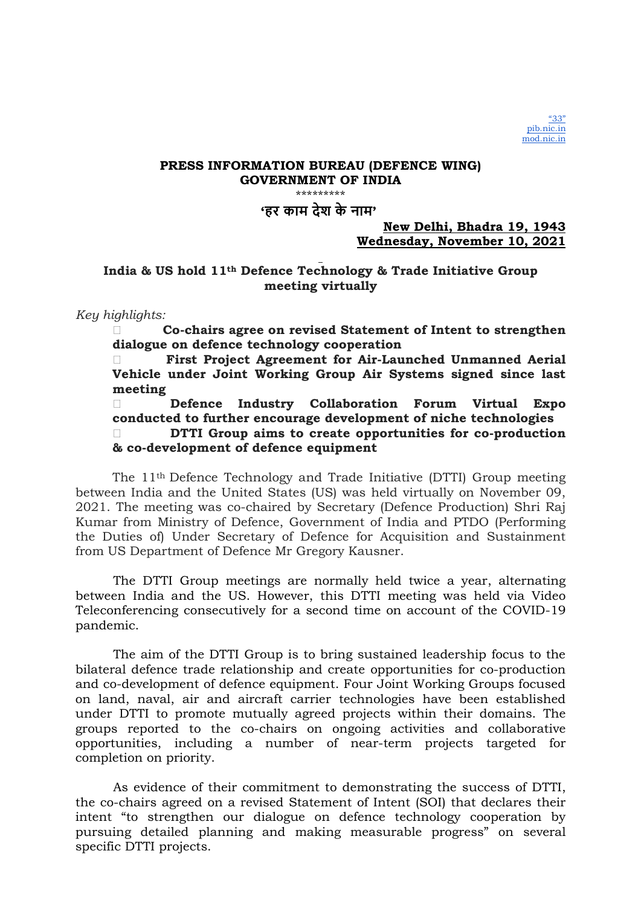'हर काम देश के नाम'

## New Delhi, Bhadra 19, 1943 Wednesday, November 10, 2021

## India & US hold 11th Defence Technology & Trade Initiative Group meeting virtually

### Key highlights:

 Co-chairs agree on revised Statement of Intent to strengthen dialogue on defence technology cooperation

 First Project Agreement for Air-Launched Unmanned Aerial Vehicle under Joint Working Group Air Systems signed since last meeting

 Defence Industry Collaboration Forum Virtual Expo conducted to further encourage development of niche technologies DTTI Group aims to create opportunities for co-production & co-development of defence equipment

The 11th Defence Technology and Trade Initiative (DTTI) Group meeting between India and the United States (US) was held virtually on November 09, 2021. The meeting was co-chaired by Secretary (Defence Production) Shri Raj Kumar from Ministry of Defence, Government of India and PTDO (Performing the Duties of) Under Secretary of Defence for Acquisition and Sustainment from US Department of Defence Mr Gregory Kausner.

The DTTI Group meetings are normally held twice a year, alternating between India and the US. However, this DTTI meeting was held via Video Teleconferencing consecutively for a second time on account of the COVID-19 pandemic.

The aim of the DTTI Group is to bring sustained leadership focus to the bilateral defence trade relationship and create opportunities for co-production and co-development of defence equipment. Four Joint Working Groups focused on land, naval, air and aircraft carrier technologies have been established under DTTI to promote mutually agreed projects within their domains. The groups reported to the co-chairs on ongoing activities and collaborative opportunities, including a number of near-term projects targeted for completion on priority.

As evidence of their commitment to demonstrating the success of DTTI, the co-chairs agreed on a revised Statement of Intent (SOI) that declares their intent "to strengthen our dialogue on defence technology cooperation by pursuing detailed planning and making measurable progress" on several specific DTTI projects.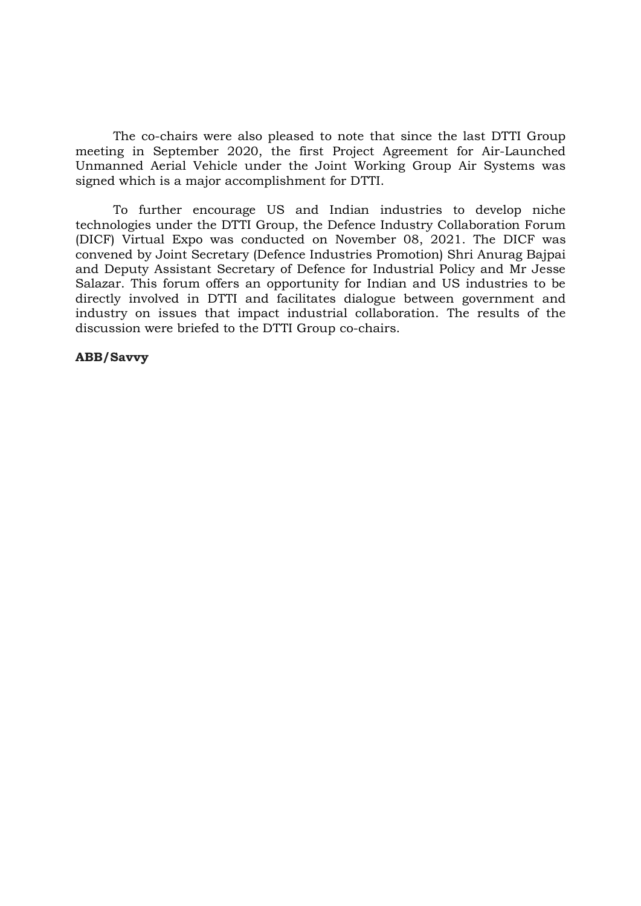The co-chairs were also pleased to note that since the last DTTI Group meeting in September 2020, the first Project Agreement for Air-Launched Unmanned Aerial Vehicle under the Joint Working Group Air Systems was signed which is a major accomplishment for DTTI.

To further encourage US and Indian industries to develop niche technologies under the DTTI Group, the Defence Industry Collaboration Forum (DICF) Virtual Expo was conducted on November 08, 2021. The DICF was convened by Joint Secretary (Defence Industries Promotion) Shri Anurag Bajpai and Deputy Assistant Secretary of Defence for Industrial Policy and Mr Jesse Salazar. This forum offers an opportunity for Indian and US industries to be directly involved in DTTI and facilitates dialogue between government and industry on issues that impact industrial collaboration. The results of the discussion were briefed to the DTTI Group co-chairs.

### ABB/Savvy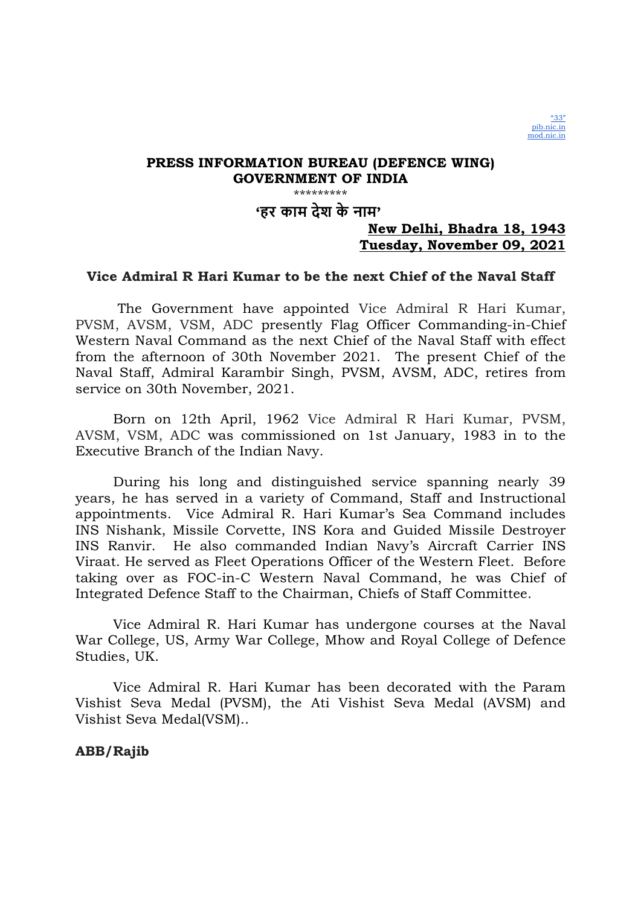

'हर काम देश के नाम'

## New Delhi, Bhadra 18, 1943 Tuesday, November 09, 2021

## Vice Admiral R Hari Kumar to be the next Chief of the Naval Staff

 The Government have appointed Vice Admiral R Hari Kumar, PVSM, AVSM, VSM, ADC presently Flag Officer Commanding-in-Chief Western Naval Command as the next Chief of the Naval Staff with effect from the afternoon of 30th November 2021. The present Chief of the Naval Staff, Admiral Karambir Singh, PVSM, AVSM, ADC, retires from service on 30th November, 2021.

Born on 12th April, 1962 Vice Admiral R Hari Kumar, PVSM, AVSM, VSM, ADC was commissioned on 1st January, 1983 in to the Executive Branch of the Indian Navy.

During his long and distinguished service spanning nearly 39 years, he has served in a variety of Command, Staff and Instructional appointments. Vice Admiral R. Hari Kumar's Sea Command includes INS Nishank, Missile Corvette, INS Kora and Guided Missile Destroyer INS Ranvir. He also commanded Indian Navy's Aircraft Carrier INS Viraat. He served as Fleet Operations Officer of the Western Fleet. Before taking over as FOC-in-C Western Naval Command, he was Chief of Integrated Defence Staff to the Chairman, Chiefs of Staff Committee.

Vice Admiral R. Hari Kumar has undergone courses at the Naval War College, US, Army War College, Mhow and Royal College of Defence Studies, UK.

Vice Admiral R. Hari Kumar has been decorated with the Param Vishist Seva Medal (PVSM), the Ati Vishist Seva Medal (AVSM) and Vishist Seva Medal(VSM)..

## ABB/Rajib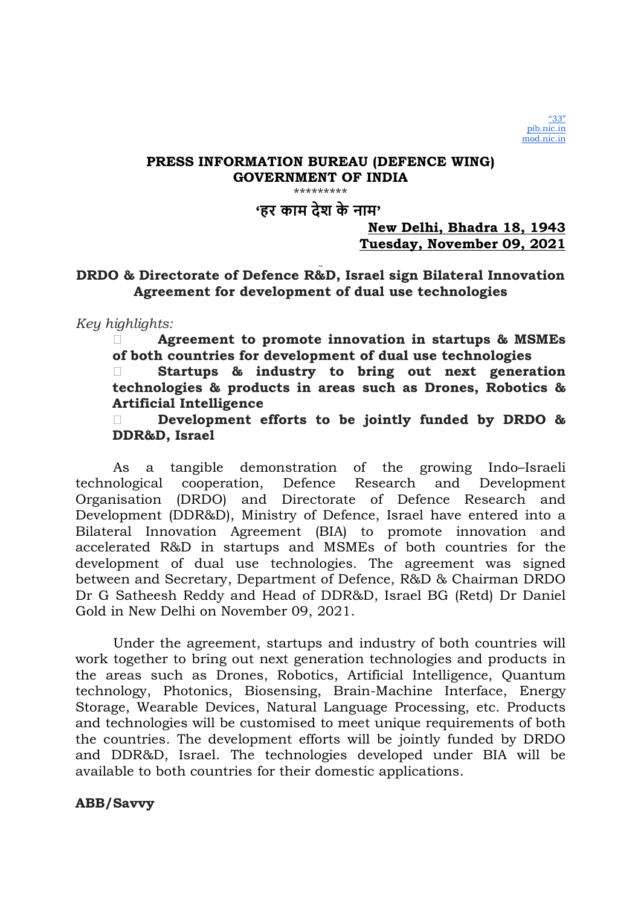\*\*\*\*\*\*\*\*\*

'हर काम देश के नाम'

New Delhi, Bhadra 18, 1943 Tuesday, November 09, 2021

## DRDO & Directorate of Defence R&D, Israel sign Bilateral Innovation Agreement for development of dual use technologies

Key highlights:

 Agreement to promote innovation in startups & MSMEs of both countries for development of dual use technologies

 Startups & industry to bring out next generation technologies & products in areas such as Drones, Robotics & Artificial Intelligence

Development efforts to be jointly funded by DRDO & DDR&D, Israel

As a tangible demonstration of the growing Indo–Israeli technological cooperation, Defence Research and Development Organisation (DRDO) and Directorate of Defence Research and Development (DDR&D), Ministry of Defence, Israel have entered into a Bilateral Innovation Agreement (BIA) to promote innovation and accelerated R&D in startups and MSMEs of both countries for the development of dual use technologies. The agreement was signed between and Secretary, Department of Defence, R&D & Chairman DRDO Dr G Satheesh Reddy and Head of DDR&D, Israel BG (Retd) Dr Daniel Gold in New Delhi on November 09, 2021.

Under the agreement, startups and industry of both countries will work together to bring out next generation technologies and products in the areas such as Drones, Robotics, Artificial Intelligence, Quantum technology, Photonics, Biosensing, Brain-Machine Interface, Energy Storage, Wearable Devices, Natural Language Processing, etc. Products and technologies will be customised to meet unique requirements of both the countries. The development efforts will be jointly funded by DRDO and DDR&D, Israel. The technologies developed under BIA will be available to both countries for their domestic applications.

## ABB/Savvy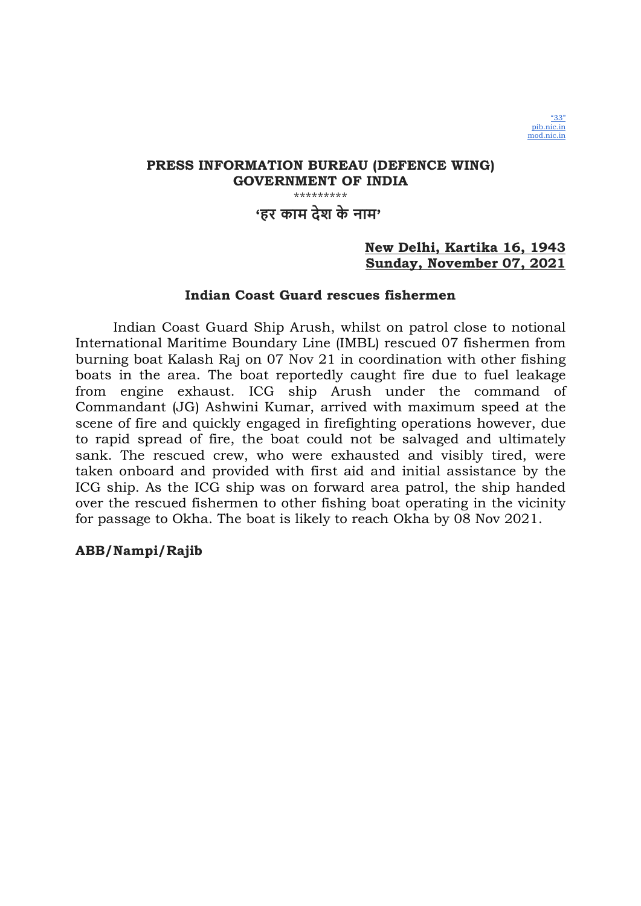

## 'हर काम देश के नाम'

## New Delhi, Kartika 16, 1943 Sunday, November 07, 2021

## Indian Coast Guard rescues fishermen

Indian Coast Guard Ship Arush, whilst on patrol close to notional International Maritime Boundary Line (IMBL) rescued 07 fishermen from burning boat Kalash Raj on 07 Nov 21 in coordination with other fishing boats in the area. The boat reportedly caught fire due to fuel leakage from engine exhaust. ICG ship Arush under the command of Commandant (JG) Ashwini Kumar, arrived with maximum speed at the scene of fire and quickly engaged in firefighting operations however, due to rapid spread of fire, the boat could not be salvaged and ultimately sank. The rescued crew, who were exhausted and visibly tired, were taken onboard and provided with first aid and initial assistance by the ICG ship. As the ICG ship was on forward area patrol, the ship handed over the rescued fishermen to other fishing boat operating in the vicinity for passage to Okha. The boat is likely to reach Okha by 08 Nov 2021.

## ABB/Nampi/Rajib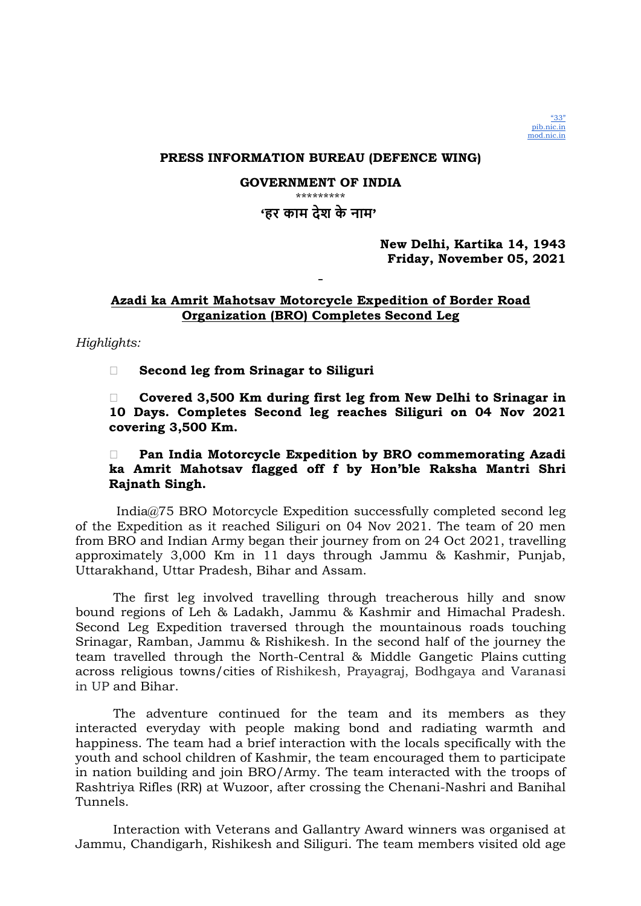

### PRESS INFORMATION BUREAU (DEFENCE WING)

#### GOVERNMENT OF INDIA \*\*\*\*\*\*\*\*\*

# 'हर काम देश के नाम'

## New Delhi, Kartika 14, 1943 Friday, November 05, 2021

### Azadi ka Amrit Mahotsav Motorcycle Expedition of Border Road Organization (BRO) Completes Second Leg

Highlights:

□ Second leg from Srinagar to Siliguri

 Covered 3,500 Km during first leg from New Delhi to Srinagar in 10 Days. Completes Second leg reaches Siliguri on 04 Nov 2021 covering 3,500 Km.

## Pan India Motorcycle Expedition by BRO commemorating Azadi ka Amrit Mahotsav flagged off f by Hon'ble Raksha Mantri Shri Rajnath Singh.

 India@75 BRO Motorcycle Expedition successfully completed second leg of the Expedition as it reached Siliguri on 04 Nov 2021. The team of 20 men from BRO and Indian Army began their journey from on 24 Oct 2021, travelling approximately 3,000 Km in 11 days through Jammu & Kashmir, Punjab, Uttarakhand, Uttar Pradesh, Bihar and Assam.

The first leg involved travelling through treacherous hilly and snow bound regions of Leh & Ladakh, Jammu & Kashmir and Himachal Pradesh. Second Leg Expedition traversed through the mountainous roads touching Srinagar, Ramban, Jammu & Rishikesh. In the second half of the journey the team travelled through the North-Central & Middle Gangetic Plains cutting across religious towns/cities of Rishikesh, Prayagraj, Bodhgaya and Varanasi in UP and Bihar.

The adventure continued for the team and its members as they interacted everyday with people making bond and radiating warmth and happiness. The team had a brief interaction with the locals specifically with the youth and school children of Kashmir, the team encouraged them to participate in nation building and join BRO/Army. The team interacted with the troops of Rashtriya Rifles (RR) at Wuzoor, after crossing the Chenani-Nashri and Banihal Tunnels.

Interaction with Veterans and Gallantry Award winners was organised at Jammu, Chandigarh, Rishikesh and Siliguri. The team members visited old age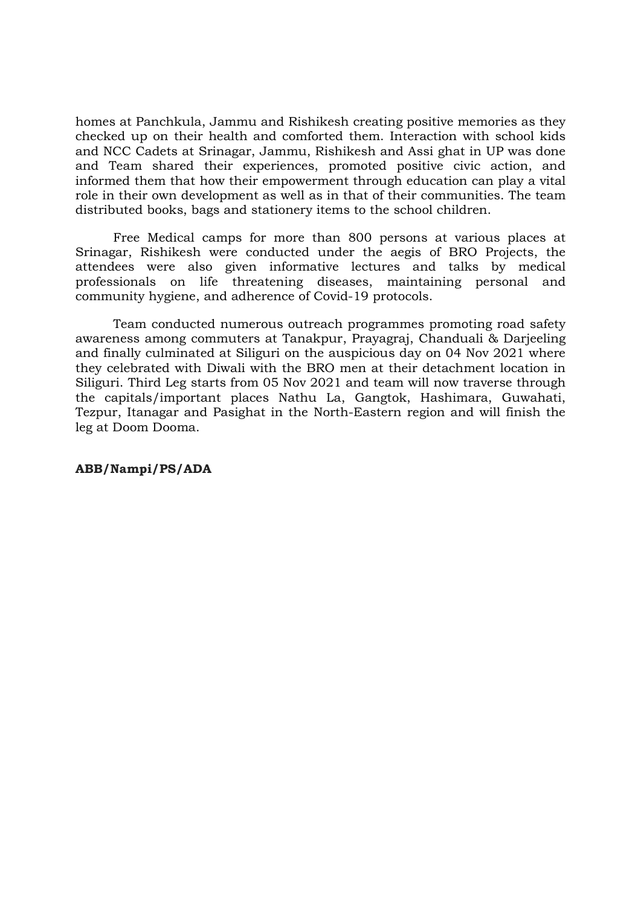homes at Panchkula, Jammu and Rishikesh creating positive memories as they checked up on their health and comforted them. Interaction with school kids and NCC Cadets at Srinagar, Jammu, Rishikesh and Assi ghat in UP was done and Team shared their experiences, promoted positive civic action, and informed them that how their empowerment through education can play a vital role in their own development as well as in that of their communities. The team distributed books, bags and stationery items to the school children.

Free Medical camps for more than 800 persons at various places at Srinagar, Rishikesh were conducted under the aegis of BRO Projects, the attendees were also given informative lectures and talks by medical professionals on life threatening diseases, maintaining personal and community hygiene, and adherence of Covid-19 protocols.

Team conducted numerous outreach programmes promoting road safety awareness among commuters at Tanakpur, Prayagraj, Chanduali & Darjeeling and finally culminated at Siliguri on the auspicious day on 04 Nov 2021 where they celebrated with Diwali with the BRO men at their detachment location in Siliguri. Third Leg starts from 05 Nov 2021 and team will now traverse through the capitals/important places Nathu La, Gangtok, Hashimara, Guwahati, Tezpur, Itanagar and Pasighat in the North-Eastern region and will finish the leg at Doom Dooma.

### ABB/Nampi/PS/ADA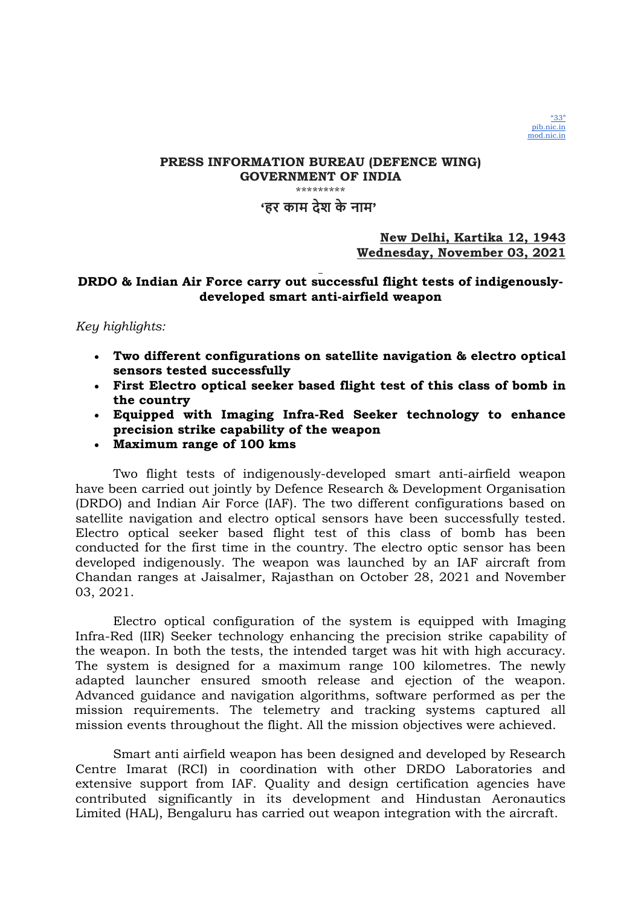

\*\*\*\*\*\*\*\*\*

## 'हर काम देश के नाम'

## New Delhi, Kartika 12, 1943 Wednesday, November 03, 2021

## DRDO & Indian Air Force carry out successful flight tests of indigenouslydeveloped smart anti-airfield weapon

### Key highlights:

- Two different configurations on satellite navigation & electro optical sensors tested successfully
- First Electro optical seeker based flight test of this class of bomb in the country
- Equipped with Imaging Infra-Red Seeker technology to enhance precision strike capability of the weapon
- Maximum range of 100 kms

Two flight tests of indigenously-developed smart anti-airfield weapon have been carried out jointly by Defence Research & Development Organisation (DRDO) and Indian Air Force (IAF). The two different configurations based on satellite navigation and electro optical sensors have been successfully tested. Electro optical seeker based flight test of this class of bomb has been conducted for the first time in the country. The electro optic sensor has been developed indigenously. The weapon was launched by an IAF aircraft from Chandan ranges at Jaisalmer, Rajasthan on October 28, 2021 and November 03, 2021.

Electro optical configuration of the system is equipped with Imaging Infra-Red (IIR) Seeker technology enhancing the precision strike capability of the weapon. In both the tests, the intended target was hit with high accuracy. The system is designed for a maximum range 100 kilometres. The newly adapted launcher ensured smooth release and ejection of the weapon. Advanced guidance and navigation algorithms, software performed as per the mission requirements. The telemetry and tracking systems captured all mission events throughout the flight. All the mission objectives were achieved.

Smart anti airfield weapon has been designed and developed by Research Centre Imarat (RCI) in coordination with other DRDO Laboratories and extensive support from IAF. Quality and design certification agencies have contributed significantly in its development and Hindustan Aeronautics Limited (HAL), Bengaluru has carried out weapon integration with the aircraft.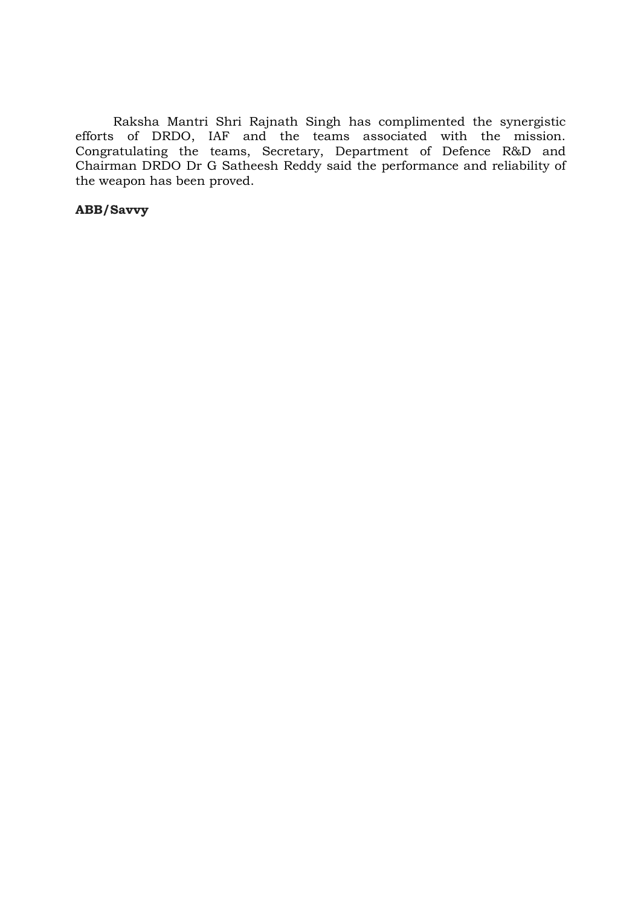Raksha Mantri Shri Rajnath Singh has complimented the synergistic efforts of DRDO, IAF and the teams associated with the mission. Congratulating the teams, Secretary, Department of Defence R&D and Chairman DRDO Dr G Satheesh Reddy said the performance and reliability of the weapon has been proved.

## ABB/Savvy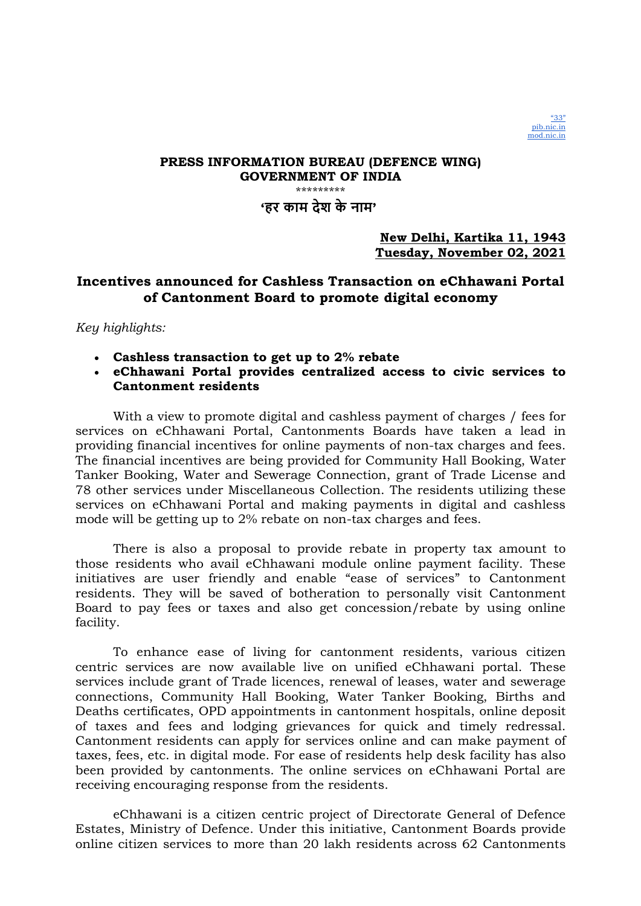

## 'हर काम देश के नाम'

## New Delhi, Kartika 11, 1943 Tuesday, November 02, 2021

## Incentives announced for Cashless Transaction on eChhawani Portal of Cantonment Board to promote digital economy

Key highlights:

- Cashless transaction to get up to 2% rebate
- eChhawani Portal provides centralized access to civic services to Cantonment residents

With a view to promote digital and cashless payment of charges / fees for services on eChhawani Portal, Cantonments Boards have taken a lead in providing financial incentives for online payments of non-tax charges and fees. The financial incentives are being provided for Community Hall Booking, Water Tanker Booking, Water and Sewerage Connection, grant of Trade License and 78 other services under Miscellaneous Collection. The residents utilizing these services on eChhawani Portal and making payments in digital and cashless mode will be getting up to 2% rebate on non-tax charges and fees.

There is also a proposal to provide rebate in property tax amount to those residents who avail eChhawani module online payment facility. These initiatives are user friendly and enable "ease of services" to Cantonment residents. They will be saved of botheration to personally visit Cantonment Board to pay fees or taxes and also get concession/rebate by using online facility.

To enhance ease of living for cantonment residents, various citizen centric services are now available live on unified eChhawani portal. These services include grant of Trade licences, renewal of leases, water and sewerage connections, Community Hall Booking, Water Tanker Booking, Births and Deaths certificates, OPD appointments in cantonment hospitals, online deposit of taxes and fees and lodging grievances for quick and timely redressal. Cantonment residents can apply for services online and can make payment of taxes, fees, etc. in digital mode. For ease of residents help desk facility has also been provided by cantonments. The online services on eChhawani Portal are receiving encouraging response from the residents.

eChhawani is a citizen centric project of Directorate General of Defence Estates, Ministry of Defence. Under this initiative, Cantonment Boards provide online citizen services to more than 20 lakh residents across 62 Cantonments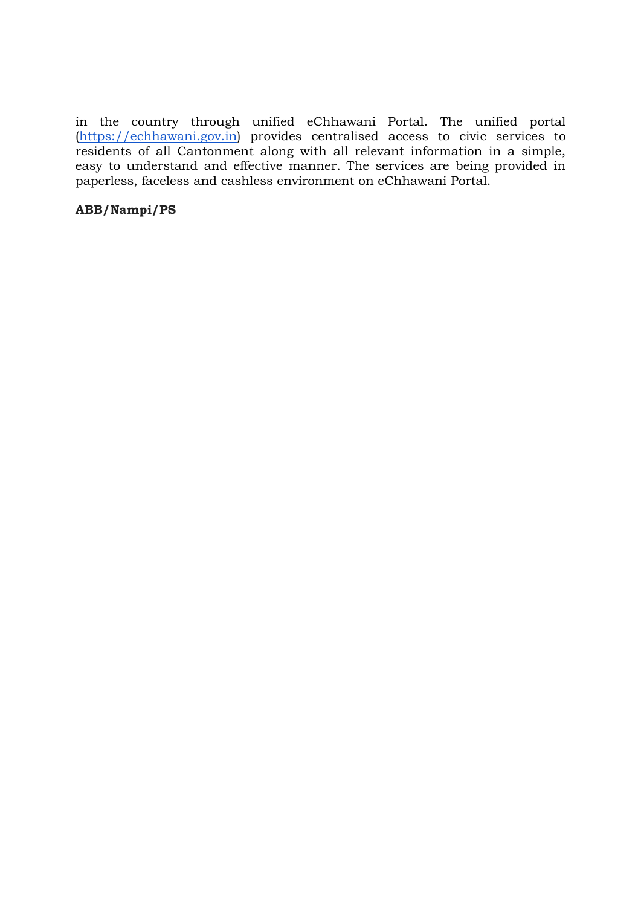in the country through unified eChhawani Portal. The unified portal (https://echhawani.gov.in) provides centralised access to civic services to residents of all Cantonment along with all relevant information in a simple, easy to understand and effective manner. The services are being provided in paperless, faceless and cashless environment on eChhawani Portal.

## ABB/Nampi/PS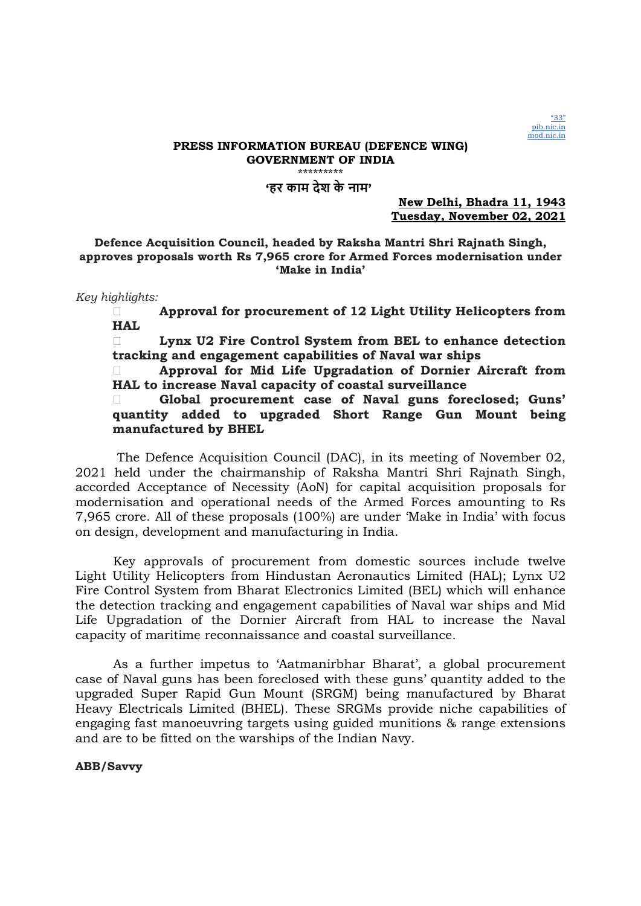

#### PRESS INFORMATION BUREAU (DEFENCE WING) GOVERNMENT OF INDIA \*\*\*\*\*\*\*\*\*

'हर काम देश के नाम'

New Delhi, Bhadra 11, 1943 Tuesday, November 02, 2021

Defence Acquisition Council, headed by Raksha Mantri Shri Rajnath Singh, approves proposals worth Rs 7,965 crore for Armed Forces modernisation under 'Make in India'

Key highlights:

 Approval for procurement of 12 Light Utility Helicopters from HAL

 Lynx U2 Fire Control System from BEL to enhance detection tracking and engagement capabilities of Naval war ships

 Approval for Mid Life Upgradation of Dornier Aircraft from HAL to increase Naval capacity of coastal surveillance

 Global procurement case of Naval guns foreclosed; Guns' quantity added to upgraded Short Range Gun Mount being manufactured by BHEL

 The Defence Acquisition Council (DAC), in its meeting of November 02, 2021 held under the chairmanship of Raksha Mantri Shri Rajnath Singh, accorded Acceptance of Necessity (AoN) for capital acquisition proposals for modernisation and operational needs of the Armed Forces amounting to Rs 7,965 crore. All of these proposals (100%) are under 'Make in India' with focus on design, development and manufacturing in India.

Key approvals of procurement from domestic sources include twelve Light Utility Helicopters from Hindustan Aeronautics Limited (HAL); Lynx U2 Fire Control System from Bharat Electronics Limited (BEL) which will enhance the detection tracking and engagement capabilities of Naval war ships and Mid Life Upgradation of the Dornier Aircraft from HAL to increase the Naval capacity of maritime reconnaissance and coastal surveillance.

As a further impetus to 'Aatmanirbhar Bharat', a global procurement case of Naval guns has been foreclosed with these guns' quantity added to the upgraded Super Rapid Gun Mount (SRGM) being manufactured by Bharat Heavy Electricals Limited (BHEL). These SRGMs provide niche capabilities of engaging fast manoeuvring targets using guided munitions & range extensions and are to be fitted on the warships of the Indian Navy.

ABB/Savvy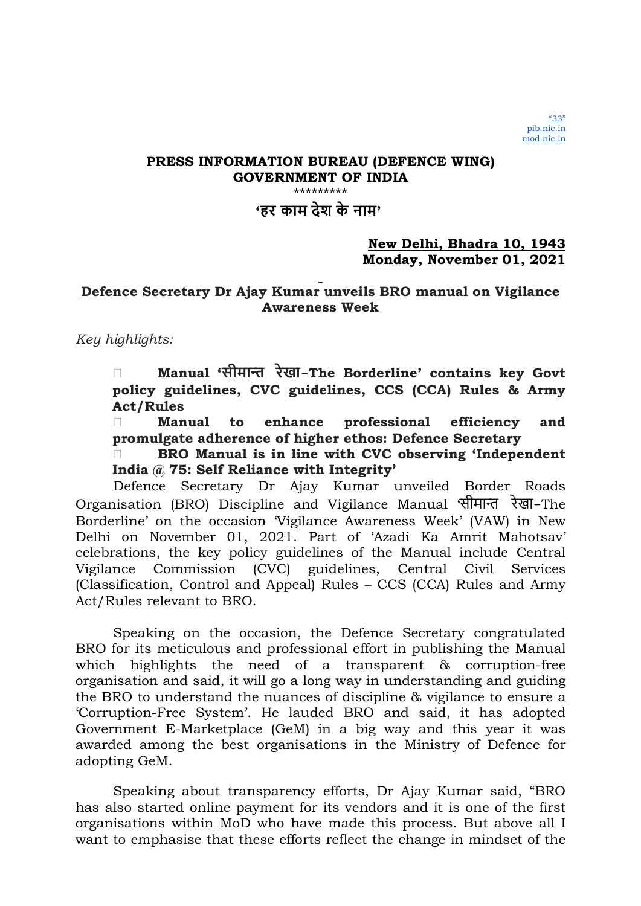## PRESS INFORMATION BUREAU (DEFENCE WING) GOVERNMENT OF INDIA

\*\*\*\*\*\*\*\*\*

# 'हर काम देश के नाम'

### New Delhi, Bhadra 10, 1943 Monday, November 01, 2021

# Defence Secretary Dr Ajay Kumar unveils BRO manual on Vigilance Awareness Week

Key highlights:

 Manual 'सीमाȶ रेखा -The Borderline' contains key Govt policy guidelines, CVC guidelines, CCS (CCA) Rules & Army Act/Rules

 Manual to enhance professional efficiency and promulgate adherence of higher ethos: Defence Secretary

 BRO Manual is in line with CVC observing 'Independent India @ 75: Self Reliance with Integrity'

Defence Secretary Dr Ajay Kumar unveiled Border Roads Organisation (BRO) Discipline and Vigilance Manual सीमान्त रेखा-The Borderline' on the occasion 'Vigilance Awareness Week' (VAW) in New Delhi on November 01, 2021. Part of 'Azadi Ka Amrit Mahotsav' celebrations, the key policy guidelines of the Manual include Central Vigilance Commission (CVC) guidelines, Central Civil Services (Classification, Control and Appeal) Rules – CCS (CCA) Rules and Army Act/Rules relevant to BRO.

Speaking on the occasion, the Defence Secretary congratulated BRO for its meticulous and professional effort in publishing the Manual which highlights the need of a transparent & corruption-free organisation and said, it will go a long way in understanding and guiding the BRO to understand the nuances of discipline & vigilance to ensure a 'Corruption-Free System'. He lauded BRO and said, it has adopted Government E-Marketplace (GeM) in a big way and this year it was awarded among the best organisations in the Ministry of Defence for adopting GeM.

Speaking about transparency efforts, Dr Ajay Kumar said, "BRO has also started online payment for its vendors and it is one of the first organisations within MoD who have made this process. But above all I want to emphasise that these efforts reflect the change in mindset of the